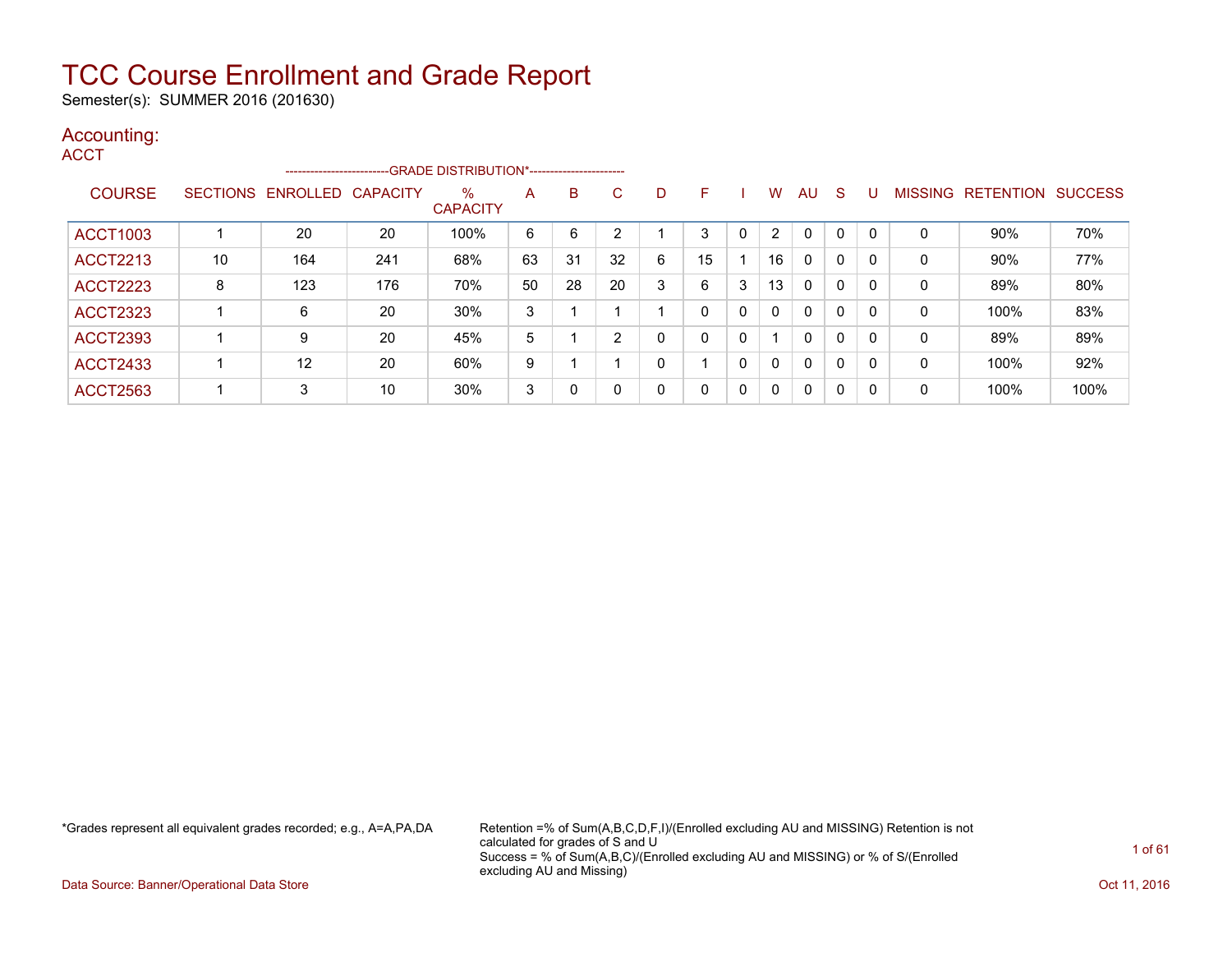Semester(s): SUMMER 2016 (201630)

#### Accounting: **ACCT**

|                 |    | -------------------------  |     | -GRADE DISTRIBUTION*---------------------- |    |    |    |   |    |   |    |              |              |   |                |           |                |
|-----------------|----|----------------------------|-----|--------------------------------------------|----|----|----|---|----|---|----|--------------|--------------|---|----------------|-----------|----------------|
| <b>COURSE</b>   |    | SECTIONS ENROLLED CAPACITY |     | $\%$<br><b>CAPACITY</b>                    | A  | B  | C  | D | н. |   | w  | AU           | <sub>S</sub> | U | <b>MISSING</b> | RETENTION | <b>SUCCESS</b> |
| <b>ACCT1003</b> |    | 20                         | 20  | 100%                                       | 6  | 6  | າ  |   | 3  | 0 | 2  | $\mathbf{0}$ | 0            |   | 0              | $90\%$    | 70%            |
| <b>ACCT2213</b> | 10 | 164                        | 241 | 68%                                        | 63 | 31 | 32 | 6 | 15 |   | 16 | $\mathbf{0}$ | 0            |   | 0              | 90%       | 77%            |
| <b>ACCT2223</b> | 8  | 123                        | 176 | 70%                                        | 50 | 28 | 20 | 3 | 6  | 3 | 13 | 0            | $\mathbf{0}$ |   | 0              | 89%       | 80%            |
| <b>ACCT2323</b> |    | 6                          | 20  | 30%                                        | 3  |    |    |   |    | 0 | 0  | 0            | 0            |   | 0              | 100%      | 83%            |
| <b>ACCT2393</b> |    | 9                          | 20  | 45%                                        | 5  |    | 2  |   | 0  | 0 |    | $\mathbf{0}$ | 0            | 0 | 0              | 89%       | 89%            |
| <b>ACCT2433</b> |    | 12                         | 20  | 60%                                        | 9  |    |    |   |    | 0 | 0  | $\mathbf{0}$ | 0            | 0 | 0              | 100%      | 92%            |
| <b>ACCT2563</b> |    | 3                          | 10  | 30%                                        | 3  | 0  | 0  |   | 0  | 0 | 0  | $\mathbf 0$  | 0            | 0 | 0              | 100%      | 100%           |

\*Grades represent all equivalent grades recorded; e.g., A=A,PA,DA Retention =% of Sum(A,B,C,D,F,I)/(Enrolled excluding AU and MISSING) Retention is not calculated for grades of S and U Success = % of Sum(A,B,C)/(Enrolled excluding AU and MISSING) or % of S/(Enrolled excluding AU and Missing)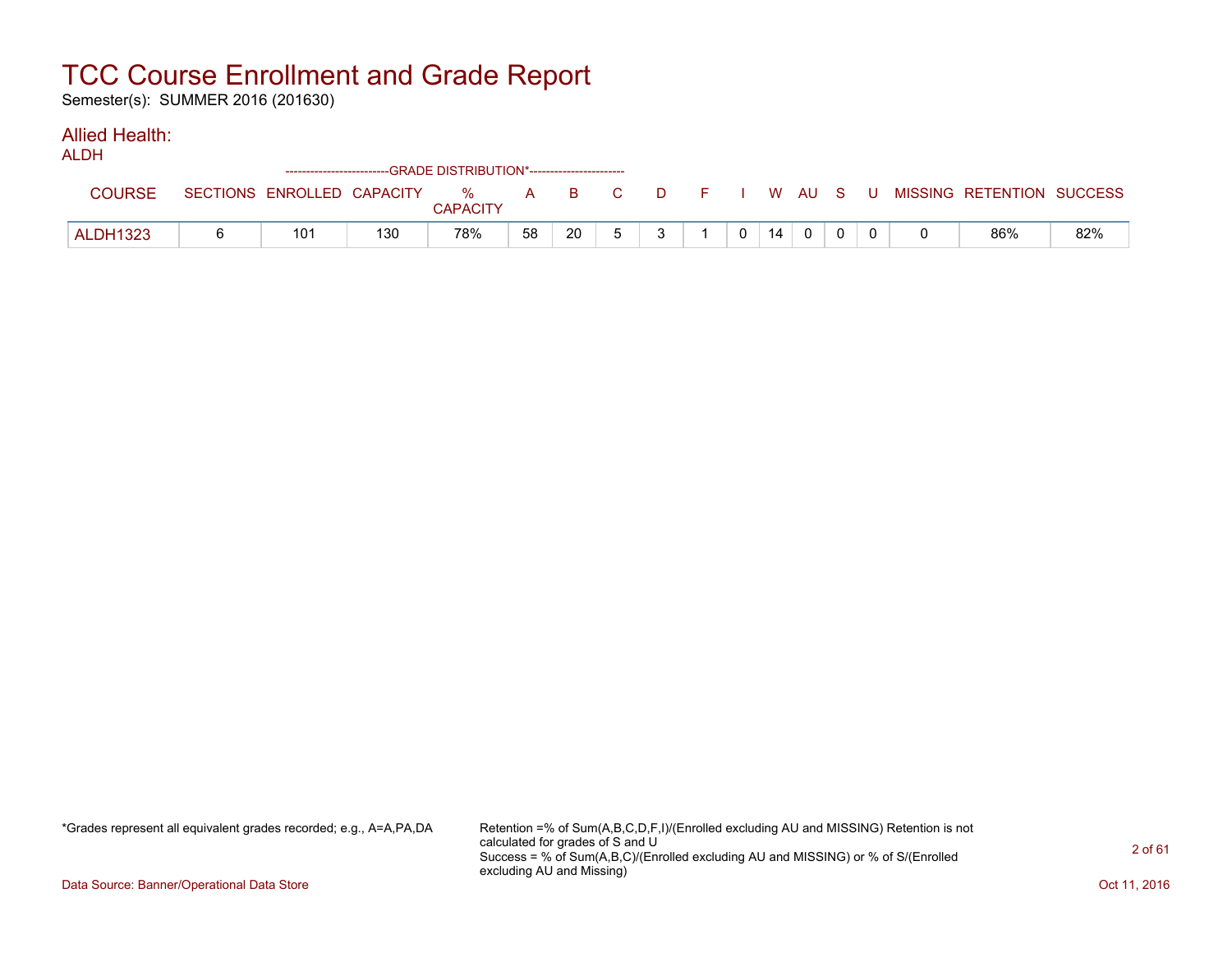Semester(s): SUMMER 2016 (201630)

#### Allied Health:

|                 |                            | ------------------------GRADE DISTRIBUTION*----------------------- |               |    |       |  |              |    |  |  |                                          |     |
|-----------------|----------------------------|--------------------------------------------------------------------|---------------|----|-------|--|--------------|----|--|--|------------------------------------------|-----|
| COLIRSE         | SECTIONS ENROLLED CAPACITY |                                                                    | %<br>CAPACITY |    | A B C |  |              |    |  |  | D F I W AU S U MISSING RETENTION SUCCESS |     |
| <b>ALDH1323</b> | 101                        | 130                                                                | 78%           | 58 | 20    |  | $\mathbf{0}$ | 14 |  |  | 86%                                      | 82% |

\*Grades represent all equivalent grades recorded; e.g., A=A,PA,DA Retention =% of Sum(A,B,C,D,F,I)/(Enrolled excluding AU and MISSING) Retention is not calculated for grades of S and U Success = % of Sum(A,B,C)/(Enrolled excluding AU and MISSING) or % of S/(Enrolled excluding AU and Missing)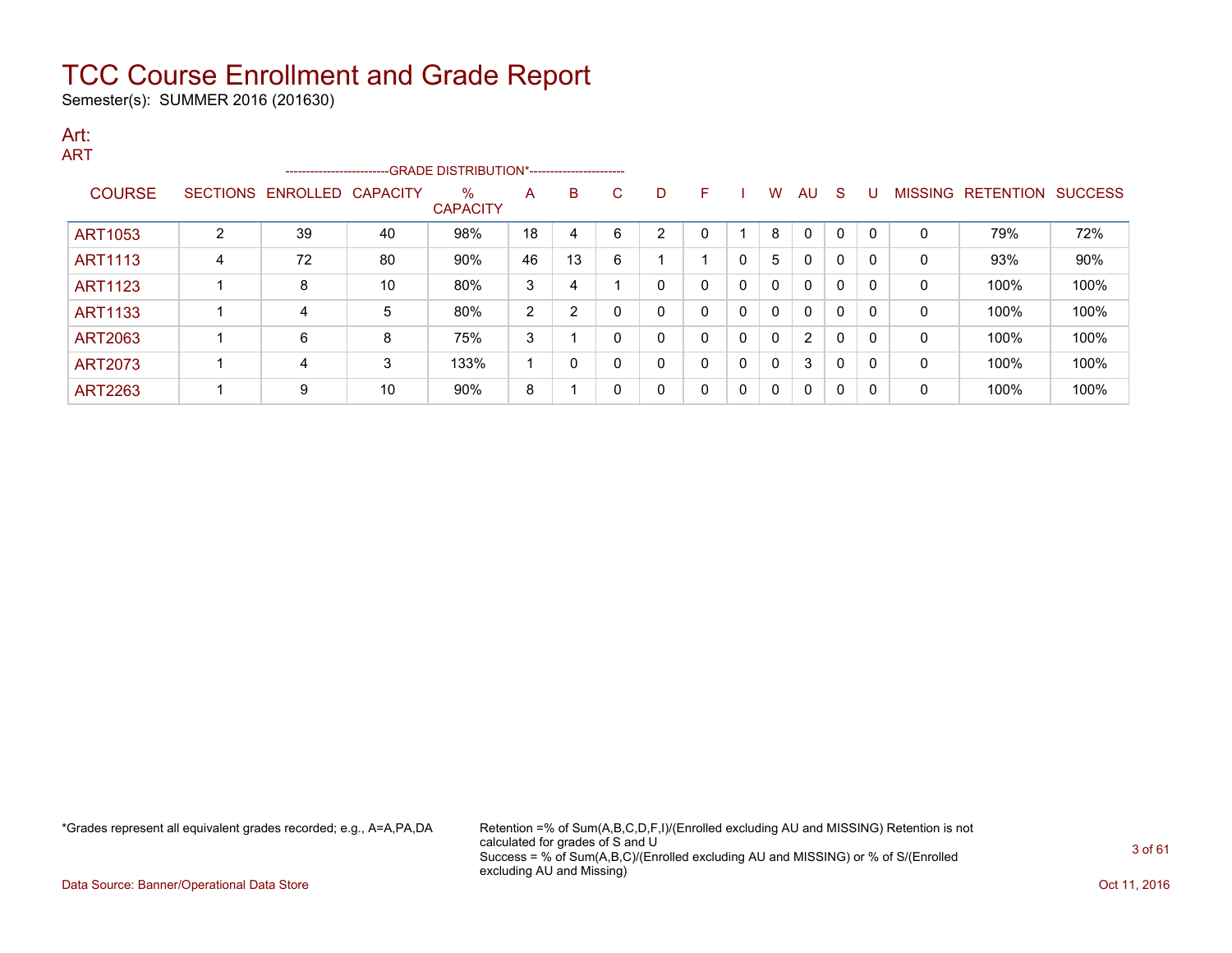Semester(s): SUMMER 2016 (201630)

#### Art: ART

| 71 N L         |                 | ------------------------ |                 | --GRADE DISTRIBUTION*----------------------- |    |                |   |                |   |              |              |              |             |              |                |                  |                |
|----------------|-----------------|--------------------------|-----------------|----------------------------------------------|----|----------------|---|----------------|---|--------------|--------------|--------------|-------------|--------------|----------------|------------------|----------------|
| <b>COURSE</b>  | <b>SECTIONS</b> | ENROLLED                 | <b>CAPACITY</b> | %<br><b>CAPACITY</b>                         | A  | B              | С | D              | F |              | W            | AU           | <b>S</b>    |              | <b>MISSING</b> | <b>RETENTION</b> | <b>SUCCESS</b> |
| <b>ART1053</b> | っ               | 39                       | 40              | 98%                                          | 18 | 4              | 6 | $\overline{2}$ | 0 |              | 8            | $\mathbf 0$  | $\mathbf 0$ | $\mathsf{C}$ | 0              | 79%              | 72%            |
| <b>ART1113</b> | 4               | 72                       | 80              | 90%                                          | 46 | 13             | 6 |                |   | 0            | 5            | $\mathbf{0}$ | $\mathbf 0$ | $\Omega$     | 0              | 93%              | 90%            |
| <b>ART1123</b> |                 | 8                        | 10              | 80%                                          | 3  | 4              |   | 0              | 0 | 0            | $\Omega$     | $\mathbf{0}$ | $\mathbf 0$ | $\Omega$     | 0              | 100%             | 100%           |
| <b>ART1133</b> |                 | 4                        | 5               | 80%                                          | 2  | $\overline{2}$ | ი | $\mathbf 0$    | 0 | $\mathbf{0}$ | $\mathbf{0}$ | $\mathbf{0}$ | $\mathbf 0$ | $\Omega$     | 0              | 100%             | 100%           |
| ART2063        |                 | 6                        | 8               | 75%                                          | 3  |                | 0 | $\Omega$       | 0 | 0            | $\mathbf{0}$ | 2            | 0           | $\Omega$     | 0              | 100%             | 100%           |
| <b>ART2073</b> |                 | 4                        | 3               | 133%                                         |    | $\Omega$       | n | $\Omega$       | 0 | 0            | $\mathbf{0}$ | 3            | 0           | $\Omega$     | 0              | 100%             | 100%           |
| <b>ART2263</b> |                 | 9                        | 10              | 90%                                          | 8  |                |   | 0              | 0 | 0            | $\Omega$     | 0            | 0           | 0            | 0              | 100%             | 100%           |

\*Grades represent all equivalent grades recorded; e.g., A=A,PA,DA Retention =% of Sum(A,B,C,D,F,I)/(Enrolled excluding AU and MISSING) Retention is not calculated for grades of S and U Success = % of Sum(A,B,C)/(Enrolled excluding AU and MISSING) or % of S/(Enrolled excluding AU and Missing)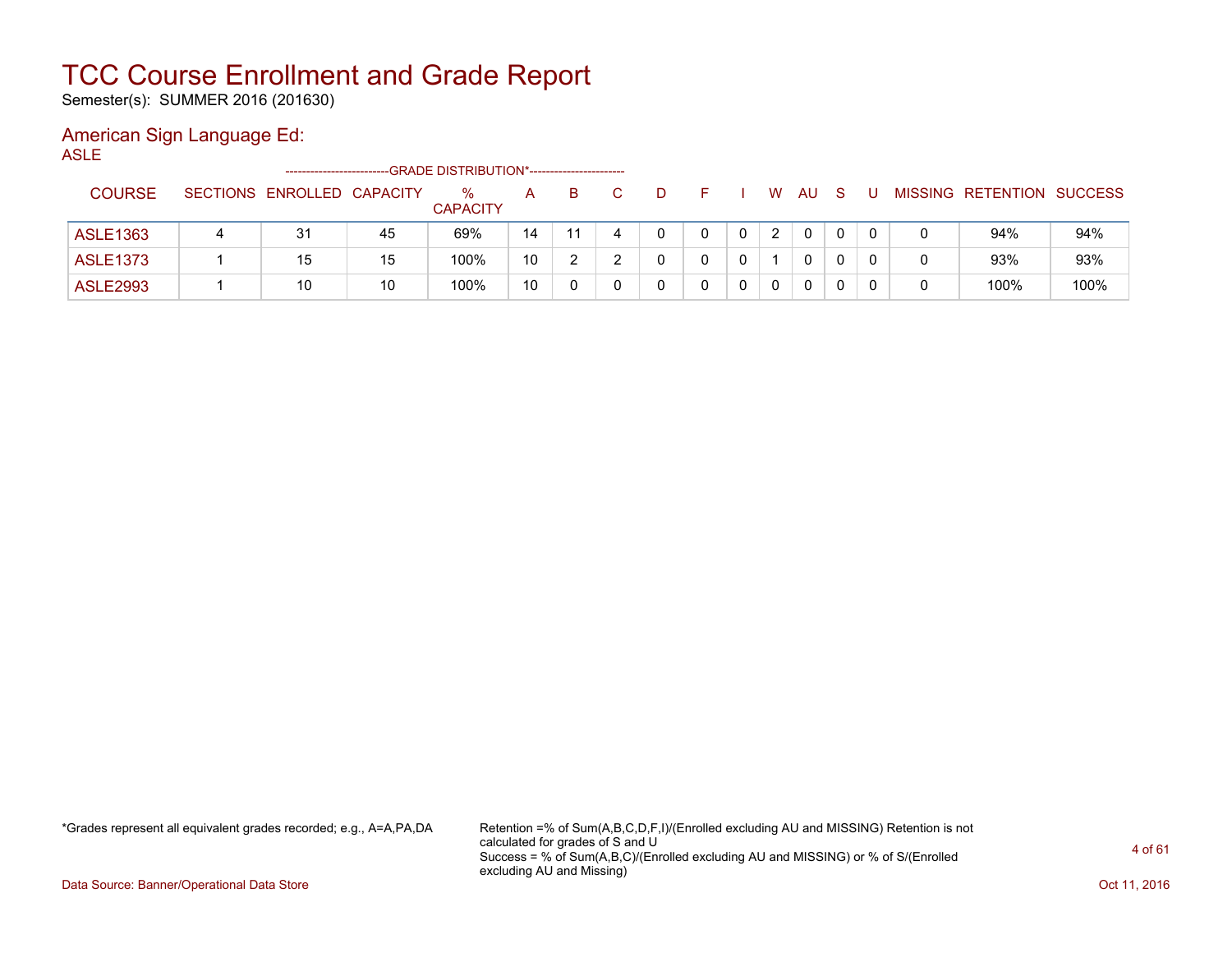Semester(s): SUMMER 2016 (201630)

### American Sign Language Ed:

ASLE

|                 |                            |    | -GRADE DISTRIBUTION*----------------------- |    |    |  |  |               |              |  |                           |      |
|-----------------|----------------------------|----|---------------------------------------------|----|----|--|--|---------------|--------------|--|---------------------------|------|
| <b>COURSE</b>   | SECTIONS ENROLLED CAPACITY |    | $\%$<br><b>CAPACITY</b>                     | А  | B. |  |  | W.            | AU           |  | MISSING RETENTION SUCCESS |      |
| ASLE1363        | 31                         | 45 | 69%                                         | 14 | 11 |  |  | $\mathcal{D}$ | $\mathbf{0}$ |  | 94%                       | 94%  |
| <b>ASLE1373</b> | 15                         | 15 | 100%                                        | 10 |    |  |  |               | $\mathbf{0}$ |  | 93%                       | 93%  |
| <b>ASLE2993</b> | 10                         | 10 | 100%                                        | 10 |    |  |  | 0             | 0            |  | 100%                      | 100% |

\*Grades represent all equivalent grades recorded; e.g., A=A,PA,DA Retention =% of Sum(A,B,C,D,F,I)/(Enrolled excluding AU and MISSING) Retention is not calculated for grades of S and U Success = % of Sum(A,B,C)/(Enrolled excluding AU and MISSING) or % of S/(Enrolled excluding AU and Missing)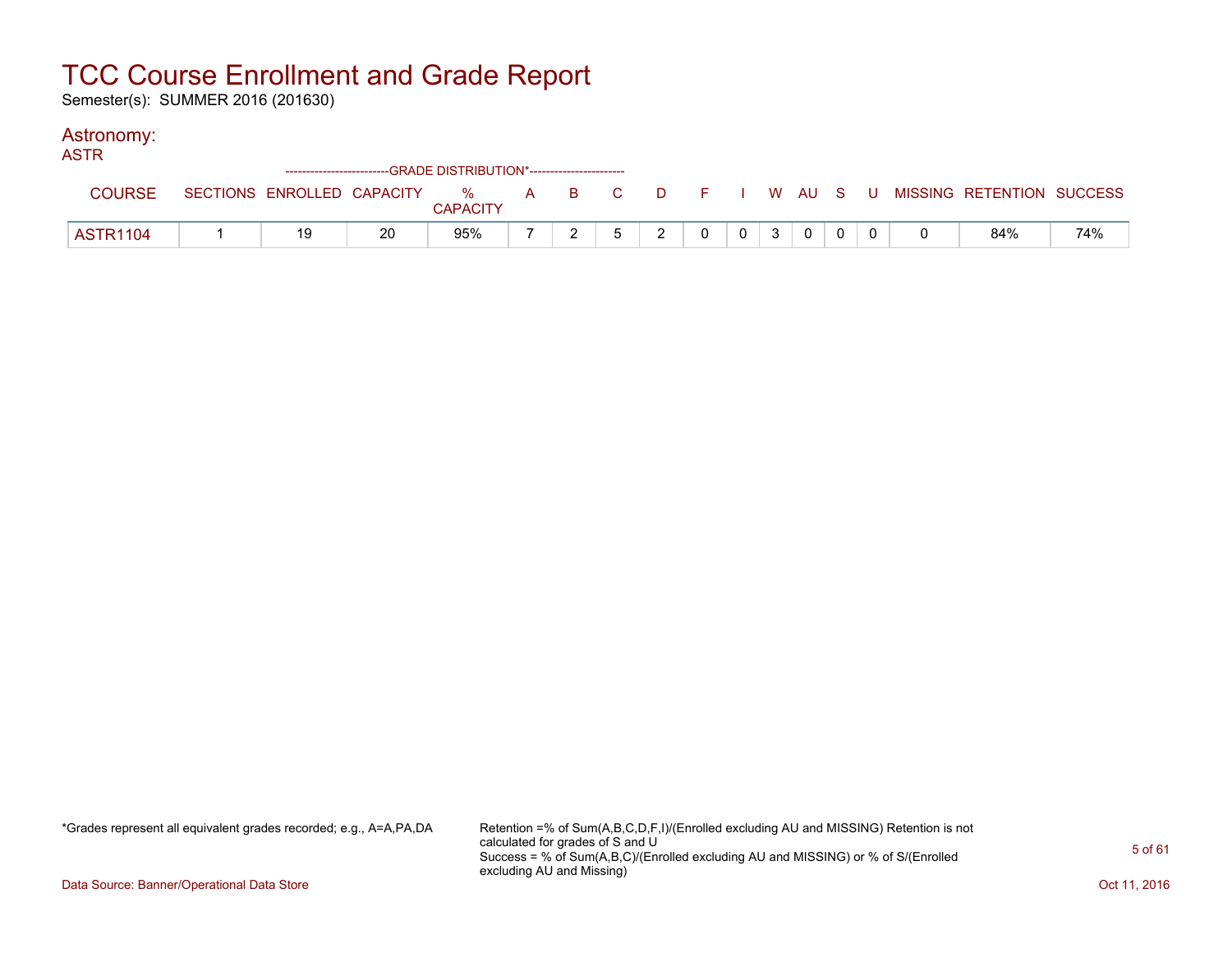Semester(s): SUMMER 2016 (201630)

#### Astronomy:

| ASTR            |    |    | ------------------------GRADE DISTRIBUTION*----------------------- |  |               |          |                |                |              |                |  |                                                                             |     |
|-----------------|----|----|--------------------------------------------------------------------|--|---------------|----------|----------------|----------------|--------------|----------------|--|-----------------------------------------------------------------------------|-----|
| <b>COURSE</b>   |    |    | <b>CAPACITY</b>                                                    |  |               |          |                |                |              |                |  | SECTIONS ENROLLED CAPACITY % A B C D F I W AU S U MISSING RETENTION SUCCESS |     |
| <b>ASTR1104</b> | 19 | 20 | 95%                                                                |  | $\mathcal{P}$ | $\Omega$ | 0 <sup>1</sup> | 3 <sup>1</sup> | $\mathbf{0}$ | $\overline{0}$ |  | 84%                                                                         | 74% |

\*Grades represent all equivalent grades recorded; e.g., A=A,PA,DA Retention =% of Sum(A,B,C,D,F,I)/(Enrolled excluding AU and MISSING) Retention is not calculated for grades of S and U Success = % of Sum(A,B,C)/(Enrolled excluding AU and MISSING) or % of S/(Enrolled excluding AU and Missing)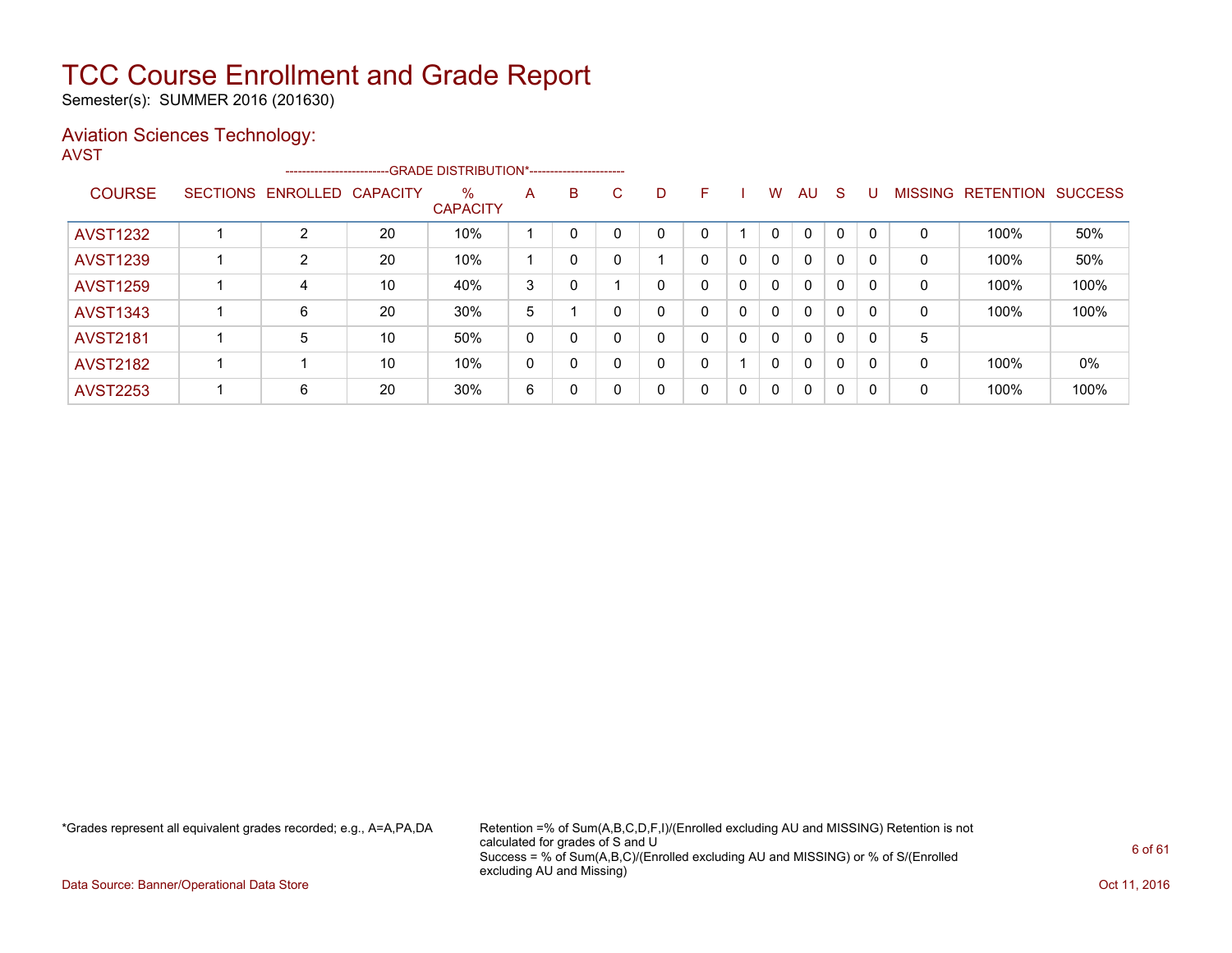Semester(s): SUMMER 2016 (201630)

### Aviation Sciences Technology:

| I |
|---|
|---|

|                 |                            |    | --------------------------GRADE DISTRIBUTION*---------------------- |   |              |   |              |   |              |              |              |              |          |                |                  |                |
|-----------------|----------------------------|----|---------------------------------------------------------------------|---|--------------|---|--------------|---|--------------|--------------|--------------|--------------|----------|----------------|------------------|----------------|
| <b>COURSE</b>   | SECTIONS ENROLLED CAPACITY |    | $\%$<br><b>CAPACITY</b>                                             | A | B            | C | D            | F |              | W            | AU           | <sub>S</sub> | U        | <b>MISSING</b> | <b>RETENTION</b> | <b>SUCCESS</b> |
| <b>AVST1232</b> | C.                         | 20 | 10%                                                                 |   | $\Omega$     |   | $\Omega$     | 0 |              | $\Omega$     | $\mathbf{0}$ | $\mathbf 0$  |          | $\Omega$       | 100%             | 50%            |
| <b>AVST1239</b> | $\overline{2}$             | 20 | 10%                                                                 |   | $\Omega$     |   |              | 0 | 0            | $\mathbf{0}$ | 0            | $\mathbf 0$  | - 0      | 0              | 100%             | 50%            |
| <b>AVST1259</b> | 4                          | 10 | 40%                                                                 | 3 | $\mathbf{0}$ |   | $\mathbf{0}$ | 0 | $\mathbf{0}$ | $\Omega$     | $\mathbf{0}$ | 0            | $\Omega$ | 0              | 100%             | 100%           |
| <b>AVST1343</b> | 6                          | 20 | 30%                                                                 | 5 |              |   | $\Omega$     | 0 | 0            | $\Omega$     | $\mathbf{0}$ | 0            | 0        | 0              | 100%             | 100%           |
| <b>AVST2181</b> | 5                          | 10 | 50%                                                                 | 0 | $\mathbf{0}$ |   | 0            | 0 | $\Omega$     | $\Omega$     | $\mathbf{0}$ | 0            | $\Omega$ | 5              |                  |                |
| <b>AVST2182</b> |                            | 10 | 10%                                                                 | 0 | $\mathbf{0}$ |   | 0            | 0 |              | $\Omega$     | $\mathbf{0}$ | 0            | 0        | 0              | 100%             | 0%             |
| <b>AVST2253</b> | 6                          | 20 | 30%                                                                 | 6 | $\mathbf{0}$ |   | 0            | 0 | 0            | $\mathbf{0}$ | 0            | $\mathbf{0}$ | 0        | 0              | 100%             | 100%           |

\*Grades represent all equivalent grades recorded; e.g., A=A,PA,DA Retention =% of Sum(A,B,C,D,F,I)/(Enrolled excluding AU and MISSING) Retention is not calculated for grades of S and U Success = % of Sum(A,B,C)/(Enrolled excluding AU and MISSING) or % of S/(Enrolled excluding AU and Missing)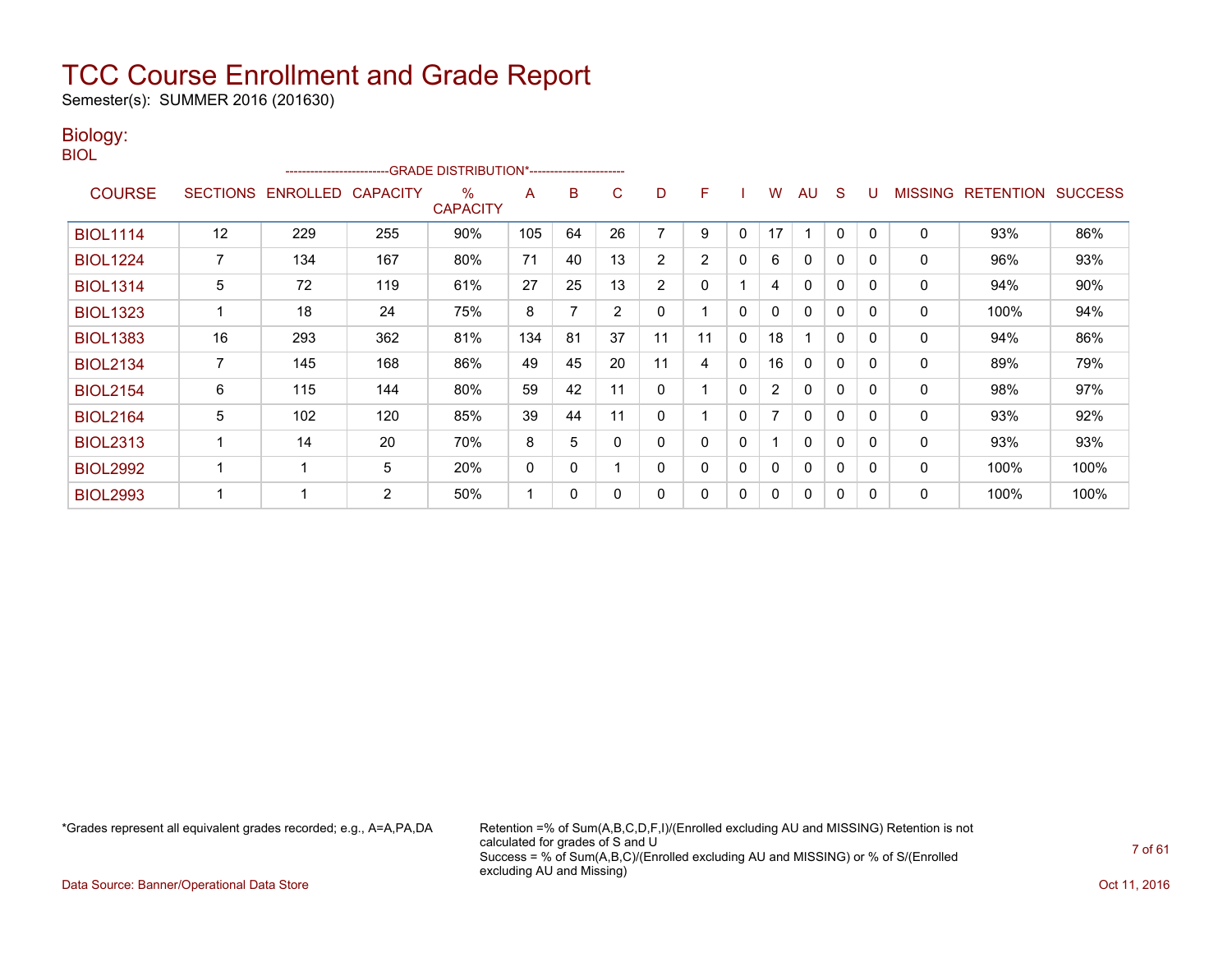Semester(s): SUMMER 2016 (201630)

#### Biology: BIOL

|                 |                 | ------------------------ |     | <b>GRADE DISTRIBUTION*-----------------------</b> |     |    |              |                |                |              |                |              |              |          |              |                  |                |
|-----------------|-----------------|--------------------------|-----|---------------------------------------------------|-----|----|--------------|----------------|----------------|--------------|----------------|--------------|--------------|----------|--------------|------------------|----------------|
| <b>COURSE</b>   | <b>SECTIONS</b> | ENROLLED CAPACITY        |     | ℅<br><b>CAPACITY</b>                              | A   | B  | C            | D              | F              |              | W              | AU           | S            | U        | MISSING      | <b>RETENTION</b> | <b>SUCCESS</b> |
| <b>BIOL1114</b> | 12              | 229                      | 255 | 90%                                               | 105 | 64 | 26           |                | 9              | 0            | 17             |              | 0            | 0        | $\mathbf{0}$ | 93%              | 86%            |
| <b>BIOL1224</b> |                 | 134                      | 167 | 80%                                               | 71  | 40 | 13           | $\overline{2}$ | $\overline{2}$ | $\mathbf{0}$ | 6              | 0            | 0            | 0        | 0            | 96%              | 93%            |
| <b>BIOL1314</b> | 5               | 72                       | 119 | 61%                                               | 27  | 25 | 13           | $\overline{2}$ | 0              |              | 4              | $\Omega$     | $\mathbf{0}$ | $\Omega$ | $\mathbf{0}$ | 94%              | 90%            |
| <b>BIOL1323</b> |                 | 18                       | 24  | 75%                                               | 8   |    | 2            | 0              |                | $\mathbf{0}$ | <sup>0</sup>   | $\mathbf{0}$ | $\mathbf{0}$ | 0        | 0            | 100%             | 94%            |
| <b>BIOL1383</b> | 16              | 293                      | 362 | 81%                                               | 134 | 81 | 37           | 11             | 11             | $\mathbf{0}$ | 18             |              | 0            | 0        | 0            | 94%              | 86%            |
| <b>BIOL2134</b> | 7               | 145                      | 168 | 86%                                               | 49  | 45 | 20           | 11             | 4              | $\mathbf{0}$ | 16             | 0            | 0            | 0        | 0            | 89%              | 79%            |
| <b>BIOL2154</b> | 6               | 115                      | 144 | 80%                                               | 59  | 42 | 11           | 0              |                | $\mathbf{0}$ | $\overline{2}$ | 0            | 0            | $\Omega$ | $\mathbf{0}$ | 98%              | 97%            |
| <b>BIOL2164</b> | 5               | 102                      | 120 | 85%                                               | 39  | 44 | 11           | 0              |                | 0            |                | $\mathbf{0}$ | $\mathbf{0}$ | 0        | 0            | 93%              | 92%            |
| <b>BIOL2313</b> |                 | 14                       | 20  | 70%                                               | 8   | 5  | $\mathbf{0}$ | 0              | 0              | $\mathbf{0}$ |                | $\Omega$     | $\mathbf{0}$ | 0        | $\mathbf{0}$ | 93%              | 93%            |
| <b>BIOL2992</b> |                 | -1                       | 5   | 20%                                               | 0   | 0  |              | $\Omega$       | 0              | $\mathbf{0}$ | $\Omega$       | $\mathbf{0}$ | $\mathbf{0}$ | $\Omega$ | $\mathbf{0}$ | 100%             | 100%           |
| <b>BIOL2993</b> |                 | 1                        | 2   | 50%                                               | 1   | 0  | 0            | 0              | 0              | 0            | 0              | 0            | 0            | 0        | 0            | 100%             | 100%           |

\*Grades represent all equivalent grades recorded; e.g., A=A,PA,DA Retention =% of Sum(A,B,C,D,F,I)/(Enrolled excluding AU and MISSING) Retention is not calculated for grades of S and U Success = % of Sum(A,B,C)/(Enrolled excluding AU and MISSING) or % of S/(Enrolled excluding AU and Missing)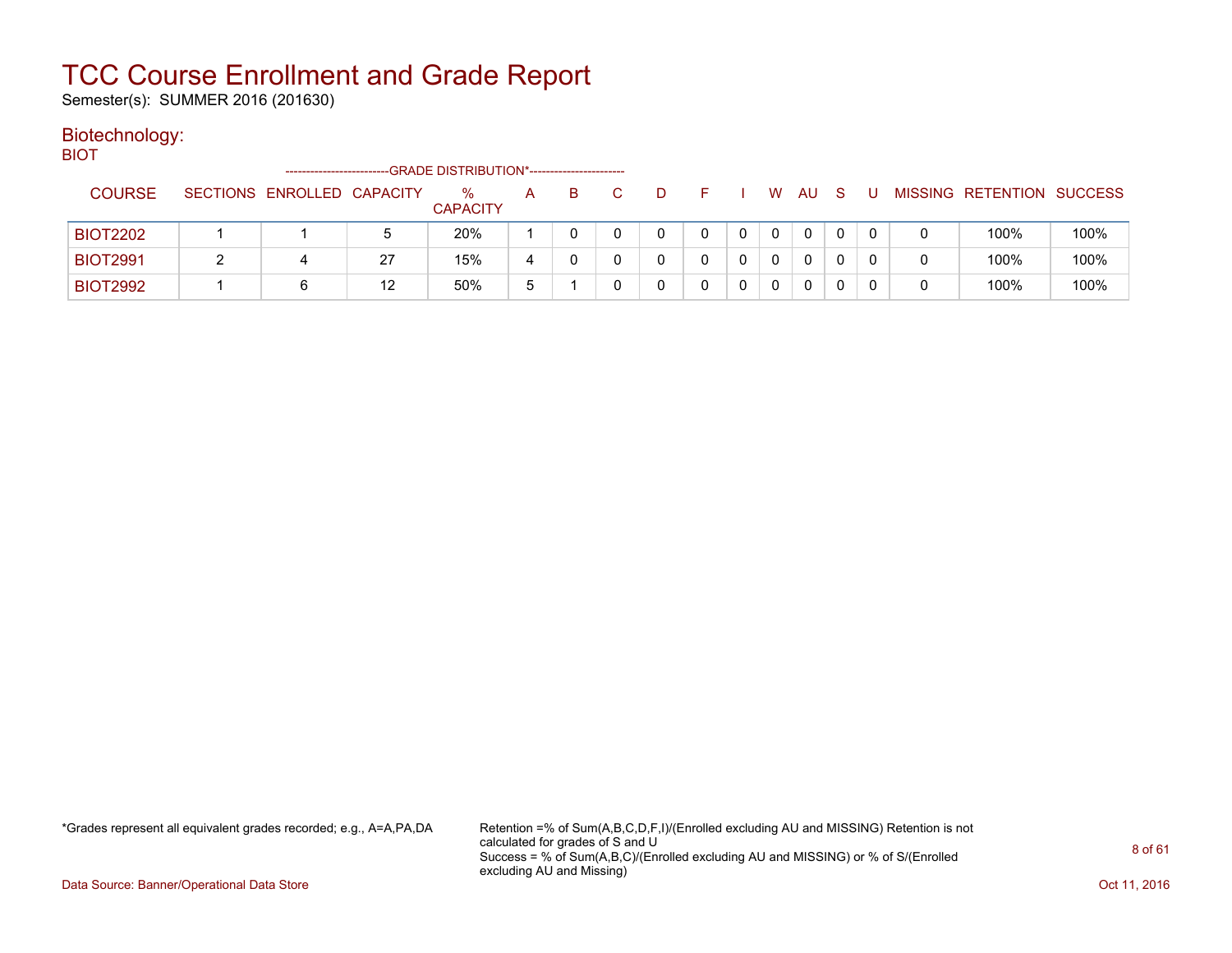Semester(s): SUMMER 2016 (201630)

### Biotechnology:

BIOT

|                 | ------------------------   |    | -GRADE DISTRIBUTION*----------------------- |   |    |   |  |   |    |  |                           |      |
|-----------------|----------------------------|----|---------------------------------------------|---|----|---|--|---|----|--|---------------------------|------|
| <b>COURSE</b>   | SECTIONS ENROLLED CAPACITY |    | $\%$<br><b>CAPACITY</b>                     | А | B. | D |  | W | AU |  | MISSING RETENTION SUCCESS |      |
| <b>BIOT2202</b> |                            | 5  | 20%                                         |   |    |   |  |   | 0  |  | 100%                      | 100% |
| <b>BIOT2991</b> |                            | 27 | 15%                                         | 4 |    |   |  |   | 0  |  | 100%                      | 100% |
| <b>BIOT2992</b> |                            | 12 | 50%                                         | b |    |   |  | 0 |    |  | 100%                      | 100% |

\*Grades represent all equivalent grades recorded; e.g., A=A,PA,DA Retention =% of Sum(A,B,C,D,F,I)/(Enrolled excluding AU and MISSING) Retention is not calculated for grades of S and U Success = % of Sum(A,B,C)/(Enrolled excluding AU and MISSING) or % of S/(Enrolled excluding AU and Missing)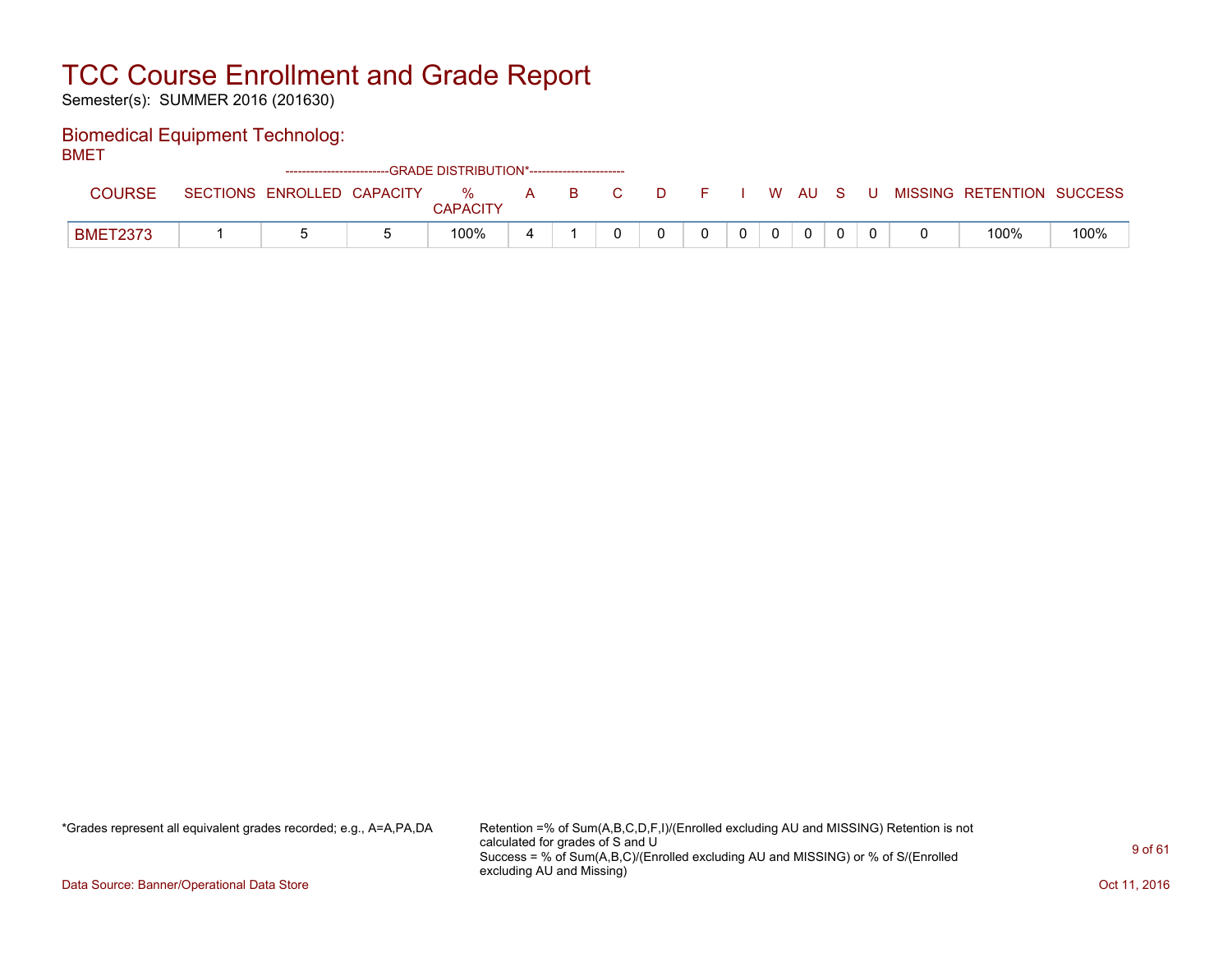Semester(s): SUMMER 2016 (201630)

### Biomedical Equipment Technolog:

BMET

|                 |                            | ------------------------GRADE            DISTRIBUTION*------------------------- |               |   |     |                                                                                                               |       |  |              |    |   |                           |      |
|-----------------|----------------------------|---------------------------------------------------------------------------------|---------------|---|-----|---------------------------------------------------------------------------------------------------------------|-------|--|--------------|----|---|---------------------------|------|
| <b>COURSE</b>   | SECTIONS ENROLLED CAPACITY |                                                                                 | %<br>CAPACITY | A | B C | a na mata a ta 1970 a tsa a tsa a tsa a tsa a tsa a tsa a tsa a tsa a tsa a tsa a tsa a tsa a tsa a tsa a tsa | - F - |  | , WAU        | S. | U | MISSING RETENTION SUCCESS |      |
| <b>BMET2373</b> |                            |                                                                                 | 100%          |   |     |                                                                                                               |       |  | $\mathbf{0}$ |    |   | 100%                      | 100% |

\*Grades represent all equivalent grades recorded; e.g., A=A,PA,DA Retention =% of Sum(A,B,C,D,F,I)/(Enrolled excluding AU and MISSING) Retention is not calculated for grades of S and U Success = % of Sum(A,B,C)/(Enrolled excluding AU and MISSING) or % of S/(Enrolled excluding AU and Missing)

Data Source: Banner/Operational Data Store **Contract of the Contract of Contract Contract of the Contract Oct 11, 2016**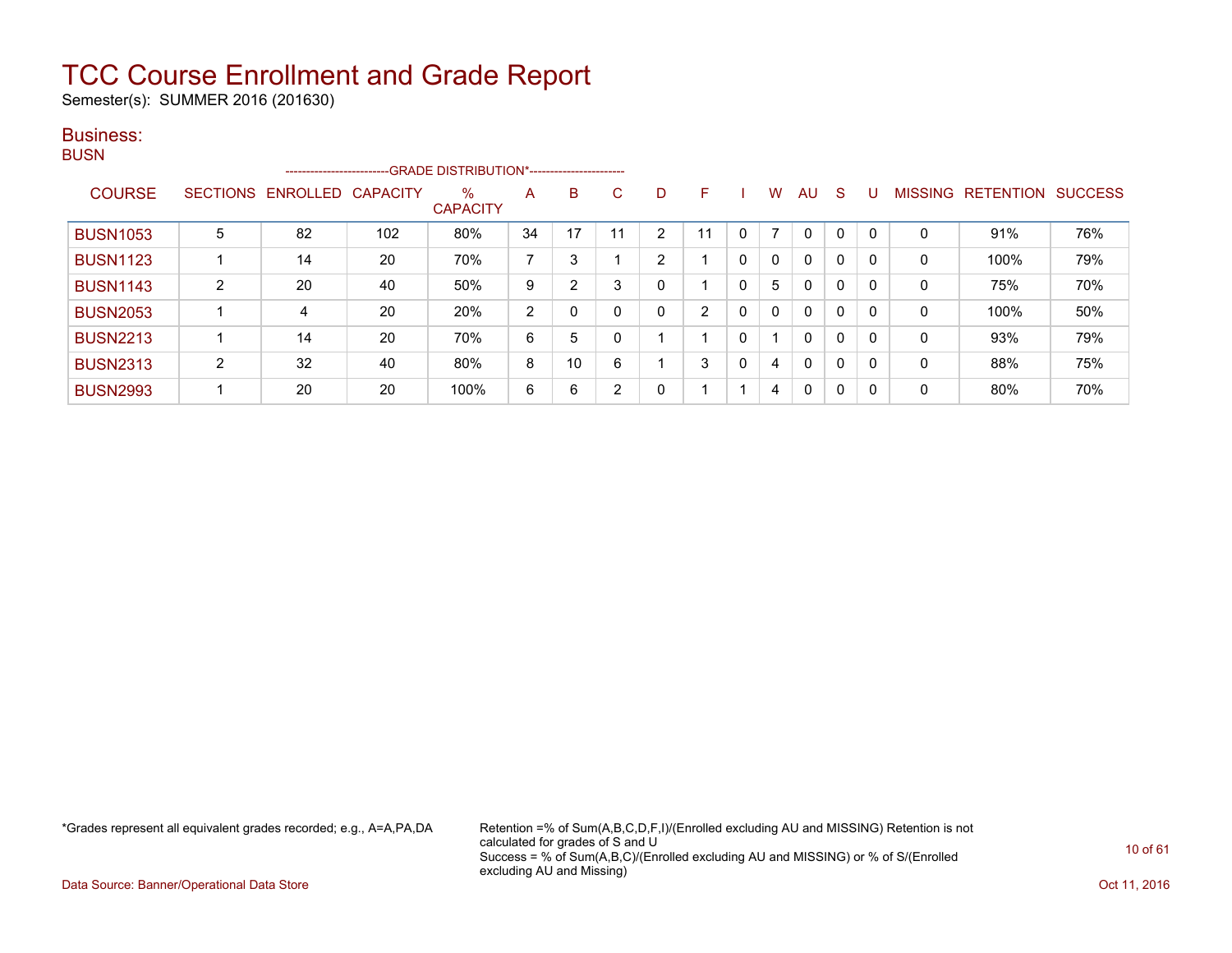Semester(s): SUMMER 2016 (201630)

#### Business: **BUSN**

| ----            |                |                   |                 | --------------------------GRADE DISTRIBUTION*----------------------- |                |    |    |   |    |          |   |          |              |          |                |                  |                |
|-----------------|----------------|-------------------|-----------------|----------------------------------------------------------------------|----------------|----|----|---|----|----------|---|----------|--------------|----------|----------------|------------------|----------------|
| <b>COURSE</b>   |                | SECTIONS ENROLLED | <b>CAPACITY</b> | $\%$<br><b>CAPACITY</b>                                              | Α              | B  | C  | D | F. |          | w | AU       | S            |          | <b>MISSING</b> | <b>RETENTION</b> | <b>SUCCESS</b> |
| <b>BUSN1053</b> | 5              | 82                | 102             | 80%                                                                  | 34             | 17 | 11 | ົ |    | 0        |   | $\Omega$ | $\mathbf{0}$ | $\Omega$ | 0              | 91%              | 76%            |
| <b>BUSN1123</b> |                | 14                | 20              | 70%                                                                  | ⇁              | 3  |    | っ |    | 0        | 0 | 0        | 0            | 0        | $\Omega$       | 100%             | 79%            |
| <b>BUSN1143</b> | $\overline{2}$ | 20                | 40              | 50%                                                                  | 9              | 2  | 3  |   |    | $\Omega$ | 5 | 0        | 0            | 0        | 0              | 75%              | 70%            |
| <b>BUSN2053</b> |                | 4                 | 20              | 20%                                                                  | $\overline{2}$ | 0  | 0  |   | າ  | $\Omega$ | 0 | 0        | 0            | 0        | $\Omega$       | 100%             | 50%            |
| <b>BUSN2213</b> |                | 14                | 20              | 70%                                                                  | 6              | 5  | 0  |   |    | 0        |   | 0        | 0            | 0        | $\Omega$       | 93%              | 79%            |
| <b>BUSN2313</b> | 2              | 32                | 40              | 80%                                                                  | 8              | 10 | 6  |   | 3  | $\Omega$ | 4 | 0        | $\mathbf{0}$ | 0        | 0              | 88%              | 75%            |
| <b>BUSN2993</b> |                | 20                | 20              | 100%                                                                 | 6              | 6  | າ  |   |    |          | 4 | 0        | 0            | 0        | 0              | 80%              | 70%            |

\*Grades represent all equivalent grades recorded; e.g., A=A,PA,DA Retention =% of Sum(A,B,C,D,F,I)/(Enrolled excluding AU and MISSING) Retention is not calculated for grades of S and U Success = % of Sum(A,B,C)/(Enrolled excluding AU and MISSING) or % of S/(Enrolled excluding AU and Missing)

Data Source: Banner/Operational Data Store **Contract of the Contract of Contract Contract of the Contract Oct 11, 2016**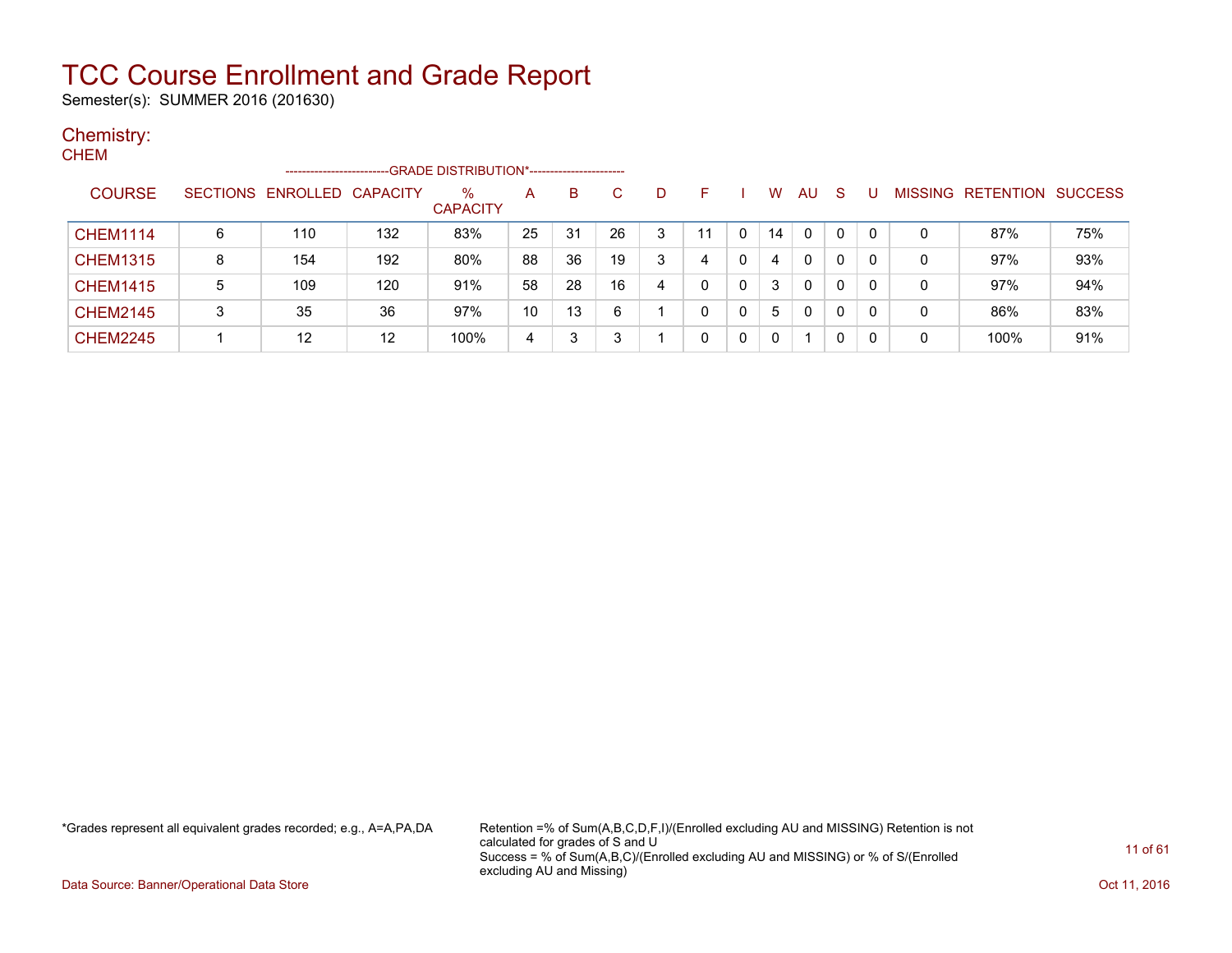Semester(s): SUMMER 2016 (201630)

#### Chemistry:

| <b>CHEM</b>     |   |                            |     |                                             |    |    |    |   |    |   |          |              |              |          |   |                                  |     |
|-----------------|---|----------------------------|-----|---------------------------------------------|----|----|----|---|----|---|----------|--------------|--------------|----------|---|----------------------------------|-----|
|                 |   | -----------------          |     | -GRADE DISTRIBUTION*----------------------- |    |    |    |   |    |   |          |              |              |          |   |                                  |     |
| <b>COURSE</b>   |   | SECTIONS ENROLLED CAPACITY |     | $\%$<br><b>CAPACITY</b>                     | A  | B  | C. | D | F  |   | W        | <b>AU</b>    | <sub>S</sub> |          |   | <b>MISSING RETENTION SUCCESS</b> |     |
| <b>CHEM1114</b> | 6 | 110                        | 132 | 83%                                         | 25 | 31 | 26 | 3 | 11 | 0 | 14       | 0            | 0            | $\Omega$ | 0 | 87%                              | 75% |
| <b>CHEM1315</b> | 8 | 154                        | 192 | 80%                                         | 88 | 36 | 19 | 3 | 4  | 0 | 4        | $\mathbf{0}$ | 0            | 0        | 0 | 97%                              | 93% |
| <b>CHEM1415</b> | 5 | 109                        | 120 | 91%                                         | 58 | 28 | 16 | 4 | 0  | 0 | 3        | $\mathbf{0}$ | 0            | 0        | 0 | 97%                              | 94% |
| <b>CHEM2145</b> | 3 | 35                         | 36  | 97%                                         | 10 | 13 | 6  |   | 0  | 0 | 5        | $\mathbf{0}$ | 0            | $\Omega$ | 0 | 86%                              | 83% |
| <b>CHEM2245</b> |   | 12                         | 12  | 100%                                        | 4  | 3  | 3  |   | 0  | 0 | $\Omega$ |              | 0            | -0       | 0 | 100%                             | 91% |

\*Grades represent all equivalent grades recorded; e.g., A=A,PA,DA Retention =% of Sum(A,B,C,D,F,I)/(Enrolled excluding AU and MISSING) Retention is not calculated for grades of S and U Success = % of Sum(A,B,C)/(Enrolled excluding AU and MISSING) or % of S/(Enrolled excluding AU and Missing)

Data Source: Banner/Operational Data Store **Contract of the Contract of Contract Contract of the Contract Oct 11, 2016**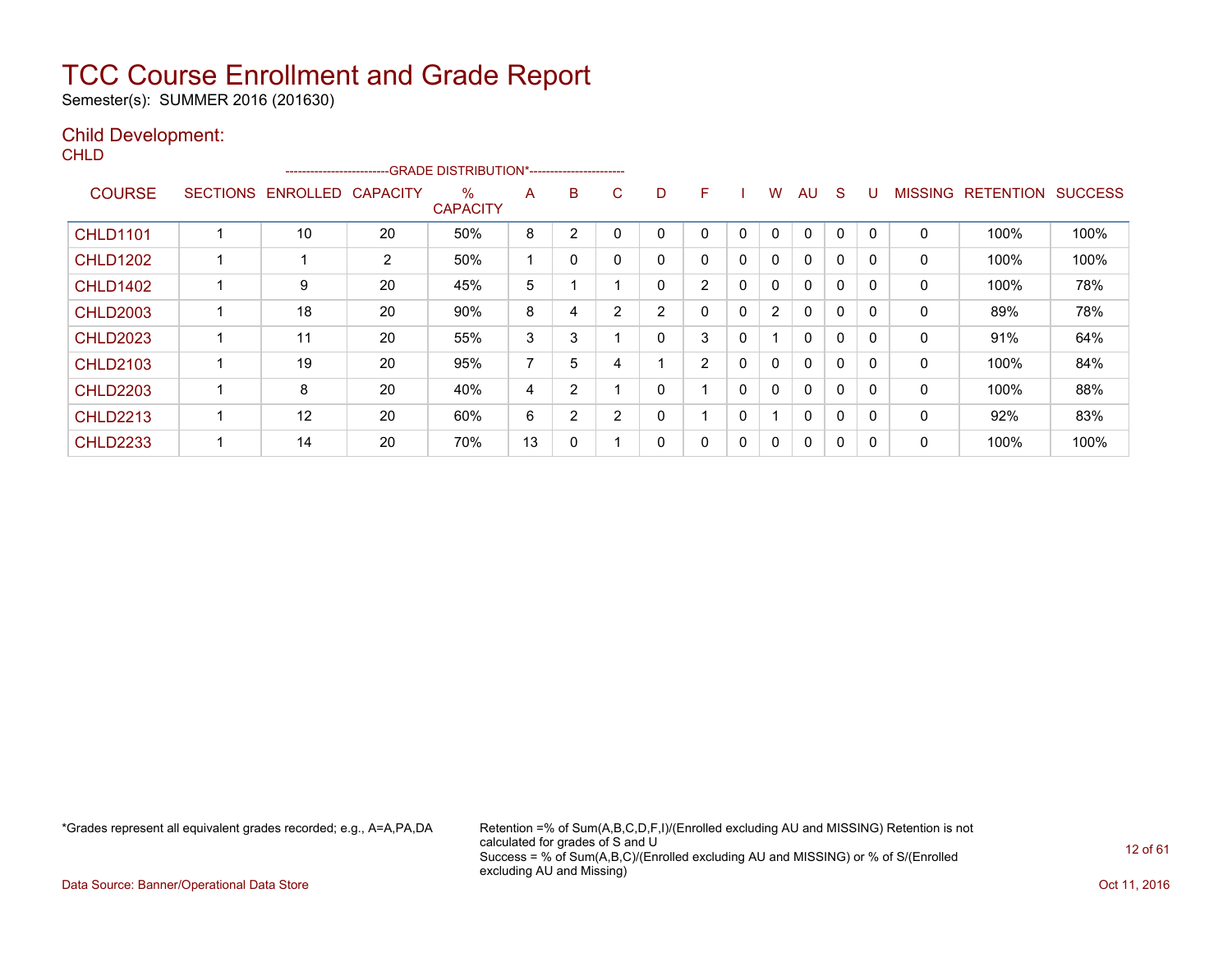Semester(s): SUMMER 2016 (201630)

#### Child Development:

**CHLD** 

|                 |                 | ------------------------- |                 | --GRADE DISTRIBUTION*---------------------- |    |                |   |                |   |              |                |              |              |          |                |                  |                |
|-----------------|-----------------|---------------------------|-----------------|---------------------------------------------|----|----------------|---|----------------|---|--------------|----------------|--------------|--------------|----------|----------------|------------------|----------------|
| <b>COURSE</b>   | <b>SECTIONS</b> | ENROLLED                  | <b>CAPACITY</b> | $\%$<br><b>CAPACITY</b>                     | A  | B              | C | D              | F |              | W              | AU           | S            | U        | <b>MISSING</b> | <b>RETENTION</b> | <b>SUCCESS</b> |
| <b>CHLD1101</b> |                 | 10                        | 20              | 50%                                         | 8  | 2              |   | 0              | 0 | $\mathbf{0}$ | 0              | $\mathbf 0$  | 0            | $\Omega$ | 0              | 100%             | 100%           |
| <b>CHLD1202</b> |                 |                           | 2               | 50%                                         |    | 0              |   | 0              | 0 | 0            | 0              | 0            | 0            |          | 0              | 100%             | 100%           |
| <b>CHLD1402</b> |                 | 9                         | 20              | 45%                                         | 5  |                |   | 0              | 2 | $\Omega$     | 0              | $\Omega$     | 0            | $\Omega$ | 0              | 100%             | 78%            |
| <b>CHLD2003</b> |                 | 18                        | 20              | 90%                                         | 8  | 4              | 2 | $\overline{2}$ | 0 | 0            | $\overline{2}$ | 0            | $\mathbf 0$  | $\Omega$ | 0              | 89%              | 78%            |
| <b>CHLD2023</b> |                 | 11                        | 20              | 55%                                         | 3  | 3              |   | 0              | 3 | 0            |                | 0            | $\mathbf 0$  | $\Omega$ | 0              | 91%              | 64%            |
| <b>CHLD2103</b> |                 | 19                        | 20              | 95%                                         | 7  | 5              | 4 |                | 2 | 0            | 0              | 0            | 0            | 0        | 0              | 100%             | 84%            |
| <b>CHLD2203</b> |                 | 8                         | 20              | 40%                                         | 4  | $\overline{2}$ |   | 0              |   | $\Omega$     | $\mathbf{0}$   | 0            | $\mathbf{0}$ | $\Omega$ | 0              | 100%             | 88%            |
| <b>CHLD2213</b> |                 | 12                        | 20              | 60%                                         | 6  | $\overline{2}$ | 2 | 0              |   | 0            | -1             | $\mathbf{0}$ | $\Omega$     | $\Omega$ | 0              | 92%              | 83%            |
| <b>CHLD2233</b> |                 | 14                        | 20              | 70%                                         | 13 | 0              |   | 0              | 0 | 0            | 0              | 0            | 0            | ſ        | 0              | 100%             | 100%           |

\*Grades represent all equivalent grades recorded; e.g., A=A,PA,DA Retention =% of Sum(A,B,C,D,F,I)/(Enrolled excluding AU and MISSING) Retention is not calculated for grades of S and U Success = % of Sum(A,B,C)/(Enrolled excluding AU and MISSING) or % of S/(Enrolled excluding AU and Missing)

Data Source: Banner/Operational Data Store **Contract of the Contract of Contract of Contract of the Contract of the Contract of the Contract of the Contract of the Contract of the Contract of the Contract of the Contract o**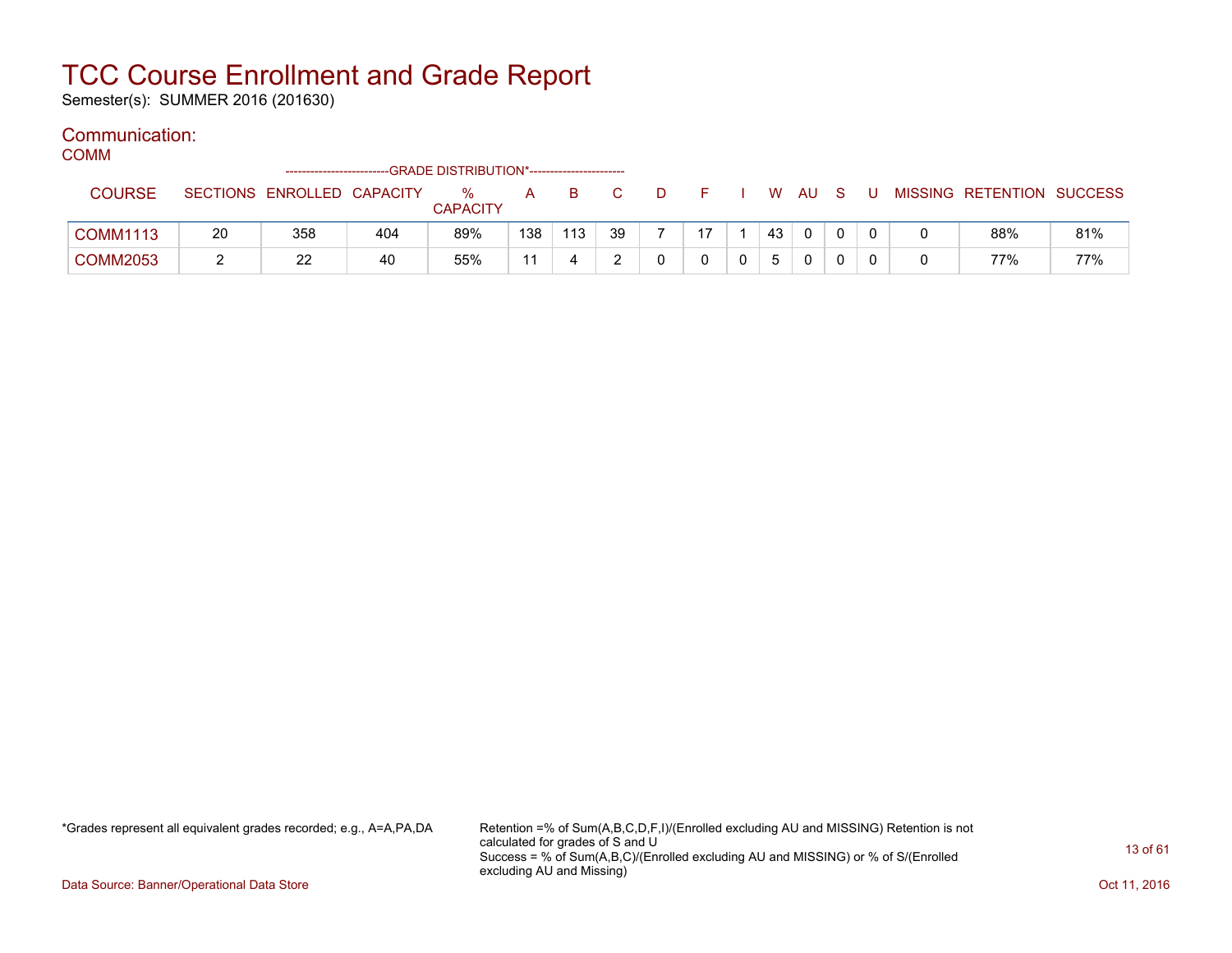Semester(s): SUMMER 2016 (201630)

#### Communication:

COMM

|                 |    |                            |     | -GRADE DISTRIBUTION*---------------------- |     |     |    |    |    |     |   |  |                           |     |
|-----------------|----|----------------------------|-----|--------------------------------------------|-----|-----|----|----|----|-----|---|--|---------------------------|-----|
| <b>COURSE</b>   |    | SECTIONS ENROLLED CAPACITY |     | $\%$                                       | A   | B.  |    |    | W  | AU. |   |  | MISSING RETENTION SUCCESS |     |
|                 |    |                            |     | <b>CAPACITY</b>                            |     |     |    |    |    |     |   |  |                           |     |
| <b>COMM1113</b> | 20 | 358                        | 404 | 89%                                        | 138 | 113 | 39 | 17 | 43 |     | 0 |  | 88%                       | 81% |
| <b>COMM2053</b> |    | ററ<br>22                   | 40  | 55%                                        |     |     |    |    |    |     |   |  | 77%                       | 77% |

\*Grades represent all equivalent grades recorded; e.g., A=A,PA,DA Retention =% of Sum(A,B,C,D,F,I)/(Enrolled excluding AU and MISSING) Retention is not calculated for grades of S and U Success = % of Sum(A,B,C)/(Enrolled excluding AU and MISSING) or % of S/(Enrolled excluding AU and Missing)

Data Source: Banner/Operational Data Store **Contract of the Contract of Contract Contract of the Contract Oct 11, 2016**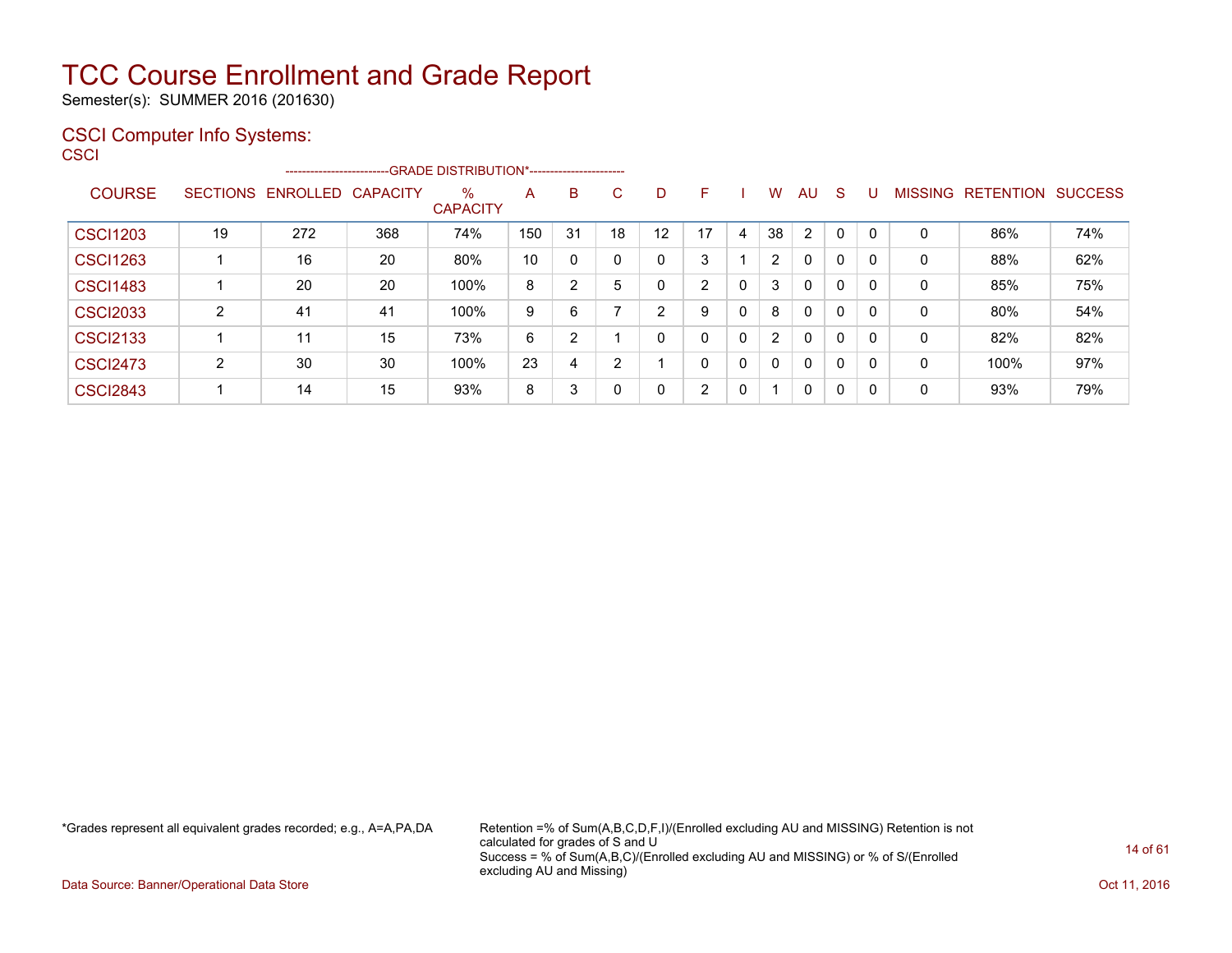Semester(s): SUMMER 2016 (201630)

#### CSCI Computer Info Systems:

**CSCI** 

|                 |                 |          |          | --------------------------GRADE DISTRIBUTION*----------------------- |     |    |    |    |                |   |                |                |              |             |                |                  |                |
|-----------------|-----------------|----------|----------|----------------------------------------------------------------------|-----|----|----|----|----------------|---|----------------|----------------|--------------|-------------|----------------|------------------|----------------|
| <b>COURSE</b>   | <b>SECTIONS</b> | ENROLLED | CAPACITY | $\%$<br><b>CAPACITY</b>                                              | A   | B  | С  | D  | F              |   | W              | AU.            | S.           | U           | <b>MISSING</b> | <b>RETENTION</b> | <b>SUCCESS</b> |
| <b>CSCI1203</b> | 19              | 272      | 368      | 74%                                                                  | 150 | 31 | 18 | 12 | 17             | 4 | 38             | $\overline{2}$ | $\mathbf{0}$ | $\mathbf 0$ | 0              | 86%              | 74%            |
| <b>CSCI1263</b> |                 | 16       | 20       | 80%                                                                  | 10  |    |    | 0  | 3              |   | $\overline{2}$ | $\Omega$       | 0            |             | 0              | 88%              | 62%            |
| <b>CSCI1483</b> |                 | 20       | 20       | 100%                                                                 | 8   | 2  | 5  | 0  | $\overline{2}$ | 0 | 3              | $\Omega$       | 0            |             | 0              | 85%              | 75%            |
| <b>CSCI2033</b> | ົ               | 41       | 41       | 100%                                                                 | 9   | 6  |    | 2  | 9              | 0 | 8              | $\Omega$       | 0            |             | 0              | 80%              | 54%            |
| <b>CSCI2133</b> |                 | 11       | 15       | 73%                                                                  | 6   | 2  |    | 0  | $\mathbf{0}$   | 0 | $\overline{2}$ | $\mathbf{0}$   | 0            |             | 0              | 82%              | 82%            |
| <b>CSCI2473</b> | ົ               | 30       | 30       | 100%                                                                 | 23  | 4  | C. |    | $\Omega$       | 0 | $\mathbf{0}$   | $\mathbf{0}$   | 0            | 0           | 0              | 100%             | 97%            |
| <b>CSCI2843</b> |                 | 14       | 15       | 93%                                                                  | 8   | 3  |    | 0  | C.             | 0 | -1             | $\Omega$       | 0            | 0           | 0              | 93%              | 79%            |

\*Grades represent all equivalent grades recorded; e.g., A=A,PA,DA Retention =% of Sum(A,B,C,D,F,I)/(Enrolled excluding AU and MISSING) Retention is not calculated for grades of S and U Success = % of Sum(A,B,C)/(Enrolled excluding AU and MISSING) or % of S/(Enrolled excluding AU and Missing)

Data Source: Banner/Operational Data Store **Contract of the Contract of Contract Contract of the Contract Oct 11, 2016**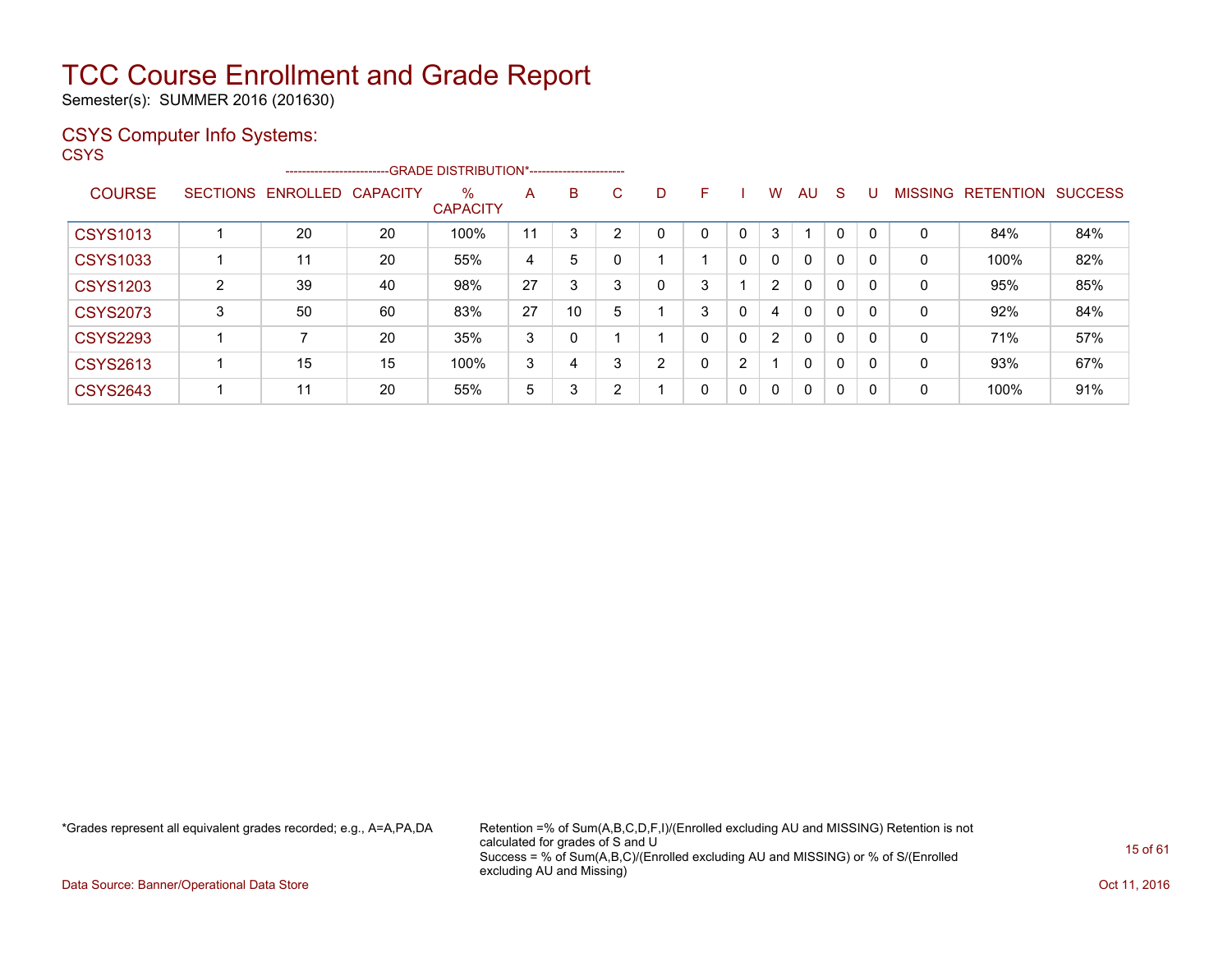Semester(s): SUMMER 2016 (201630)

#### CSYS Computer Info Systems:

**CSYS** 

|                 |                 |          | --------------------------GRADE DISTRIBUTION*---------------------- |                         |    |          |    |   |   |          |                |              |              |          |                |                  |                |
|-----------------|-----------------|----------|---------------------------------------------------------------------|-------------------------|----|----------|----|---|---|----------|----------------|--------------|--------------|----------|----------------|------------------|----------------|
| <b>COURSE</b>   | <b>SECTIONS</b> | ENROLLED | <b>CAPACITY</b>                                                     | $\%$<br><b>CAPACITY</b> | A  | B        | C. | D | F |          | W              | AU           | <sub>S</sub> |          | <b>MISSING</b> | <b>RETENTION</b> | <b>SUCCESS</b> |
| <b>CSYS1013</b> |                 | 20       | 20                                                                  | 100%                    | 11 | 3        | ◠  | 0 | 0 | $\Omega$ | 3              |              | $\mathbf 0$  |          | 0              | 84%              | 84%            |
| <b>CSYS1033</b> |                 | 11       | 20                                                                  | 55%                     | 4  | 5        |    |   |   | 0        | $\mathbf{0}$   | 0            | $\mathbf 0$  | -0       | 0              | 100%             | 82%            |
| <b>CSYS1203</b> | $\overline{2}$  | 39       | 40                                                                  | 98%                     | 27 | 3        | 3  | 0 | 3 |          | $\overline{2}$ | $\mathbf{0}$ | $\mathbf 0$  | $\Omega$ | 0              | 95%              | 85%            |
| <b>CSYS2073</b> | 3               | 50       | 60                                                                  | 83%                     | 27 | 10       | 5  |   | 3 | 0        | 4              | 0            | 0            | $\Omega$ | 0              | 92%              | 84%            |
| <b>CSYS2293</b> |                 |          | 20                                                                  | 35%                     | 3  | $\Omega$ |    |   | 0 | 0        | $\overline{2}$ | $\mathbf{0}$ | 0            | $\Omega$ | 0              | 71%              | 57%            |
| <b>CSYS2613</b> |                 | 15       | 15                                                                  | 100%                    | 3  | 4        | 3  | 2 | 0 | 2        |                | $\mathbf{0}$ | 0            | $\Omega$ | 0              | 93%              | 67%            |
| <b>CSYS2643</b> |                 | 11       | 20                                                                  | 55%                     | 5  | 3        | ົ  |   | 0 | 0        | $\mathbf{0}$   | $\mathbf{0}$ | $\mathbf{0}$ | 0        | 0              | 100%             | 91%            |

\*Grades represent all equivalent grades recorded; e.g., A=A,PA,DA Retention =% of Sum(A,B,C,D,F,I)/(Enrolled excluding AU and MISSING) Retention is not calculated for grades of S and U Success = % of Sum(A,B,C)/(Enrolled excluding AU and MISSING) or % of S/(Enrolled excluding AU and Missing)

Data Source: Banner/Operational Data Store **Contract of the Contract of Contract Contract of the Contract Oct 11, 2016**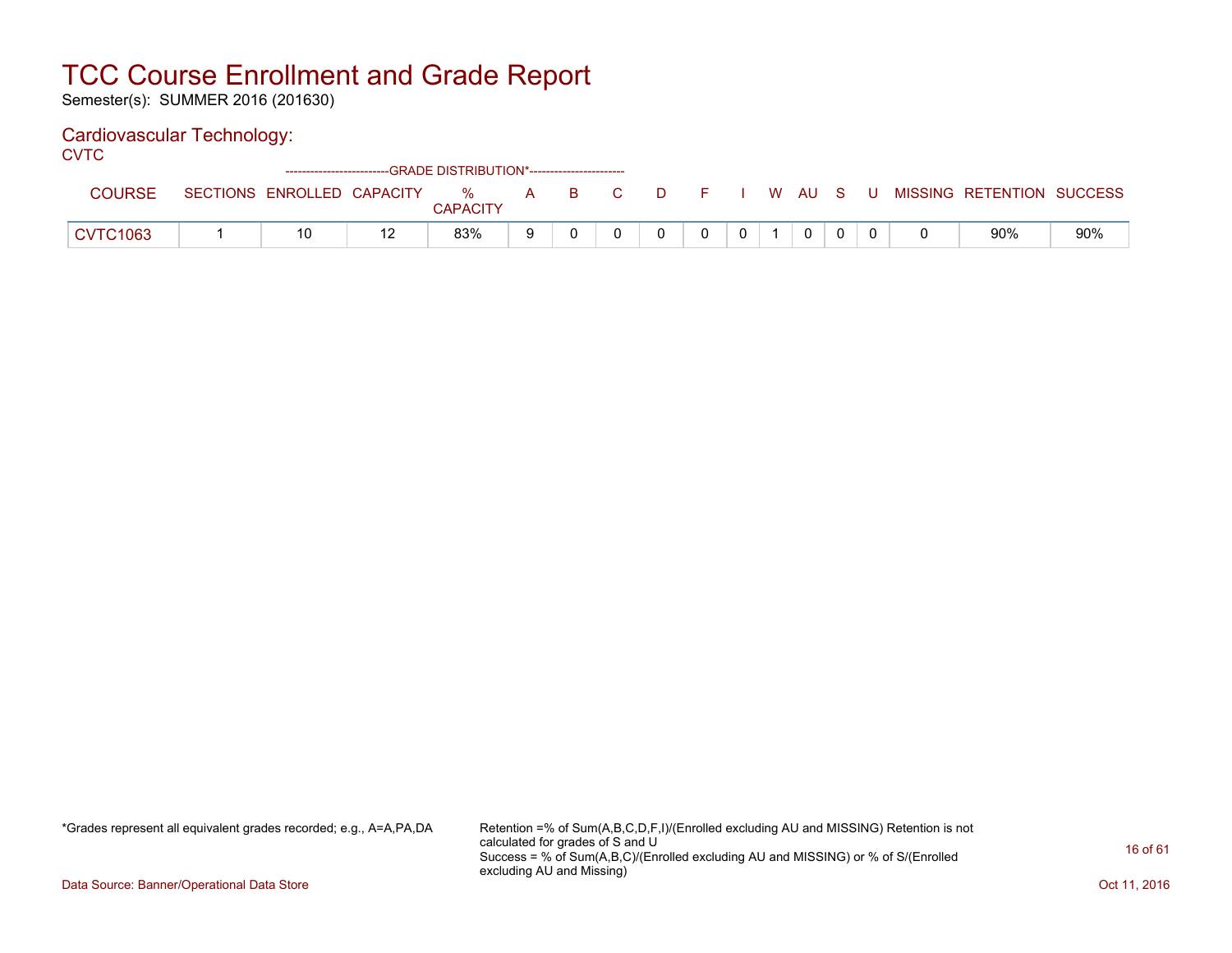Semester(s): SUMMER 2016 (201630)

#### Cardiovascular Technology:

**CVTC** 

|                 |                            | ------------------------GRADE DISTRIBUTION*----------------------- |                      |   |    |    |       |  |                |    |   |                           |     |
|-----------------|----------------------------|--------------------------------------------------------------------|----------------------|---|----|----|-------|--|----------------|----|---|---------------------------|-----|
| <b>COURSE</b>   | SECTIONS ENROLLED CAPACITY |                                                                    | %<br><b>CAPACITY</b> | A | B. | D. | - E - |  | W AU           | S. | U | MISSING RETENTION SUCCESS |     |
| <b>CVTC1063</b> | 10                         |                                                                    | 83%                  |   |    |    |       |  | $\overline{0}$ |    |   | 90%                       | 90% |

\*Grades represent all equivalent grades recorded; e.g., A=A,PA,DA Retention =% of Sum(A,B,C,D,F,I)/(Enrolled excluding AU and MISSING) Retention is not calculated for grades of S and U Success = % of Sum(A,B,C)/(Enrolled excluding AU and MISSING) or % of S/(Enrolled excluding AU and Missing)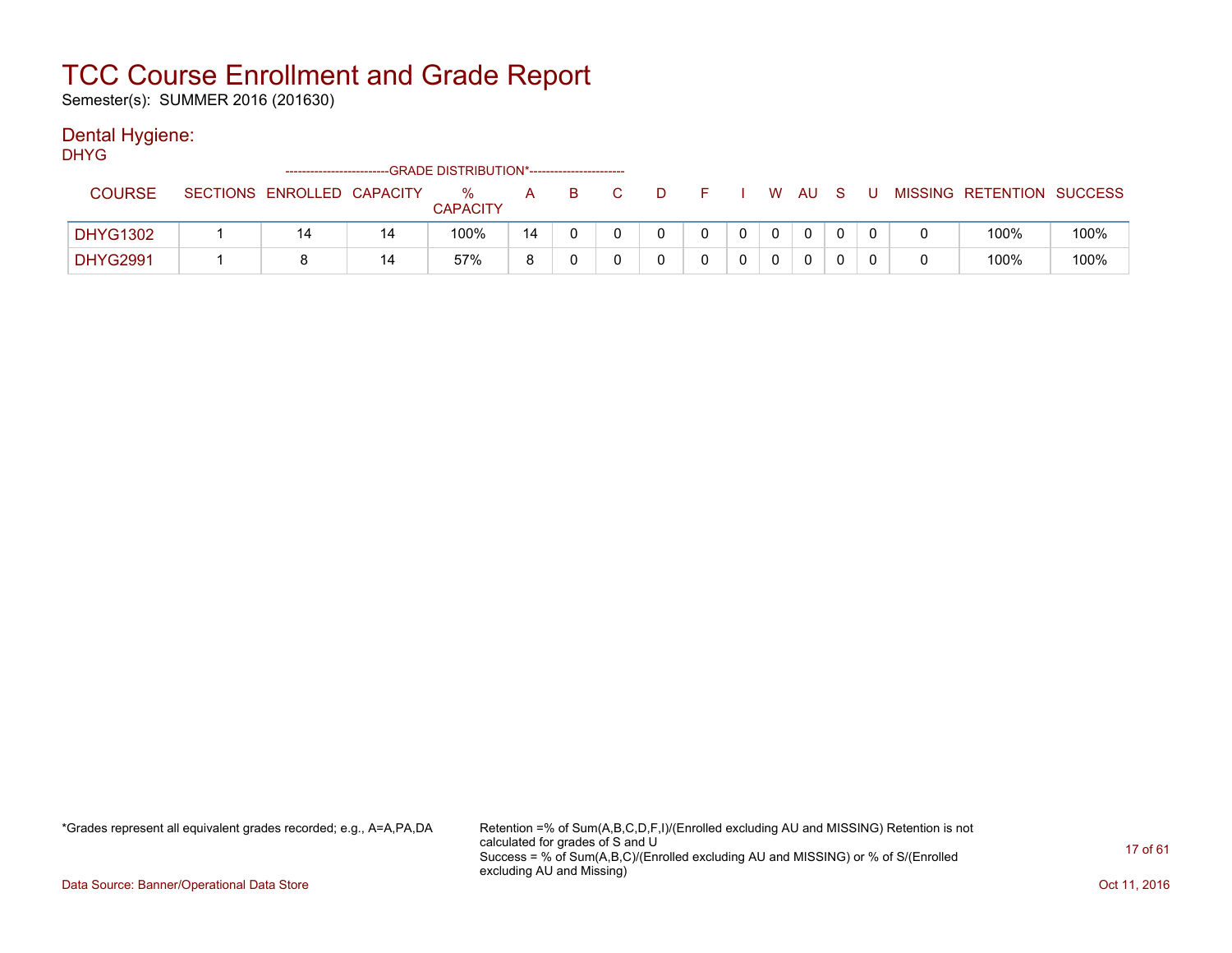Semester(s): SUMMER 2016 (201630)

#### Dental Hygiene:

DHYG

| <b>COURSE</b>   | SECTIONS ENROLLED CAPACITY |    | %<br><b>CAPACITY</b> | А  |  |  | W | AU | U |   | MISSING RETENTION SUCCESS |      |
|-----------------|----------------------------|----|----------------------|----|--|--|---|----|---|---|---------------------------|------|
| <b>DHYG1302</b> | 14                         | 14 | 100%                 | 14 |  |  |   | 0  |   |   | 100%                      | 100% |
| <b>DHYG2991</b> |                            | 14 | 57%                  |    |  |  |   | 0  |   | 0 | 100%                      | 100% |

\*Grades represent all equivalent grades recorded; e.g., A=A,PA,DA Retention =% of Sum(A,B,C,D,F,I)/(Enrolled excluding AU and MISSING) Retention is not calculated for grades of S and U Success = % of Sum(A,B,C)/(Enrolled excluding AU and MISSING) or % of S/(Enrolled excluding AU and Missing)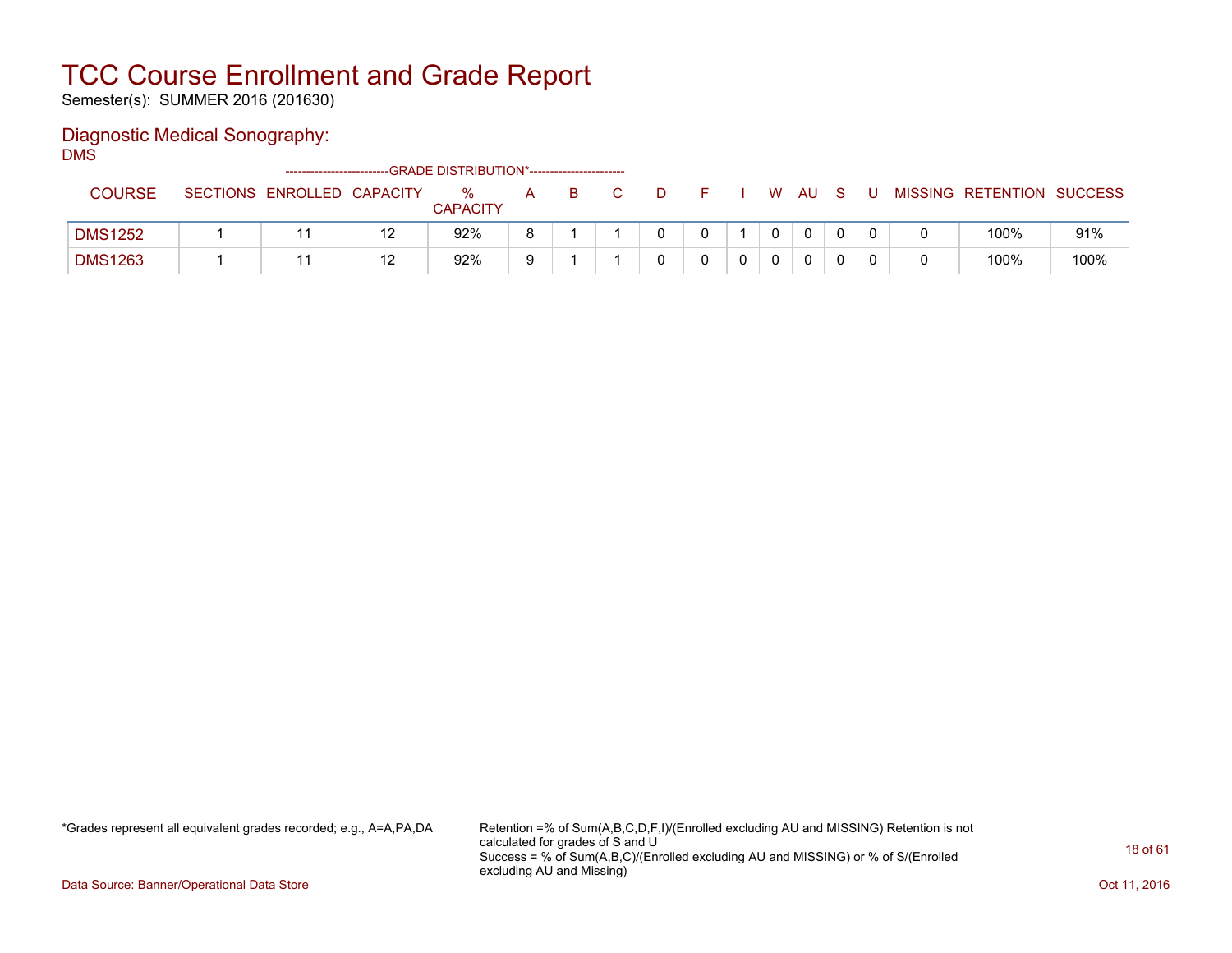Semester(s): SUMMER 2016 (201630)

### Diagnostic Medical Sonography:

DMS

|                |                            |    | ------------------------GRADE DISTRIBUTION*----------------------- |   |    |   |  |              |          |  |                           |      |
|----------------|----------------------------|----|--------------------------------------------------------------------|---|----|---|--|--------------|----------|--|---------------------------|------|
| <b>COURSE</b>  | SECTIONS ENROLLED CAPACITY |    | ℅<br><b>CAPACITY</b>                                               | A | B. | D |  | W.           | AU.      |  | MISSING RETENTION SUCCESS |      |
| <b>DMS1252</b> |                            | 12 | 92%                                                                |   |    |   |  | $\mathbf{0}$ | $\Omega$ |  | 100%                      | 91%  |
| <b>DMS1263</b> |                            | 12 | 92%                                                                |   |    |   |  |              | 0        |  | 100%                      | 100% |

\*Grades represent all equivalent grades recorded; e.g., A=A,PA,DA Retention =% of Sum(A,B,C,D,F,I)/(Enrolled excluding AU and MISSING) Retention is not calculated for grades of S and U Success = % of Sum(A,B,C)/(Enrolled excluding AU and MISSING) or % of S/(Enrolled excluding AU and Missing)

Data Source: Banner/Operational Data Store **Contract of the Contract of Contract Contract of the Contract Oct 11, 2016**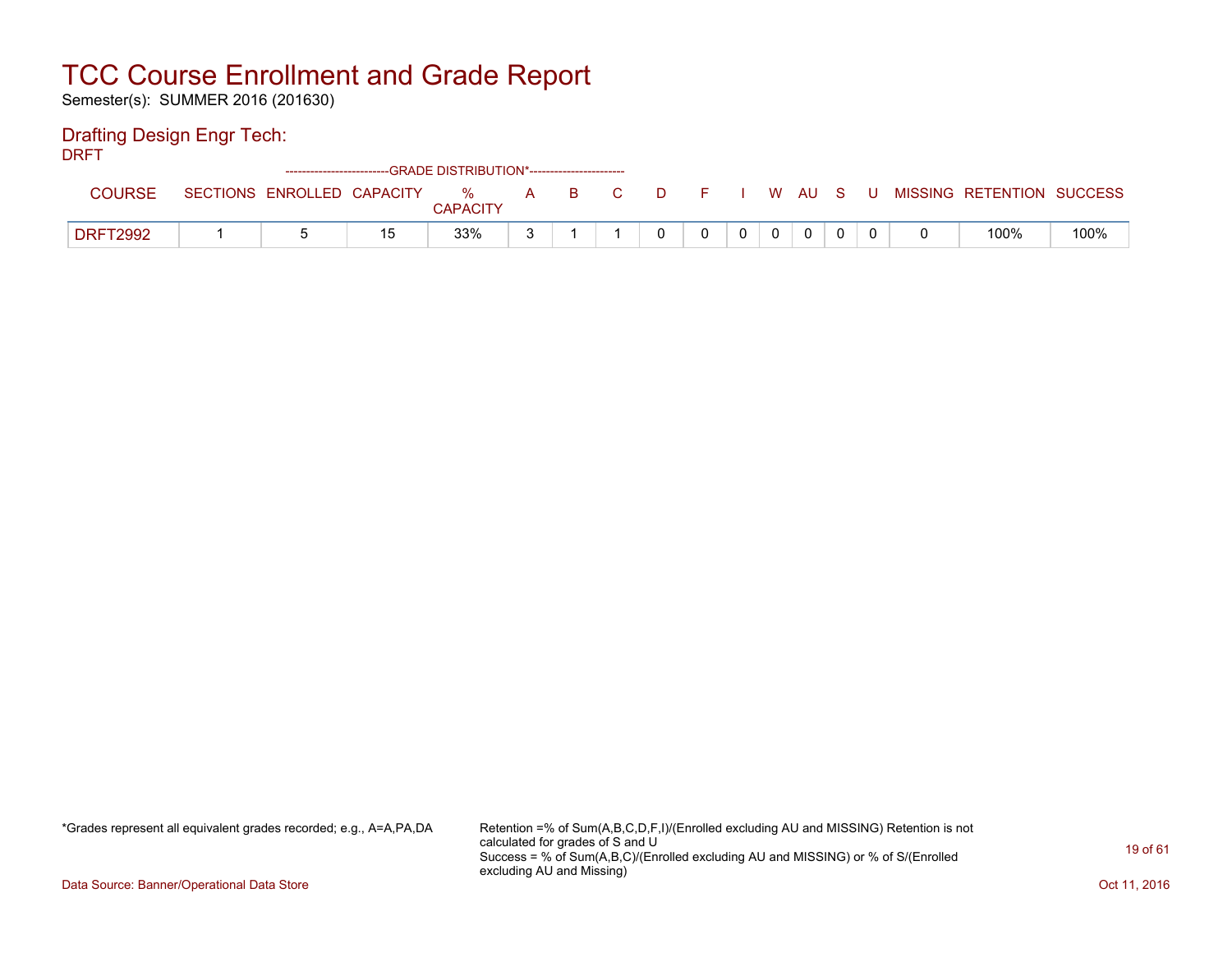Semester(s): SUMMER 2016 (201630)

#### Drafting Design Engr Tech:

DRFT

|                 |                 |                   | ------------------------GRADE        DISTRIBUTION*----------------------- |                         |   |     |  |  |   |    |  |                   |                |
|-----------------|-----------------|-------------------|---------------------------------------------------------------------------|-------------------------|---|-----|--|--|---|----|--|-------------------|----------------|
| <b>COURSE</b>   | <b>SECTIONS</b> | ENROLLED CAPACITY |                                                                           | $\%$<br><b>CAPACITY</b> | A | - B |  |  | W | AU |  | MISSING RETENTION | <b>SUCCESS</b> |
| <b>DRFT2992</b> |                 |                   | 1 斥                                                                       | 33%                     |   |     |  |  |   | 0  |  | 100%              | 100%           |

\*Grades represent all equivalent grades recorded; e.g., A=A,PA,DA Retention =% of Sum(A,B,C,D,F,I)/(Enrolled excluding AU and MISSING) Retention is not calculated for grades of S and U Success = % of Sum(A,B,C)/(Enrolled excluding AU and MISSING) or % of S/(Enrolled excluding AU and Missing)

Data Source: Banner/Operational Data Store **Contract of the Contract of Contract Contract of the Contract Oct 11, 2016**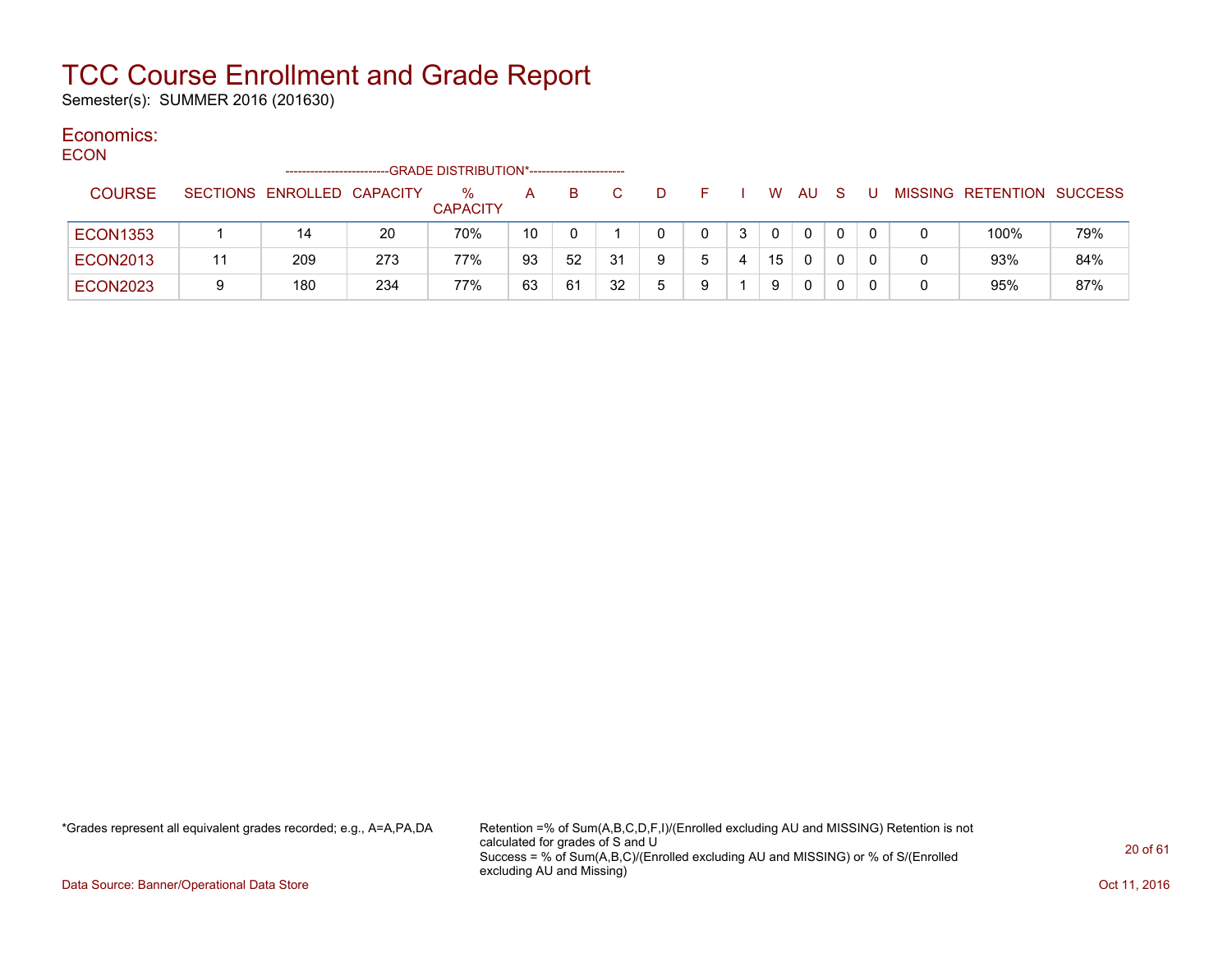Semester(s): SUMMER 2016 (201630)

### Economics:

**ECON** 

|                 |   |                            |     | -GRADE DISTRIBUTION*----------------------- |    |    |    |   |   |   |    |    |   |  |                           |     |
|-----------------|---|----------------------------|-----|---------------------------------------------|----|----|----|---|---|---|----|----|---|--|---------------------------|-----|
| <b>COURSE</b>   |   | SECTIONS ENROLLED CAPACITY |     | $\%$<br><b>CAPACITY</b>                     | A  | B. |    | D |   |   | W  | AU | S |  | MISSING RETENTION SUCCESS |     |
| <b>ECON1353</b> |   | 14                         | 20  | 70%                                         | 10 |    |    |   |   | 3 |    | 0  |   |  | 100%                      | 79% |
| <b>ECON2013</b> |   | 209                        | 273 | 77%                                         | 93 | 52 | 31 |   | ᄃ |   | 15 | 0  |   |  | 93%                       | 84% |
| <b>ECON2023</b> | 9 | 180                        | 234 | 77%                                         | 63 | 61 | 32 | ᄃ | a |   | 9  | 0  |   |  | 95%                       | 87% |

\*Grades represent all equivalent grades recorded; e.g., A=A,PA,DA Retention =% of Sum(A,B,C,D,F,I)/(Enrolled excluding AU and MISSING) Retention is not calculated for grades of S and U Success = % of Sum(A,B,C)/(Enrolled excluding AU and MISSING) or % of S/(Enrolled excluding AU and Missing)

Data Source: Banner/Operational Data Store **Contract of the Contract of Contract Contract of the Contract Oct 11, 2016**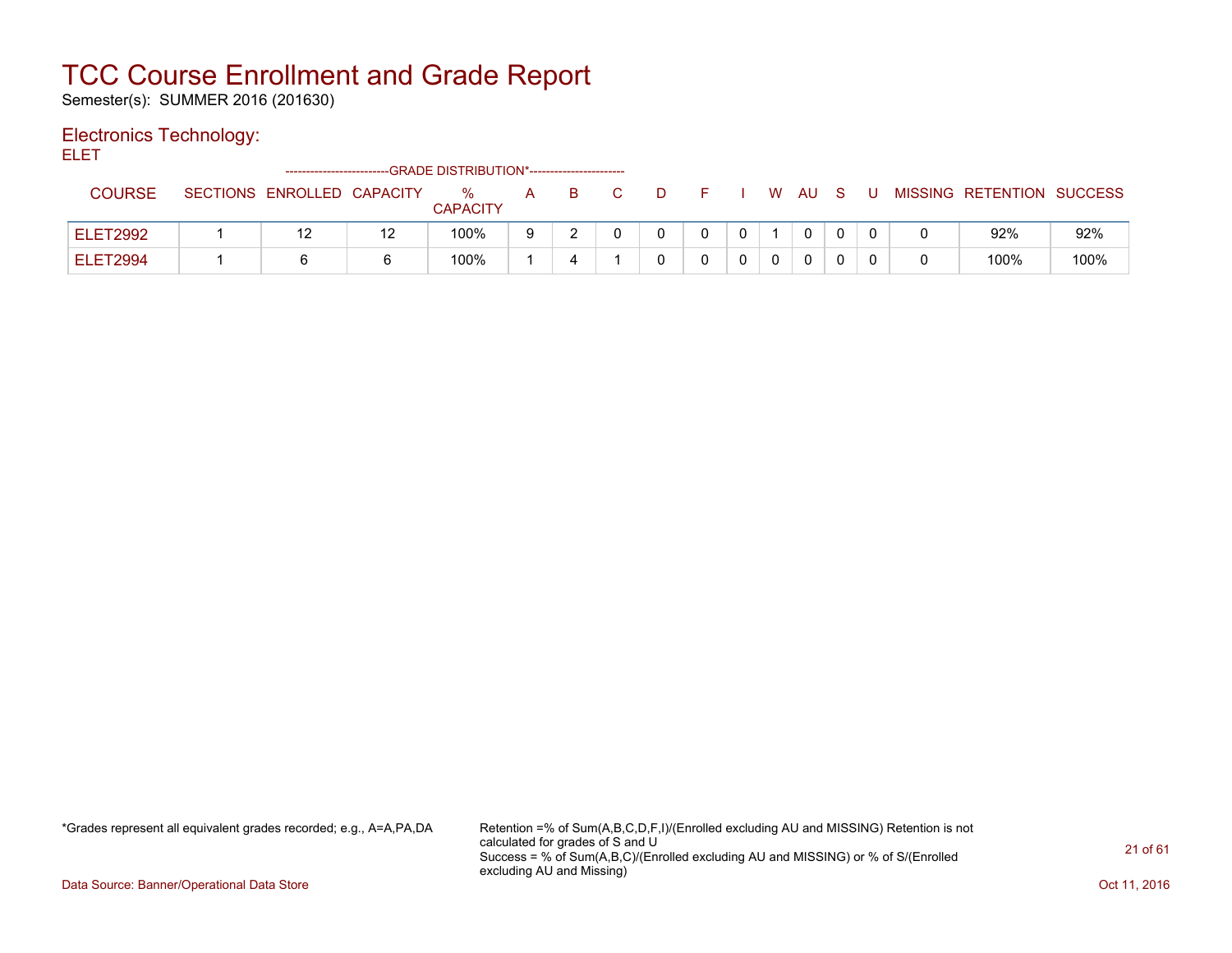Semester(s): SUMMER 2016 (201630)

#### Electronics Technology:

ELET

|                 | -------------------------- | --GRADE DISTRIBUTION*----------------------- |   |  |  |   |    |   |   |                           |      |
|-----------------|----------------------------|----------------------------------------------|---|--|--|---|----|---|---|---------------------------|------|
| <b>COURSE</b>   | SECTIONS ENROLLED CAPACITY | %<br><b>CAPACITY</b>                         | A |  |  | W | AU | S | U | MISSING RETENTION SUCCESS |      |
| <b>ELET2992</b> |                            | 100%                                         |   |  |  |   | 0  |   |   | 92%                       | 92%  |
| <b>ELET2994</b> |                            | 100%                                         |   |  |  |   | 0  |   |   | 100%                      | 100% |

\*Grades represent all equivalent grades recorded; e.g., A=A,PA,DA Retention =% of Sum(A,B,C,D,F,I)/(Enrolled excluding AU and MISSING) Retention is not calculated for grades of S and U Success = % of Sum(A,B,C)/(Enrolled excluding AU and MISSING) or % of S/(Enrolled excluding AU and Missing)

Data Source: Banner/Operational Data Store **Contract of the Contract of Contract Contract of the Contract Oct 11, 2016**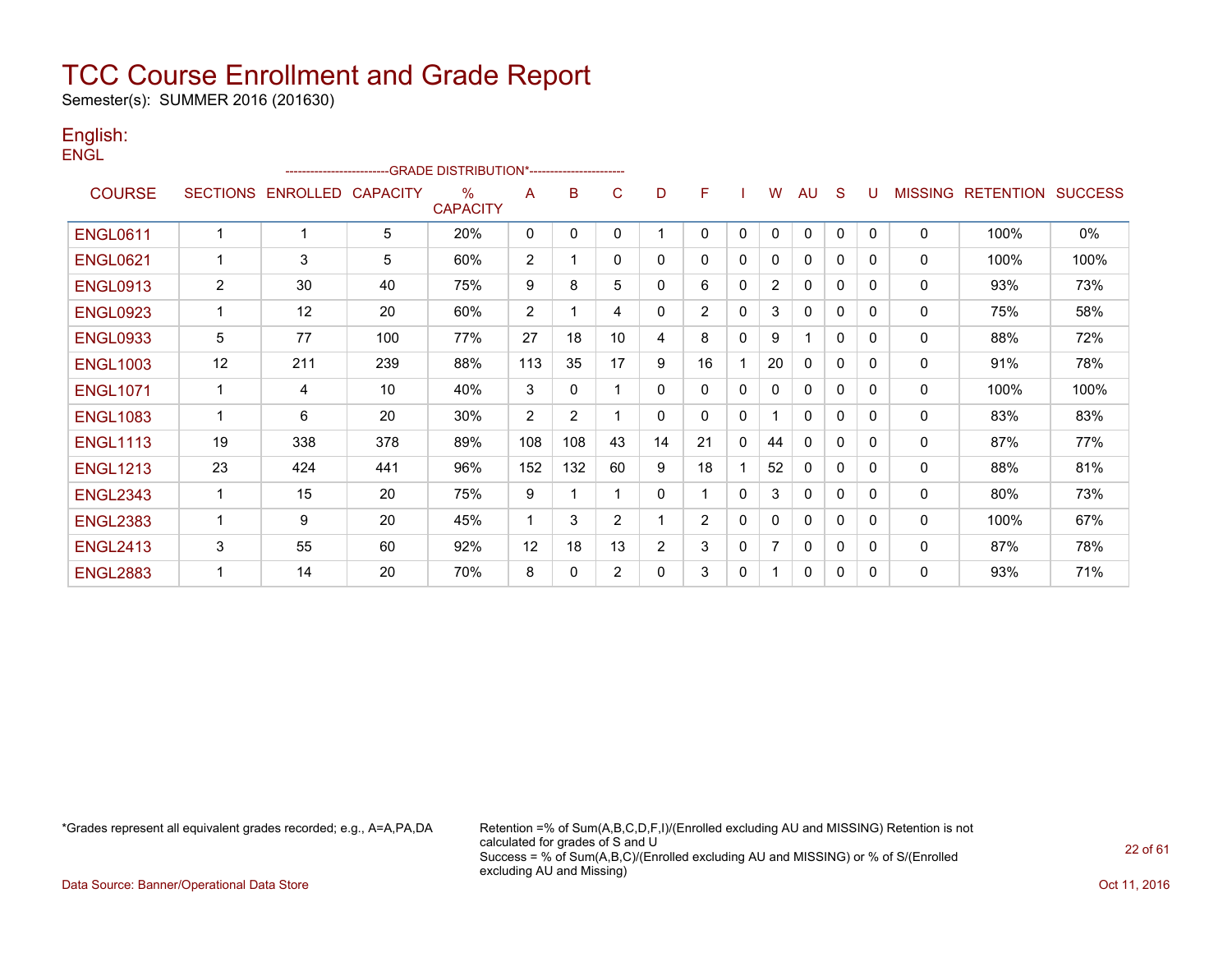Semester(s): SUMMER 2016 (201630)

#### English: **ENGL**

|                 |                 |                 | ------------------------GRADE                DISTRIBUTION*---------------------- |                                  |              |                |                |                |                |          |                |              |          |              |                |                  |                |
|-----------------|-----------------|-----------------|----------------------------------------------------------------------------------|----------------------------------|--------------|----------------|----------------|----------------|----------------|----------|----------------|--------------|----------|--------------|----------------|------------------|----------------|
| <b>COURSE</b>   | <b>SECTIONS</b> | <b>ENROLLED</b> | <b>CAPACITY</b>                                                                  | $\frac{0}{0}$<br><b>CAPACITY</b> | A            | B              | C              | D              | F              |          | W              | AU           | S        | -U           | <b>MISSING</b> | <b>RETENTION</b> | <b>SUCCESS</b> |
| <b>ENGL0611</b> |                 |                 | 5                                                                                | 20%                              | $\mathbf{0}$ | 0              | 0              |                | 0              | 0        | 0              | $\Omega$     | $\Omega$ | $\mathbf{0}$ | $\mathbf{0}$   | 100%             | 0%             |
| <b>ENGL0621</b> | 1               | 3               | 5                                                                                | 60%                              | 2            |                | 0              | 0              | 0              | 0        | 0              | $\Omega$     | $\Omega$ | $\Omega$     | $\mathbf{0}$   | 100%             | 100%           |
| <b>ENGL0913</b> | $\overline{2}$  | 30              | 40                                                                               | 75%                              | 9            | 8              | 5              | 0              | 6              | 0        | $\overline{2}$ | $\mathbf{0}$ | $\Omega$ | 0            | $\mathbf{0}$   | 93%              | 73%            |
| <b>ENGL0923</b> | 1               | 12              | 20                                                                               | 60%                              | 2            |                | 4              | 0              | $\overline{2}$ | $\Omega$ | 3              | 0            | 0        | 0            | 0              | 75%              | 58%            |
| <b>ENGL0933</b> | 5               | 77              | 100                                                                              | 77%                              | 27           | 18             | 10             | 4              | 8              | $\Omega$ | 9              |              | 0        | 0            | $\Omega$       | 88%              | 72%            |
| <b>ENGL1003</b> | 12              | 211             | 239                                                                              | 88%                              | 113          | 35             | 17             | 9              | 16             |          | 20             | 0            | 0        | $\Omega$     | 0              | 91%              | 78%            |
| <b>ENGL1071</b> | 1               | 4               | 10                                                                               | 40%                              | 3            | 0              |                | $\mathbf{0}$   | 0              | $\Omega$ | 0              | $\Omega$     | $\Omega$ | 0            | $\mathbf{0}$   | 100%             | 100%           |
| <b>ENGL1083</b> | 1               | 6               | 20                                                                               | 30%                              | 2            | $\overline{2}$ |                | 0              | 0              | 0        | 1              | $\mathbf{0}$ | 0        | 0            | $\mathbf 0$    | 83%              | 83%            |
| <b>ENGL1113</b> | 19              | 338             | 378                                                                              | 89%                              | 108          | 108            | 43             | 14             | 21             | 0        | 44             | $\Omega$     | 0        | 0            | 0              | 87%              | 77%            |
| <b>ENGL1213</b> | 23              | 424             | 441                                                                              | 96%                              | 152          | 132            | 60             | 9              | 18             |          | 52             | $\mathbf{0}$ | $\Omega$ | $\Omega$     | $\mathbf{0}$   | 88%              | 81%            |
| <b>ENGL2343</b> |                 | 15              | 20                                                                               | 75%                              | 9            |                |                | 0              |                | $\Omega$ | 3              | $\mathbf{0}$ | 0        | $\Omega$     | $\mathbf{0}$   | 80%              | 73%            |
| <b>ENGL2383</b> | 1               | 9               | 20                                                                               | 45%                              |              | 3              | $\overline{2}$ |                | $\overline{2}$ | $\Omega$ | 0              | $\mathbf{0}$ | 0        | $\Omega$     | $\mathbf{0}$   | 100%             | 67%            |
| <b>ENGL2413</b> | 3               | 55              | 60                                                                               | 92%                              | 12           | 18             | 13             | $\overline{2}$ | 3              | 0        | 7              | 0            | 0        | $\Omega$     | 0              | 87%              | 78%            |
| <b>ENGL2883</b> |                 | 14              | 20                                                                               | 70%                              | 8            | 0              | $\overline{2}$ | $\mathbf{0}$   | 3              | 0        | 1              | $\Omega$     | $\Omega$ | $\Omega$     | $\mathbf{0}$   | 93%              | 71%            |

\*Grades represent all equivalent grades recorded; e.g., A=A,PA,DA Retention =% of Sum(A,B,C,D,F,I)/(Enrolled excluding AU and MISSING) Retention is not calculated for grades of S and U Success = % of Sum(A,B,C)/(Enrolled excluding AU and MISSING) or % of S/(Enrolled excluding AU and Missing)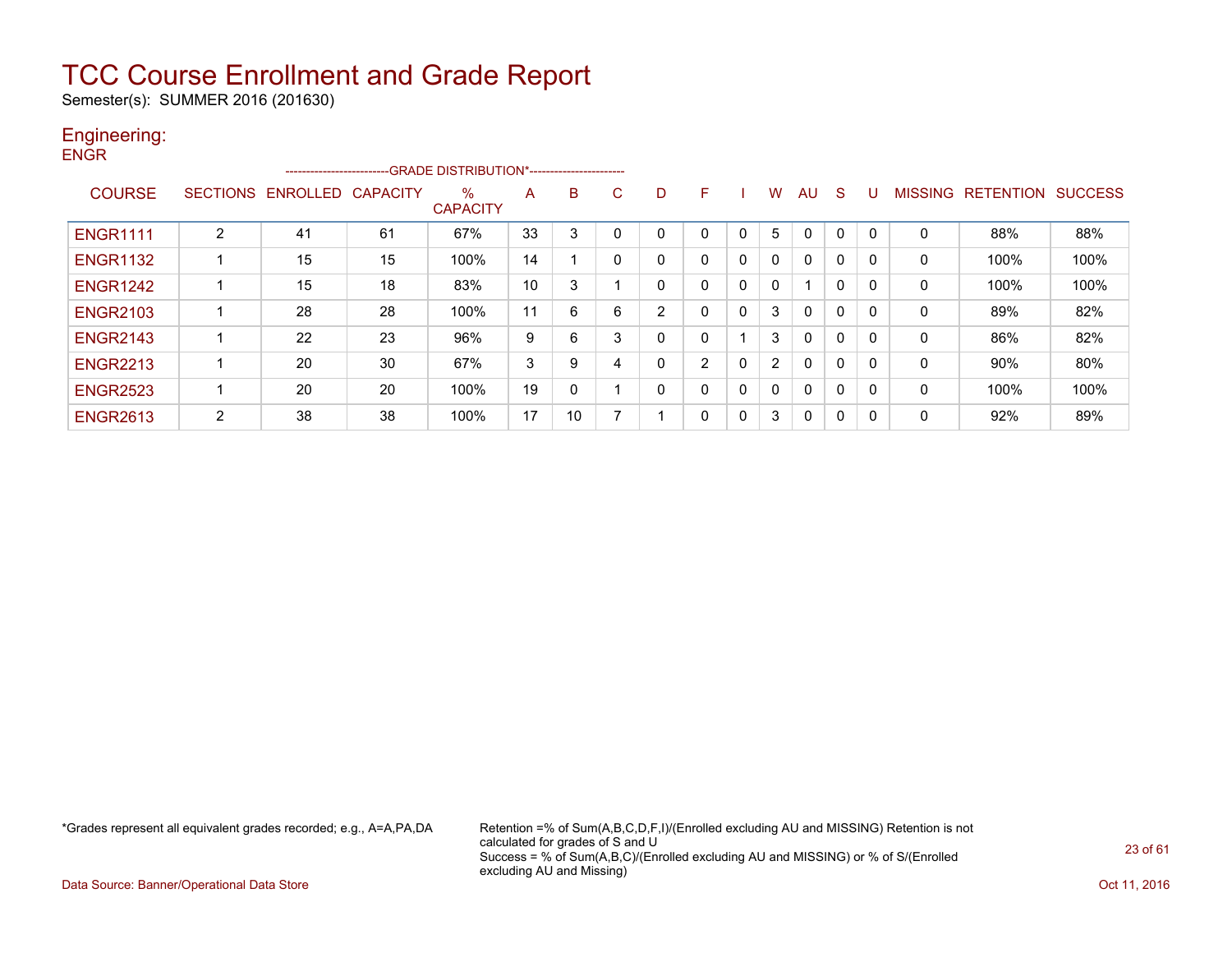Semester(s): SUMMER 2016 (201630)

#### Engineering: **ENGR**

|                 |                 | ------------------------ |                 | -- GRADE DISTRIBUTION*------------------------ |    |    |    |   |                |   |                |                         |          |              |                |                  |                |
|-----------------|-----------------|--------------------------|-----------------|------------------------------------------------|----|----|----|---|----------------|---|----------------|-------------------------|----------|--------------|----------------|------------------|----------------|
| <b>COURSE</b>   | <b>SECTIONS</b> | ENROLLED                 | <b>CAPACITY</b> | %<br><b>CAPACITY</b>                           | A  | B  | C. | D | F              |   | W              | AU                      | S        |              | <b>MISSING</b> | <b>RETENTION</b> | <b>SUCCESS</b> |
| <b>ENGR1111</b> | $\overline{2}$  | 41                       | 61              | 67%                                            | 33 | 3  |    |   |                | 0 | 5              | $\Omega$                | 0        |              | 0              | 88%              | 88%            |
| <b>ENGR1132</b> |                 | 15                       | 15              | 100%                                           | 14 |    |    |   | 0              | 0 | 0              | $\mathbf{0}$            | 0        |              | 0              | 100%             | 100%           |
| <b>ENGR1242</b> |                 | 15                       | 18              | 83%                                            | 10 | 3  |    |   | 0              | 0 | 0              | $\overline{\mathbf{A}}$ | $\Omega$ |              | 0              | 100%             | 100%           |
| <b>ENGR2103</b> |                 | 28                       | 28              | 100%                                           | 11 | 6  | 6  | 2 | 0              | 0 | 3              | $\mathbf{0}$            | 0        | $\Omega$     | 0              | 89%              | 82%            |
| <b>ENGR2143</b> |                 | 22                       | 23              | 96%                                            | 9  | 6  | ◠  | 0 | 0              |   | 3              | $\mathbf{0}$            | 0        |              | 0              | 86%              | 82%            |
| <b>ENGR2213</b> |                 | 20                       | 30              | 67%                                            | 3  | 9  |    | 0 | $\overline{2}$ | 0 | $\overline{2}$ | $\mathbf{0}$            | 0        |              | 0              | 90%              | 80%            |
| <b>ENGR2523</b> |                 | 20                       | 20              | 100%                                           | 19 | 0  |    |   | 0              | 0 | 0              | $\mathbf{0}$            | 0        |              | 0              | 100%             | 100%           |
| <b>ENGR2613</b> | 2               | 38                       | 38              | 100%                                           | 17 | 10 |    |   | 0              | 0 | 3              | $\mathbf{0}$            | 0        | $\mathbf{0}$ | 0              | 92%              | 89%            |

\*Grades represent all equivalent grades recorded; e.g., A=A,PA,DA Retention =% of Sum(A,B,C,D,F,I)/(Enrolled excluding AU and MISSING) Retention is not calculated for grades of S and U Success = % of Sum(A,B,C)/(Enrolled excluding AU and MISSING) or % of S/(Enrolled excluding AU and Missing)

Data Source: Banner/Operational Data Store **Contract of the Contract of Contract Contract of the Contract Oct 11, 2016**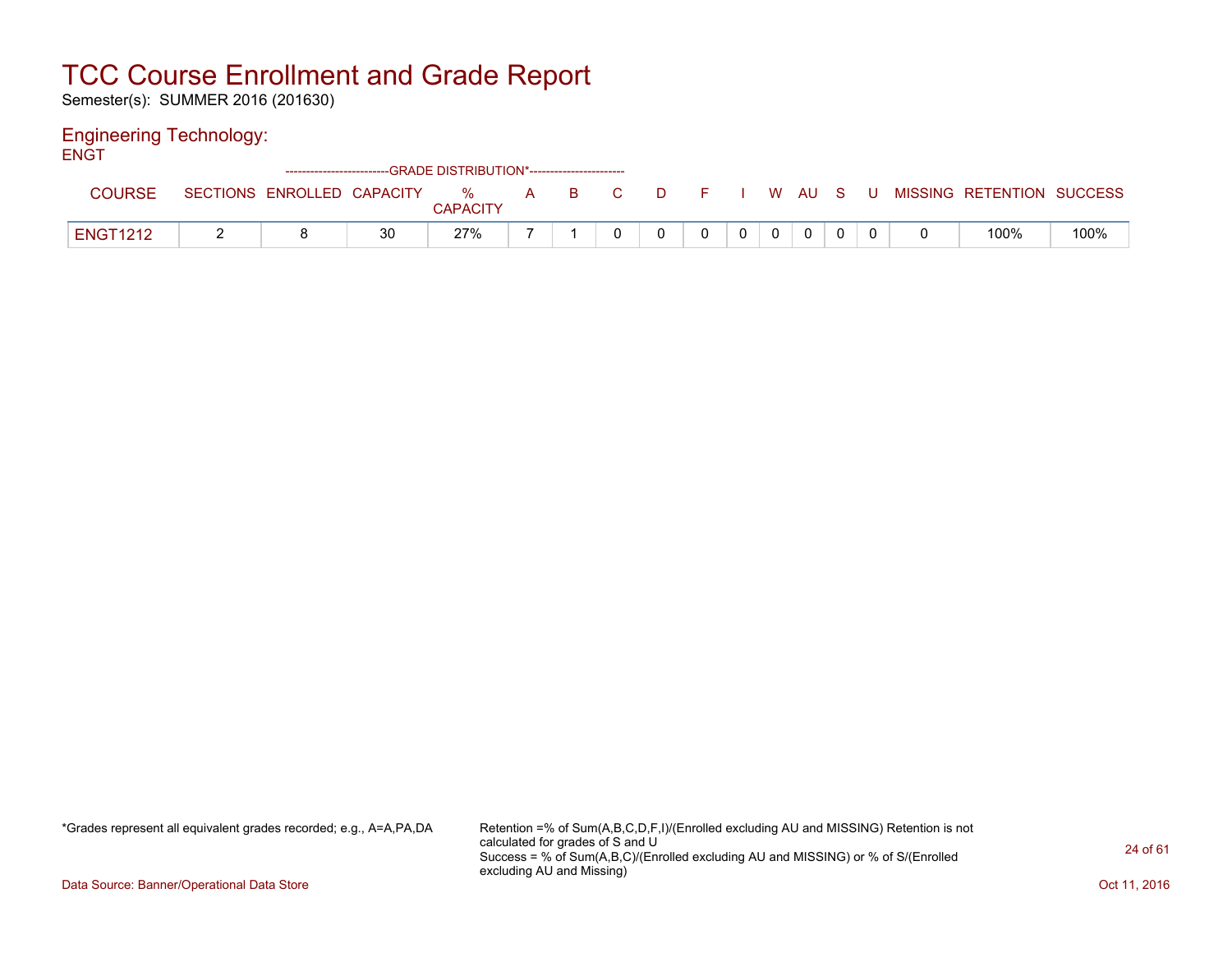Semester(s): SUMMER 2016 (201630)

#### Engineering Technology:

|                 |                            | ------------------------GRADE            DISTRIBUTION*------------------------- |                      |              |     |  |    |          |   |   |                           |      |
|-----------------|----------------------------|---------------------------------------------------------------------------------|----------------------|--------------|-----|--|----|----------|---|---|---------------------------|------|
| <b>COURSE</b>   | SECTIONS ENROLLED CAPACITY |                                                                                 | %<br><b>CAPACITY</b> | $\mathsf{A}$ | BC. |  | W. | - AU     | S | U | MISSING RETENTION SUCCESS |      |
| <b>ENGT1212</b> |                            | 30                                                                              | 27%                  |              |     |  |    | $\Omega$ |   |   | 100%                      | 100% |

\*Grades represent all equivalent grades recorded; e.g., A=A,PA,DA Retention =% of Sum(A,B,C,D,F,I)/(Enrolled excluding AU and MISSING) Retention is not calculated for grades of S and U Success = % of Sum(A,B,C)/(Enrolled excluding AU and MISSING) or % of S/(Enrolled excluding AU and Missing)

Data Source: Banner/Operational Data Store **Contract of the Contract of Contract Contract of the Contract Oct 11, 2016**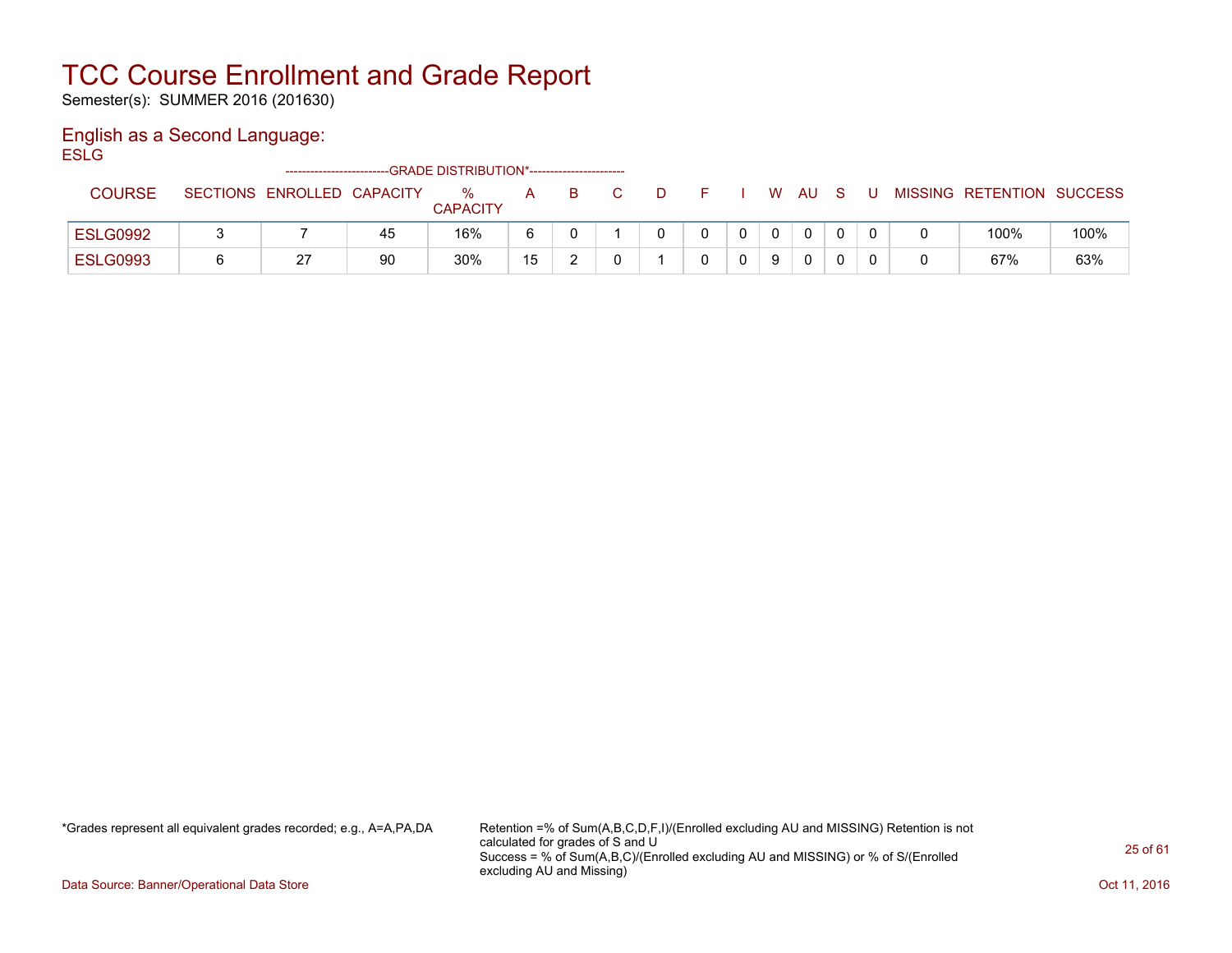Semester(s): SUMMER 2016 (201630)

### English as a Second Language:

**ESLG** 

|                 | -------------------------- |    | --GRADE DISTRIBUTION*----------------------- |    |   |              |  |          |              |    |     |                           |      |
|-----------------|----------------------------|----|----------------------------------------------|----|---|--------------|--|----------|--------------|----|-----|---------------------------|------|
| <b>COURSE</b>   | SECTIONS ENROLLED CAPACITY |    | $\%$<br><b>CAPACITY</b>                      | A  | в | $\mathbf{D}$ |  |          | W AU         | -S | . U | MISSING RETENTION SUCCESS |      |
| <b>ESLG0992</b> |                            | 45 | 16%                                          | 6  |   |              |  | $\Omega$ | $\mathbf{0}$ |    |     | 100%                      | 100% |
| <b>ESLG0993</b> | ົ<br>▵                     | 90 | 30%                                          | 15 |   |              |  | 9        | 0            |    |     | 67%                       | 63%  |

\*Grades represent all equivalent grades recorded; e.g., A=A,PA,DA Retention =% of Sum(A,B,C,D,F,I)/(Enrolled excluding AU and MISSING) Retention is not calculated for grades of S and U Success = % of Sum(A,B,C)/(Enrolled excluding AU and MISSING) or % of S/(Enrolled excluding AU and Missing)

Data Source: Banner/Operational Data Store **Contract of the Contract of Contract Contract of the Contract Oct 11, 2016**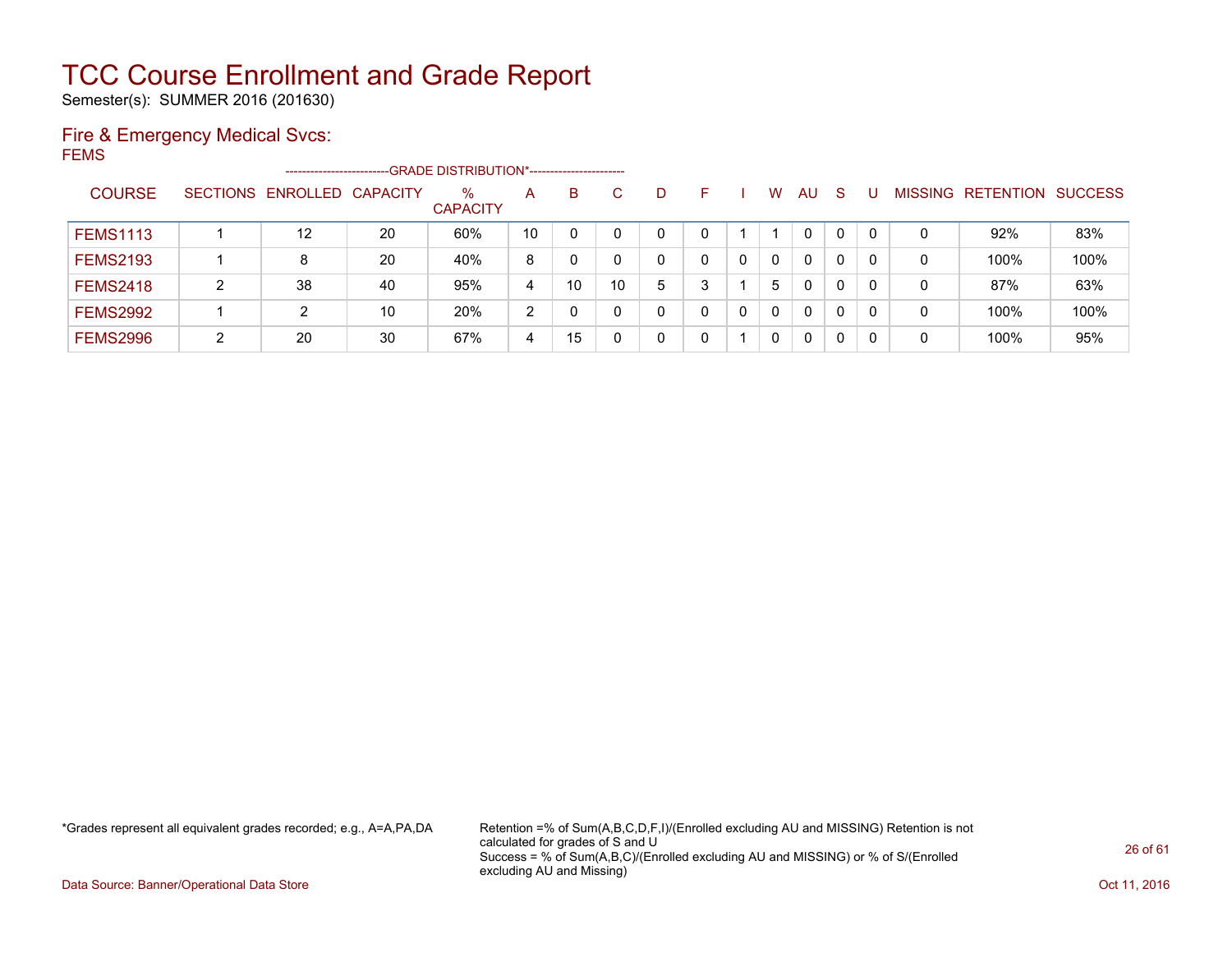Semester(s): SUMMER 2016 (201630)

### Fire & Emergency Medical Svcs:

FEMS

|                 |                 | -------------------------- |    | --GRADE DISTRIBUTION*----------------------- |               |    |    |   |   |   |          |              |              |    |                |           |                |
|-----------------|-----------------|----------------------------|----|----------------------------------------------|---------------|----|----|---|---|---|----------|--------------|--------------|----|----------------|-----------|----------------|
| <b>COURSE</b>   | <b>SECTIONS</b> | ENROLLED CAPACITY          |    | %<br><b>CAPACITY</b>                         | A             | B  | C  | D |   |   | w        | AU           | <sub>S</sub> |    | <b>MISSING</b> | RETENTION | <b>SUCCESS</b> |
| <b>FEMS1113</b> |                 | $12 \overline{ }$          | 20 | 60%                                          | 10            |    |    | 0 |   |   |          | $\mathbf{0}$ | $\mathbf{0}$ | -0 | 0              | 92%       | 83%            |
| <b>FEMS2193</b> |                 | 8                          | 20 | 40%                                          | 8             |    |    | 0 |   |   | $\Omega$ | 0            | 0            |    | 0              | 100%      | 100%           |
| <b>FEMS2418</b> | ົ               | 38                         | 40 | 95%                                          | 4             | 10 | 10 | 5 | ີ |   | 5        | 0            | 0            | -0 | 0              | 87%       | 63%            |
| <b>FEMS2992</b> |                 |                            | 10 | 20%                                          | $\mathcal{D}$ |    |    | 0 | 0 | 0 | $\Omega$ | 0            | 0            | 0  | 0              | 100%      | 100%           |
| <b>FEMS2996</b> | ົ               | 20                         | 30 | 67%                                          | 4             | 15 |    | 0 |   |   | $\Omega$ | 0            | 0            | -0 | 0              | 100%      | 95%            |

\*Grades represent all equivalent grades recorded; e.g., A=A,PA,DA Retention =% of Sum(A,B,C,D,F,I)/(Enrolled excluding AU and MISSING) Retention is not calculated for grades of S and U Success = % of Sum(A,B,C)/(Enrolled excluding AU and MISSING) or % of S/(Enrolled excluding AU and Missing)

Data Source: Banner/Operational Data Store **Contract of the Contract of Contract Contract of the Contract Oct 11, 2016**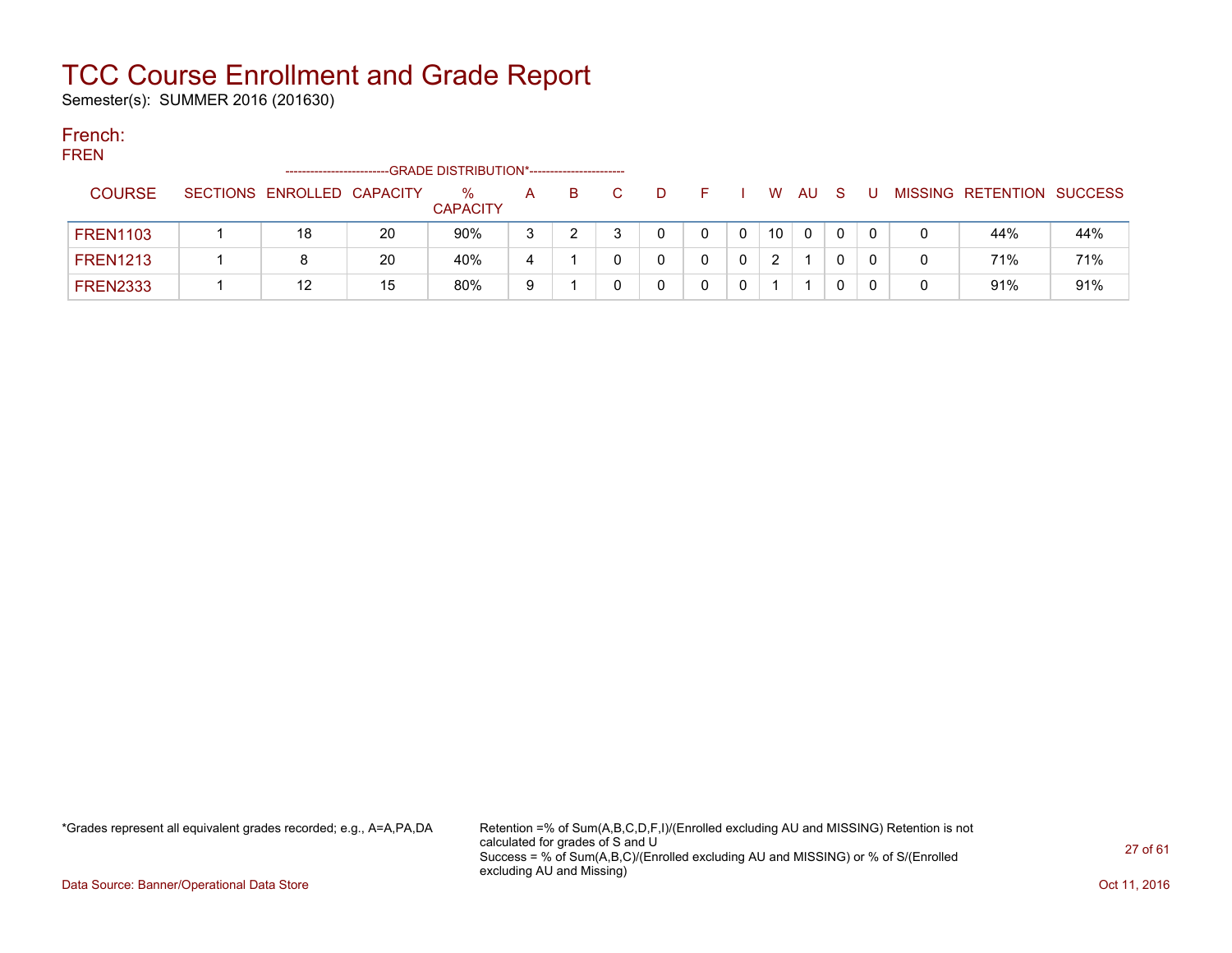Semester(s): SUMMER 2016 (201630)

### French:

#### **FREN** -------------------------GRADE DISTRIBUTION\*----------------------- COURSE SECTIONS ENROLLED CAPACITY % **CAPACITY** A B C D F I W AU S U MISSING RETENTION SUCCESS FREN1103 | 1 | 18 | 20 | 90% | 3 | 2 | 3 | 0 | 0 | 0 | 0 | 0 | 0 | 0 | 44% | 44% | FREN1213 | 1 | 8 | 20 | 40% | 4 | 1 | 0 | 0 | 0 | 0 | 2 | 1 | 0 | 0 | 0 | 71% | 71% FREN2333 | 1 | 12 | 15 | 80% | 9 | 1 | 0 | 0 | 0 | 1 | 1 | 0 | 0 | 0 | 91% | 91% |

\*Grades represent all equivalent grades recorded; e.g., A=A,PA,DA Retention =% of Sum(A,B,C,D,F,I)/(Enrolled excluding AU and MISSING) Retention is not calculated for grades of S and U Success = % of Sum(A,B,C)/(Enrolled excluding AU and MISSING) or % of S/(Enrolled excluding AU and Missing)

Data Source: Banner/Operational Data Store **Contract of Contract Contract Contract Contract Contract Contract Contract Contract Contract Contract Oct 11, 2016**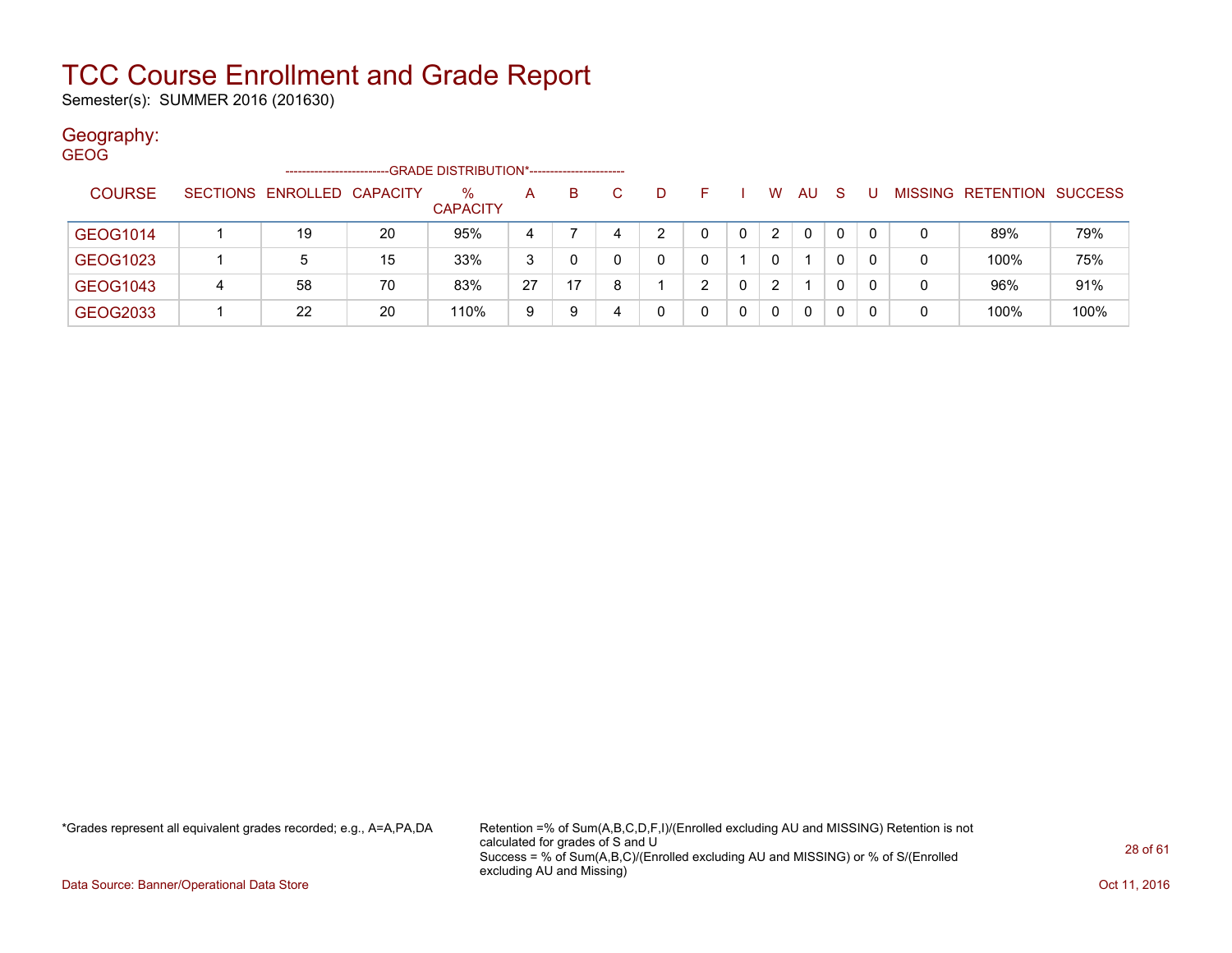Semester(s): SUMMER 2016 (201630)

#### Geography:

| <b>GEOG</b> |               |   |                            |    |                         |    |    |    |    |    |   |                |    |              |    |   |                           |      |
|-------------|---------------|---|----------------------------|----|-------------------------|----|----|----|----|----|---|----------------|----|--------------|----|---|---------------------------|------|
|             |               |   | -----------------------    |    |                         |    |    |    |    |    |   |                |    |              |    |   |                           |      |
|             | <b>COURSE</b> |   | SECTIONS ENROLLED CAPACITY |    | $\%$<br><b>CAPACITY</b> | A  | B. | C. | D. | F. |   | W              | AU | <sub>S</sub> |    |   | MISSING RETENTION SUCCESS |      |
|             |               |   |                            |    |                         |    |    |    |    |    |   |                |    |              |    |   |                           |      |
|             | GEOG1014      |   | 19                         | 20 | 95%                     | 4  |    |    | 2  |    |   | $\overline{2}$ | 0  | 0            | 0  | 0 | 89%                       | 79%  |
|             | GEOG1023      |   | 5                          | 15 | 33%                     | 3  |    |    | 0  | 0  |   | $\Omega$       |    | 0            | 0  | 0 | 100%                      | 75%  |
|             | GEOG1043      | 4 | 58                         | 70 | 83%                     | 27 | 17 |    |    | ົ  |   | $\overline{2}$ |    | 0            |    | 0 | 96%                       | 91%  |
|             | GEOG2033      |   | 22                         | 20 | 110%                    | 9  | 9  |    | 0  | 0  | 0 | 0              | 0  | 0            | -0 | 0 | 100%                      | 100% |

\*Grades represent all equivalent grades recorded; e.g., A=A,PA,DA Retention =% of Sum(A,B,C,D,F,I)/(Enrolled excluding AU and MISSING) Retention is not calculated for grades of S and U Success = % of Sum(A,B,C)/(Enrolled excluding AU and MISSING) or % of S/(Enrolled excluding AU and Missing)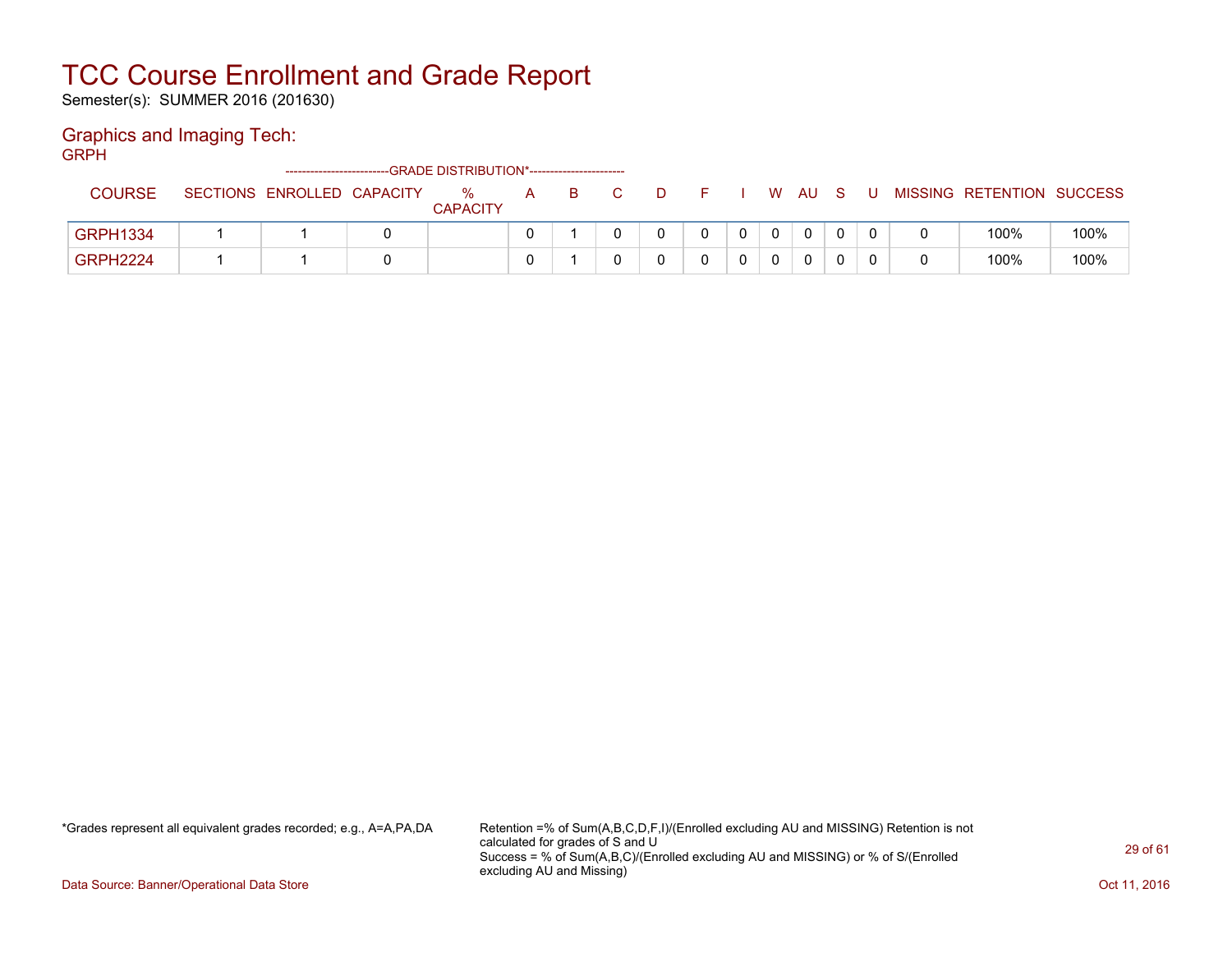Semester(s): SUMMER 2016 (201630)

#### Graphics and Imaging Tech:

GRPH

|                 | -------------------------- | -GRADE DISTRIBUTION*---------------------- |   |    |   |  |    |     |  |                           |      |
|-----------------|----------------------------|--------------------------------------------|---|----|---|--|----|-----|--|---------------------------|------|
| <b>COURSE</b>   | SECTIONS ENROLLED CAPACITY | %                                          | A | B. | Ð |  | W. | AU. |  | MISSING RETENTION SUCCESS |      |
|                 |                            | <b>CAPACITY</b>                            |   |    |   |  |    |     |  |                           |      |
| <b>GRPH1334</b> |                            |                                            |   |    |   |  |    | 0   |  | 100%                      | 100% |
| <b>GRPH2224</b> |                            |                                            |   |    |   |  |    | 0   |  | 100%                      | 100% |

\*Grades represent all equivalent grades recorded; e.g., A=A,PA,DA Retention =% of Sum(A,B,C,D,F,I)/(Enrolled excluding AU and MISSING) Retention is not calculated for grades of S and U Success = % of Sum(A,B,C)/(Enrolled excluding AU and MISSING) or % of S/(Enrolled excluding AU and Missing)

Data Source: Banner/Operational Data Store **Contract of the Contract of Contract Contract of the Contract Oct 11, 2016**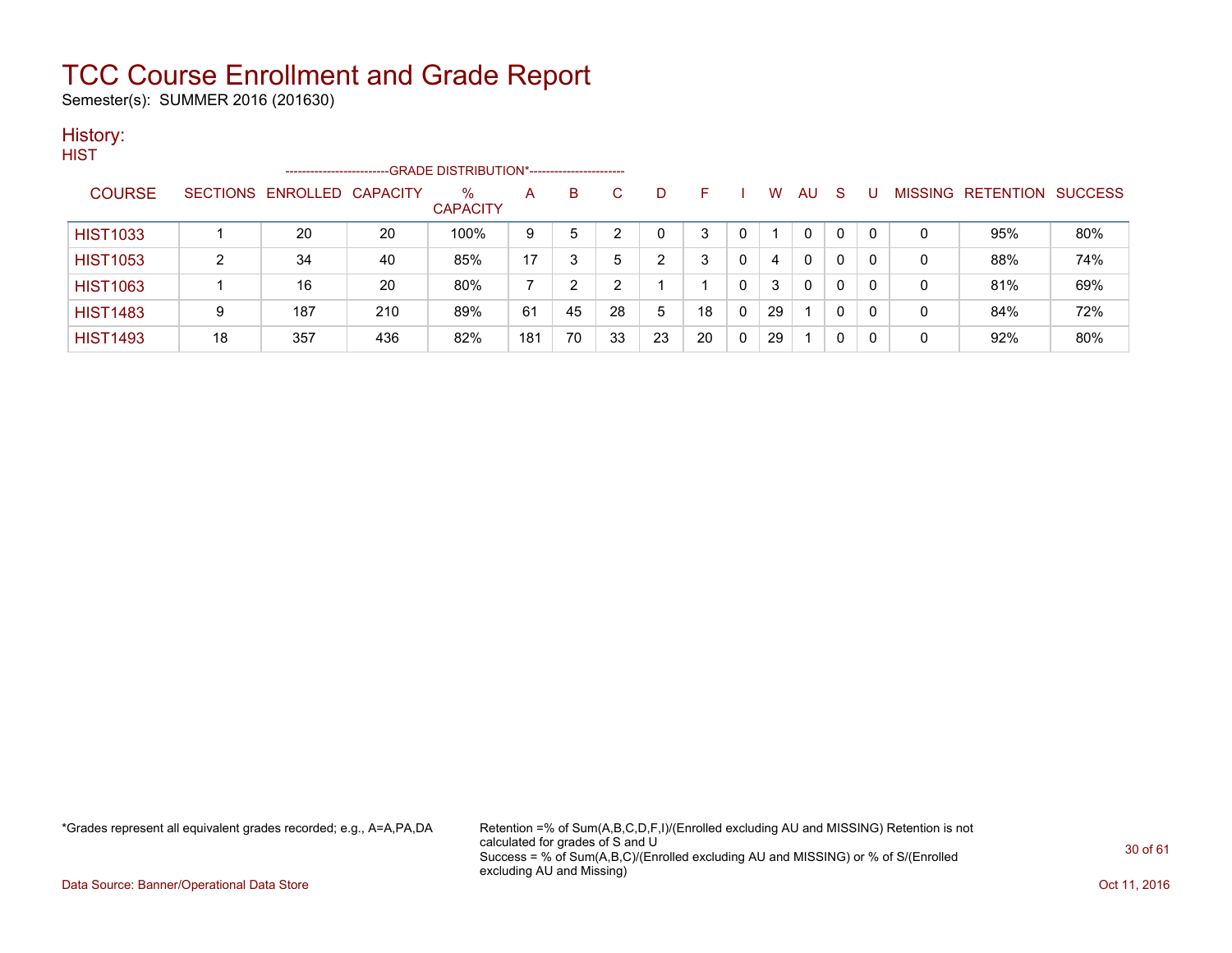Semester(s): SUMMER 2016 (201630)

#### History:

| HIST            |                 | ------------------ |     | -GRADE DISTRIBUTION*----------------------- |     |    |    |    |    |   |    |              |              |              |   |                   |                |
|-----------------|-----------------|--------------------|-----|---------------------------------------------|-----|----|----|----|----|---|----|--------------|--------------|--------------|---|-------------------|----------------|
| <b>COURSE</b>   | <b>SECTIONS</b> | ENROLLED CAPACITY  |     | $\%$<br><b>CAPACITY</b>                     | A   | B  | C  | D. | F  |   | w  | AU           | <sub>S</sub> |              |   | MISSING RETENTION | <b>SUCCESS</b> |
| <b>HIST1033</b> |                 | 20                 | 20  | 100%                                        | 9   | 5  |    |    | 3  |   |    | 0            | $\Omega$     | $\mathbf{0}$ |   | 95%               | 80%            |
| <b>HIST1053</b> | ົ               | 34                 | 40  | 85%                                         | 17  | 3  | 5  | ົ  | 3  | 0 | 4  | 0            | 0            | 0            | 0 | 88%               | 74%            |
| <b>HIST1063</b> |                 | 16                 | 20  | 80%                                         |     | າ  |    |    |    | 0 | 3  | $\mathbf{0}$ | $\Omega$     | 0            | 0 | 81%               | 69%            |
| <b>HIST1483</b> | 9               | 187                | 210 | 89%                                         | 61  | 45 | 28 | 5  | 18 | 0 | 29 |              | 0            | 0            | 0 | 84%               | 72%            |
| <b>HIST1493</b> | 18              | 357                | 436 | 82%                                         | 181 | 70 | 33 | 23 | 20 | 0 | 29 |              | 0            | 0            | 0 | 92%               | 80%            |

\*Grades represent all equivalent grades recorded; e.g., A=A,PA,DA Retention =% of Sum(A,B,C,D,F,I)/(Enrolled excluding AU and MISSING) Retention is not calculated for grades of S and U Success = % of Sum(A,B,C)/(Enrolled excluding AU and MISSING) or % of S/(Enrolled excluding AU and Missing)

Data Source: Banner/Operational Data Store **Contract of the Contract of Contract Contract of the Contract Oct 11, 2016**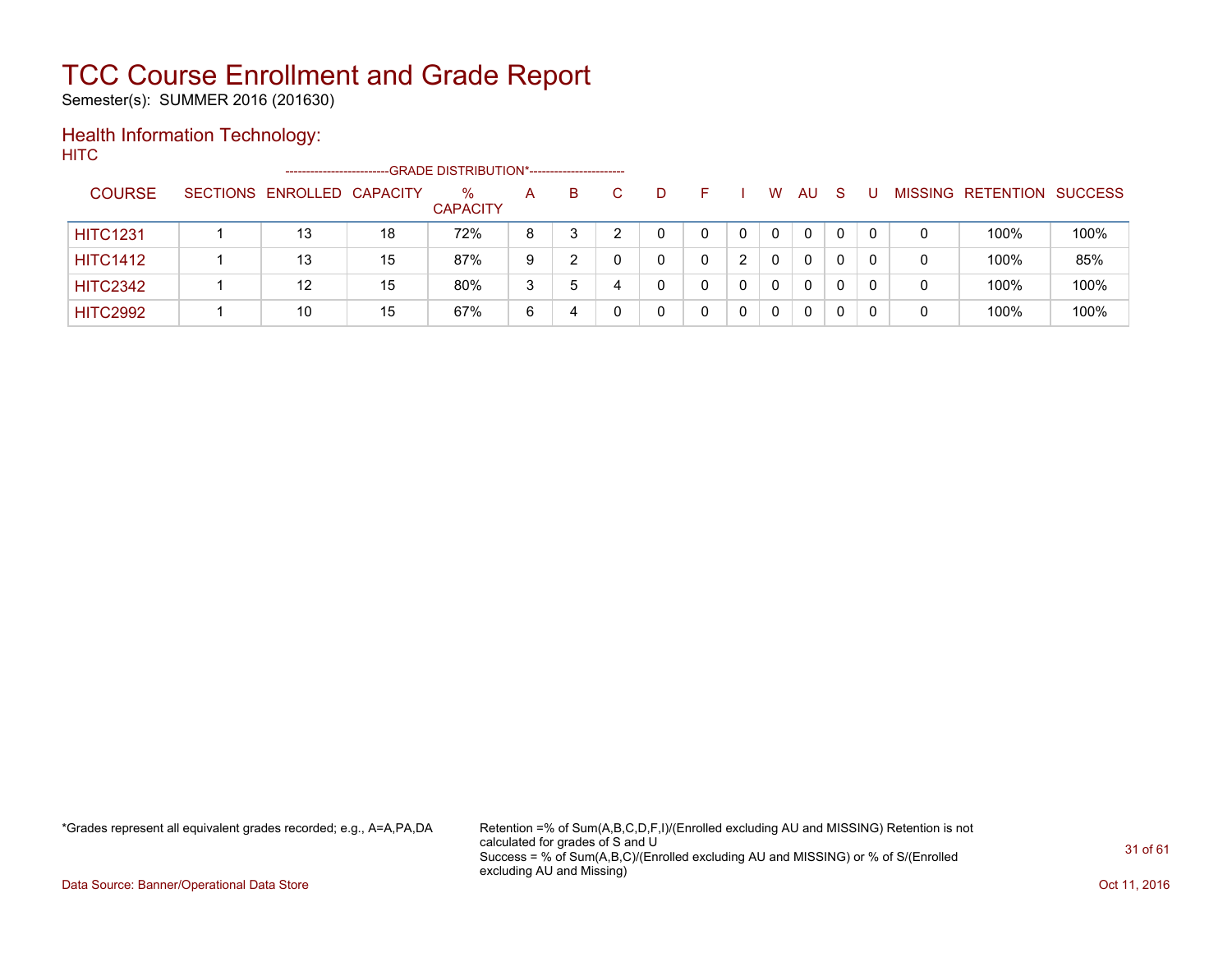Semester(s): SUMMER 2016 (201630)

### Health Information Technology:

**HITC** 

|                 | --------------------       |    | -GRADE DISTRIBUTION*----------------------- |   |    |   |   |              |    |    |  |                           |      |
|-----------------|----------------------------|----|---------------------------------------------|---|----|---|---|--------------|----|----|--|---------------------------|------|
| <b>COURSE</b>   | SECTIONS ENROLLED CAPACITY |    | $\%$<br><b>CAPACITY</b>                     | A | B. | D |   | W            | AU | -S |  | MISSING RETENTION SUCCESS |      |
| <b>HITC1231</b> | 13                         | 18 | 72%                                         | 8 |    |   |   | $\mathbf{0}$ | 0  | 0  |  | 100%                      | 100% |
| <b>HITC1412</b> | 13                         | 15 | 87%                                         | 9 |    |   | ົ | $\Omega$     | 0  | 0  |  | 100%                      | 85%  |
| <b>HITC2342</b> | 12                         | 15 | 80%                                         | 3 | 5  |   |   | $\mathbf{0}$ | 0  | 0  |  | 100%                      | 100% |
| <b>HITC2992</b> | 10                         | 15 | 67%                                         | 6 | 4  |   |   | $\mathbf 0$  | 0  |    |  | 100%                      | 100% |

\*Grades represent all equivalent grades recorded; e.g., A=A,PA,DA Retention =% of Sum(A,B,C,D,F,I)/(Enrolled excluding AU and MISSING) Retention is not calculated for grades of S and U Success = % of Sum(A,B,C)/(Enrolled excluding AU and MISSING) or % of S/(Enrolled excluding AU and Missing)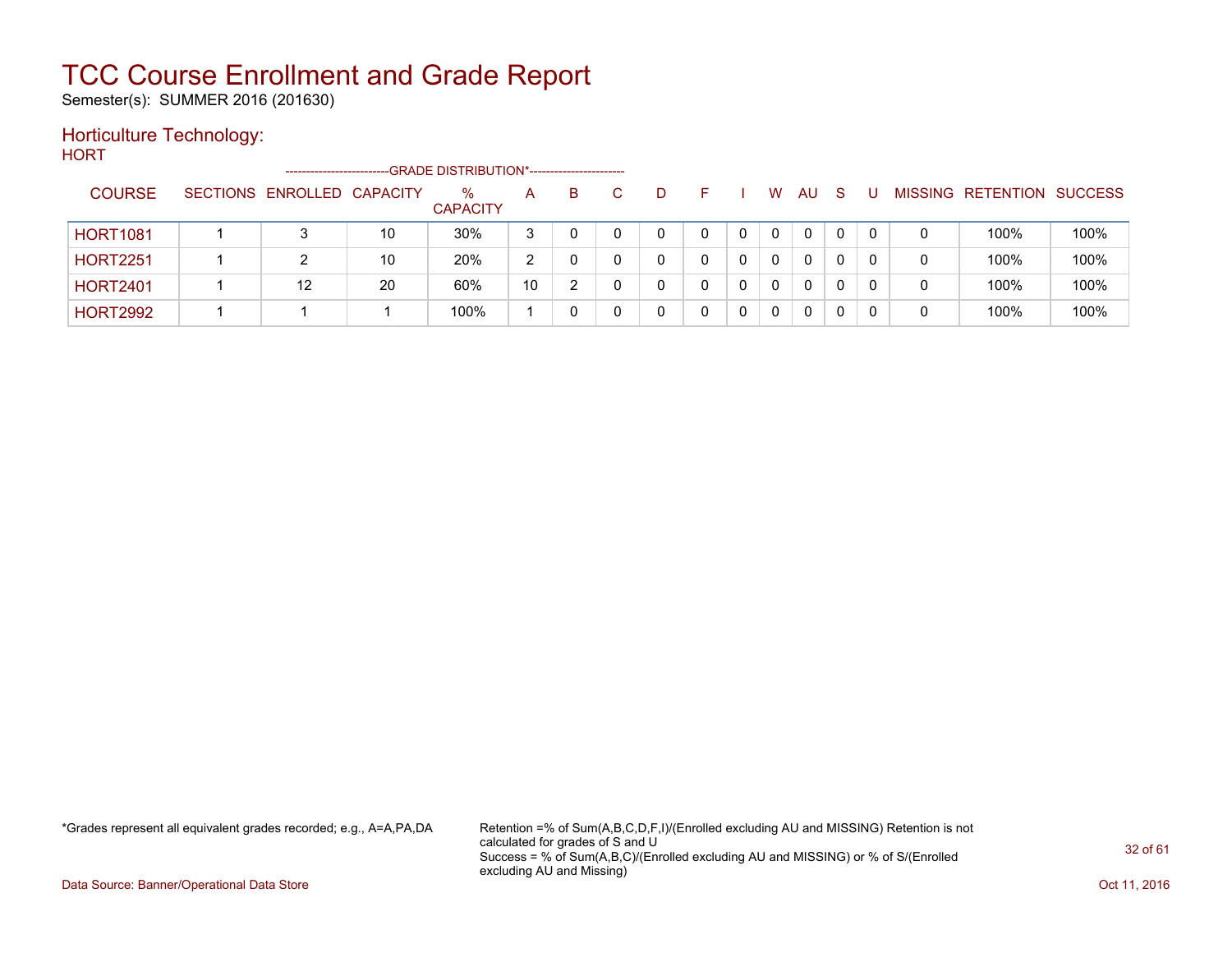Semester(s): SUMMER 2016 (201630)

#### Horticulture Technology:

**HORT** 

|                 | -----------------------    |    | --GRADE DISTRIBUTION*------------------------ |    |    |   |  |   |          |    |   |                          |                |
|-----------------|----------------------------|----|-----------------------------------------------|----|----|---|--|---|----------|----|---|--------------------------|----------------|
| <b>COURSE</b>   | SECTIONS ENROLLED CAPACITY |    | %<br><b>CAPACITY</b>                          | A  | B. | D |  | W | AU.      | -S |   | <b>MISSING RETENTION</b> | <b>SUCCESS</b> |
| <b>HORT1081</b> |                            | 10 | 30%                                           | 3  |    |   |  | 0 | 0        |    | 0 | 100%                     | 100%           |
| <b>HORT2251</b> |                            | 10 | 20%                                           | 2  |    |   |  | 0 | $\Omega$ |    | 0 | 100%                     | 100%           |
| <b>HORT2401</b> | 12                         | 20 | 60%                                           | 10 |    |   |  | 0 | 0        |    | 0 | 100%                     | 100%           |
| <b>HORT2992</b> |                            |    | 100%                                          |    |    |   |  |   | 0        |    | 0 | 100%                     | 100%           |

\*Grades represent all equivalent grades recorded; e.g., A=A,PA,DA Retention =% of Sum(A,B,C,D,F,I)/(Enrolled excluding AU and MISSING) Retention is not calculated for grades of S and U Success = % of Sum(A,B,C)/(Enrolled excluding AU and MISSING) or % of S/(Enrolled excluding AU and Missing)

Data Source: Banner/Operational Data Store **Contract of the Contract of Contract Contract of the Contract Oct 11, 2016**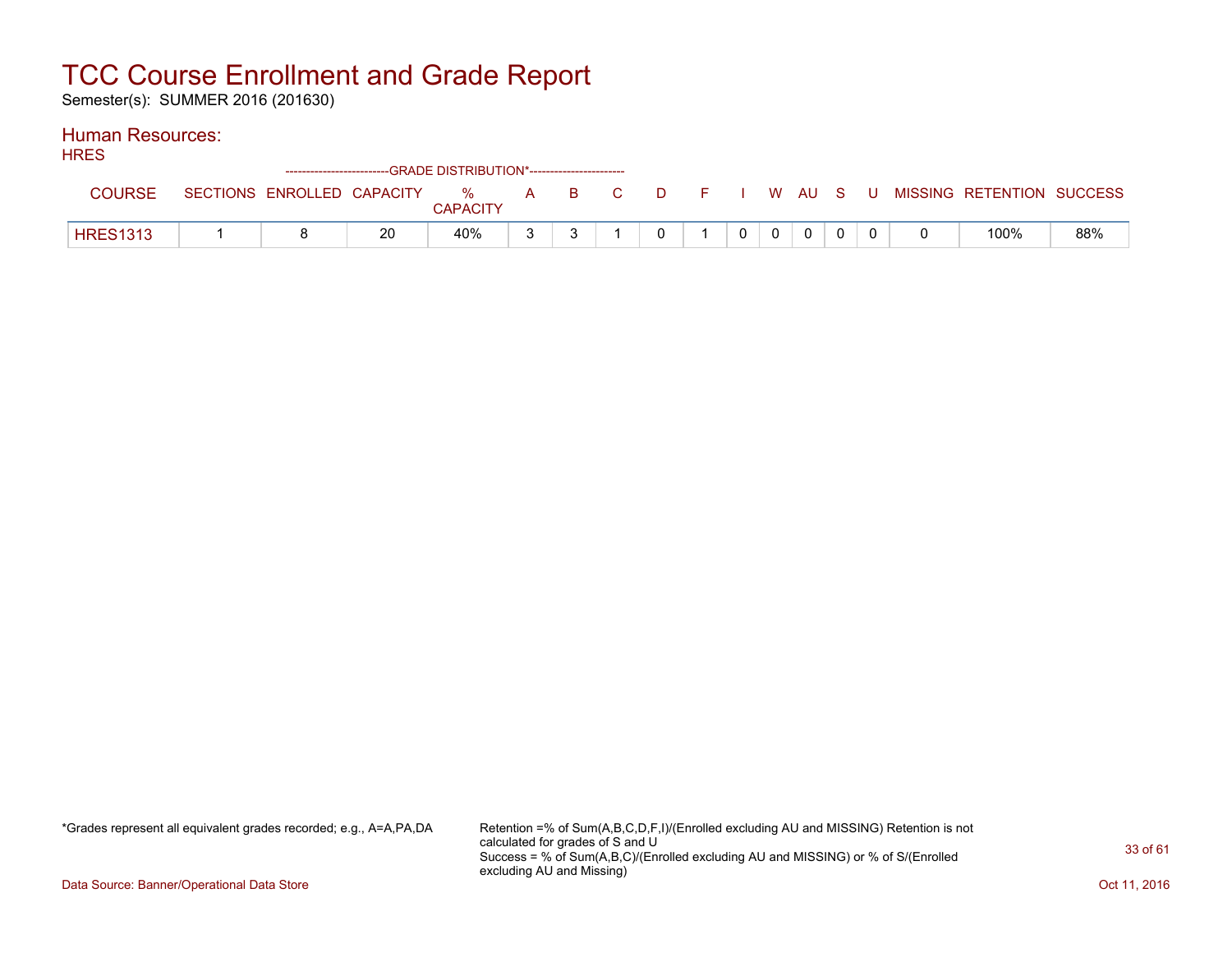Semester(s): SUMMER 2016 (201630)

#### Human Resources:

| <b>HRES</b>     |  |    | ---GRADE DISTRIBUTION*------------------------ |              |                |  |       |          |  |                                                                               |     |
|-----------------|--|----|------------------------------------------------|--------------|----------------|--|-------|----------|--|-------------------------------------------------------------------------------|-----|
| <b>COURSE</b>   |  |    | <b>CAPACITY</b>                                |              |                |  |       |          |  | SECTIONS ENROLLED CAPACITY 3 % A B C D F I W AU S U MISSING RETENTION SUCCESS |     |
| <b>HRES1313</b> |  | 20 | 40%                                            | $\mathbf{r}$ | $\overline{0}$ |  | $0$ 0 | $\Omega$ |  | 100%                                                                          | 88% |

\*Grades represent all equivalent grades recorded; e.g., A=A,PA,DA Retention =% of Sum(A,B,C,D,F,I)/(Enrolled excluding AU and MISSING) Retention is not calculated for grades of S and U Success = % of Sum(A,B,C)/(Enrolled excluding AU and MISSING) or % of S/(Enrolled excluding AU and Missing)

Data Source: Banner/Operational Data Store **Contract of the Contract of Contract Contract of the Contract Oct 11, 2016**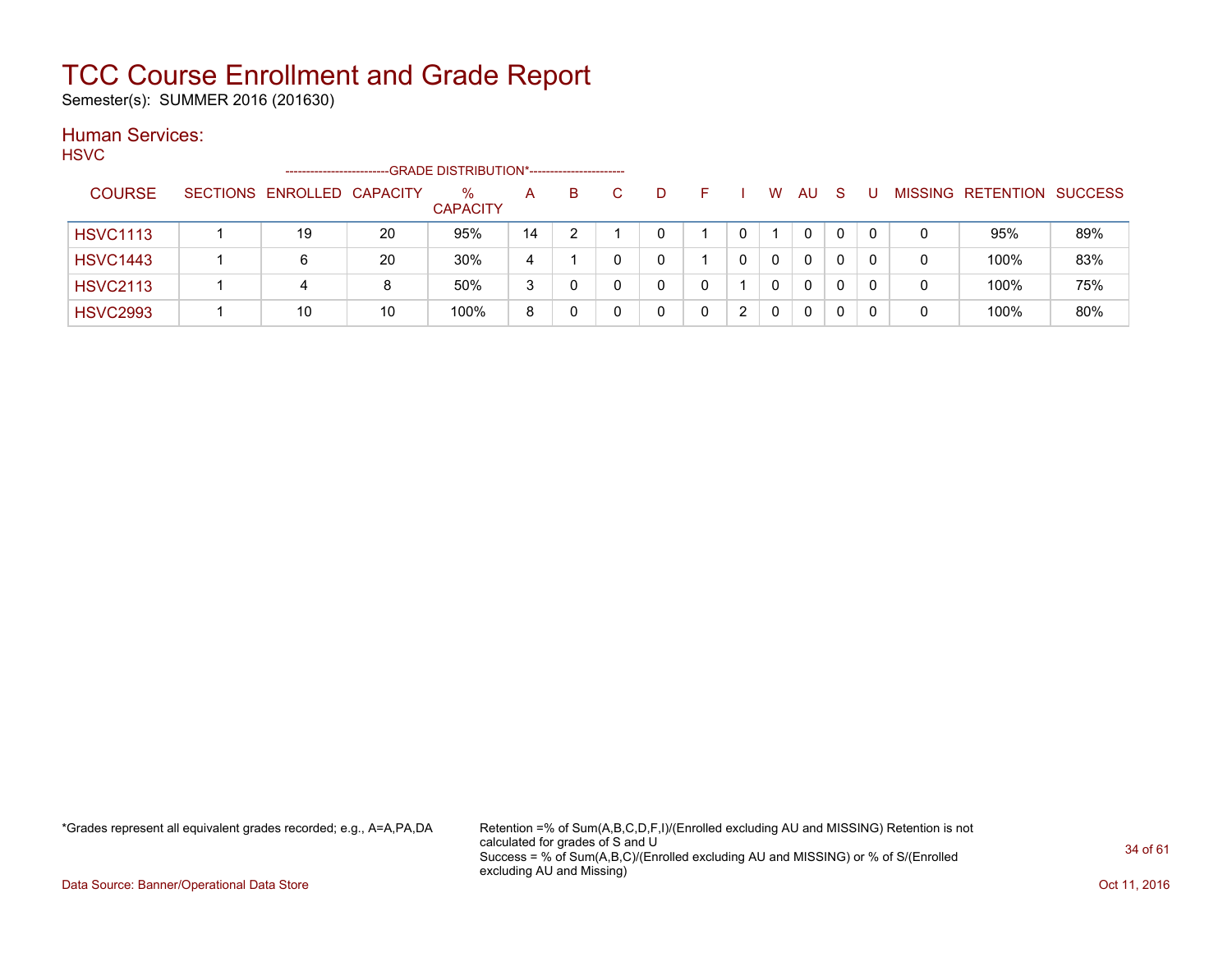Semester(s): SUMMER 2016 (201630)

#### Human Services:

**HSVC** 

|                 |                 | ---------------------- |    | -GRADE DISTRIBUTION*---------------------- |    |   |   |  |   |    |              |              |                |           |                |
|-----------------|-----------------|------------------------|----|--------------------------------------------|----|---|---|--|---|----|--------------|--------------|----------------|-----------|----------------|
| <b>COURSE</b>   | <b>SECTIONS</b> | ENROLLED CAPACITY      |    | $\%$<br><b>CAPACITY</b>                    | A  | B | D |  | W | AU | <sub>S</sub> |              | <b>MISSING</b> | RETENTION | <b>SUCCESS</b> |
| <b>HSVC1113</b> |                 | 19                     | 20 | 95%                                        | 14 |   | 0 |  |   | 0  | $\Omega$     | $\Omega$     | 0              | 95%       | 89%            |
| <b>HSVC1443</b> |                 |                        | 20 | 30%                                        | 4  |   | U |  | 0 |    |              | 0            | 0              | 100%      | 83%            |
| <b>HSVC2113</b> |                 | 4                      | 8  | 50%                                        | 3  |   | ∩ |  | 0 |    |              | <sup>0</sup> | 0              | 100%      | 75%            |
| <b>HSVC2993</b> |                 | 10                     | 10 | 100%                                       | 8  |   |   |  | 0 |    |              | 0            | 0              | 100%      | 80%            |

\*Grades represent all equivalent grades recorded; e.g., A=A,PA,DA Retention =% of Sum(A,B,C,D,F,I)/(Enrolled excluding AU and MISSING) Retention is not calculated for grades of S and U Success = % of Sum(A,B,C)/(Enrolled excluding AU and MISSING) or % of S/(Enrolled excluding AU and Missing)

Data Source: Banner/Operational Data Store **Contract of the Contract of Contract Contract of the Contract Oct 11, 2016**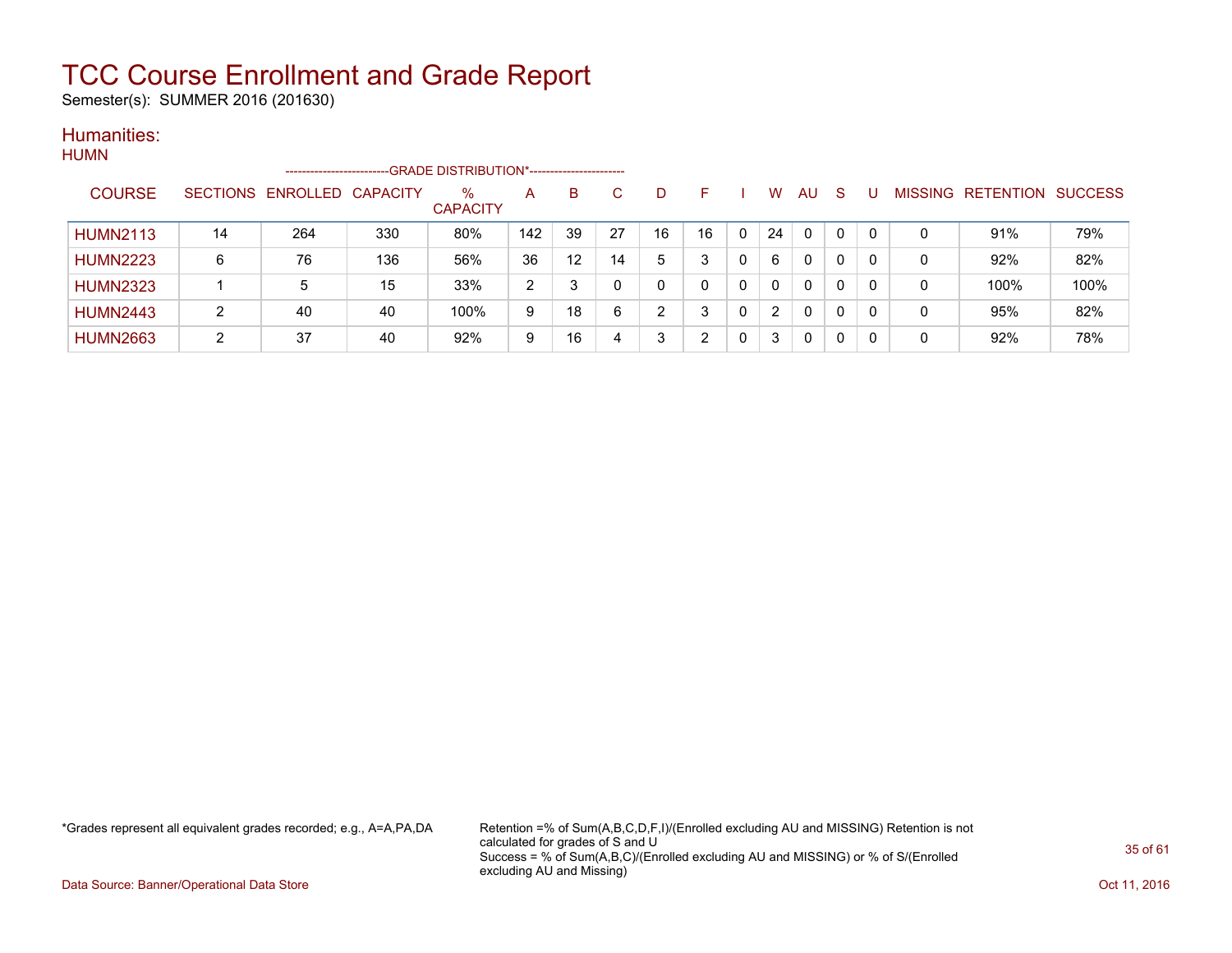Semester(s): SUMMER 2016 (201630)

#### Humanities: HUMN

| <b>TIONIY</b> |                 |    | ----------------------     |     | -GRADE DISTRIBUTION*---------------------- |     |    |    |    |    |   |    |              |          |          |   |                   |                |
|---------------|-----------------|----|----------------------------|-----|--------------------------------------------|-----|----|----|----|----|---|----|--------------|----------|----------|---|-------------------|----------------|
|               | <b>COURSE</b>   |    | SECTIONS ENROLLED CAPACITY |     | $\%$<br><b>CAPACITY</b>                    | A   | B. | C. | D  | н. |   | W  | <b>AU</b>    | -S       |          |   | MISSING RETENTION | <b>SUCCESS</b> |
|               | <b>HUMN2113</b> | 14 | 264                        | 330 | 80%                                        | 142 | 39 | 27 | 16 | 16 | 0 | 24 | 0            |          | $\Omega$ | 0 | 91%               | 79%            |
|               | <b>HUMN2223</b> | 6  | 76                         | 136 | 56%                                        | 36  | 12 | 14 | 5  | 3  | 0 | 6  | $\mathbf{0}$ | $\Omega$ | $\Omega$ | 0 | 92%               | 82%            |
|               | <b>HUMN2323</b> |    | 5                          | 15  | 33%                                        | 2   |    |    | 0  |    | 0 | 0  | $\mathbf{0}$ | 0        | $\Omega$ | 0 | 100%              | 100%           |
|               | <b>HUMN2443</b> | 2  | 40                         | 40  | 100%                                       | 9   | 18 | 6  | ົ  | 3  | 0 | 2  | 0            | $\Omega$ | 0        | 0 | 95%               | 82%            |
|               | <b>HUMN2663</b> | າ  | 37                         | 40  | 92%                                        | 9   | 16 |    | 3  | ົ  | 0 | 3  | $\mathbf{0}$ | $\Omega$ | 0        | 0 | 92%               | 78%            |

\*Grades represent all equivalent grades recorded; e.g., A=A,PA,DA Retention =% of Sum(A,B,C,D,F,I)/(Enrolled excluding AU and MISSING) Retention is not calculated for grades of S and U Success = % of Sum(A,B,C)/(Enrolled excluding AU and MISSING) or % of S/(Enrolled excluding AU and Missing)

Data Source: Banner/Operational Data Store **Contract of the Contract of Contract of Contract of the Contract of the Contract of the Contract of the Contract of the Contract of the Contract of the Contract of the Contract o**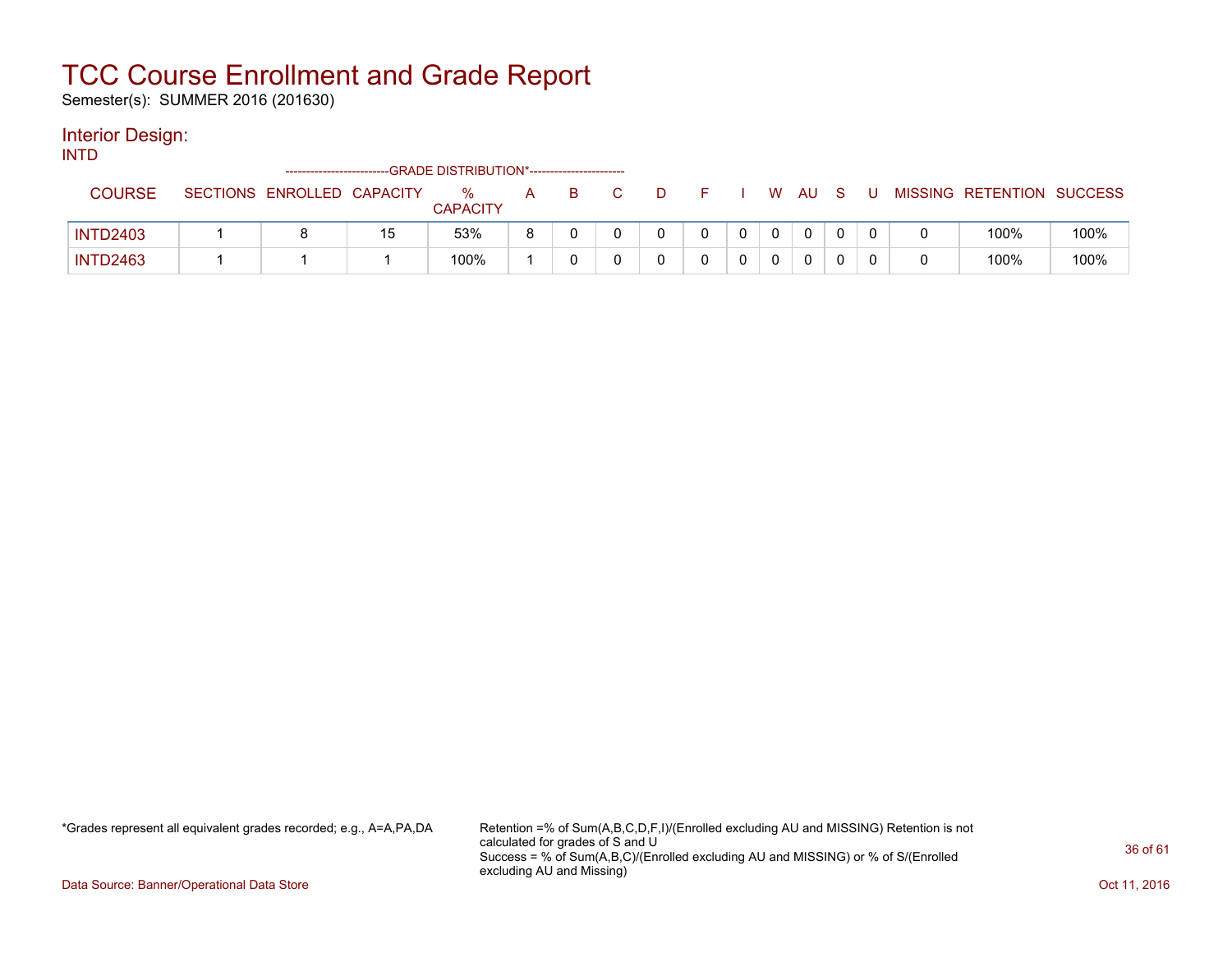Semester(s): SUMMER 2016 (201630)

#### Interior Design:

INTD

|                 |                            |    | ------------------------GRADE DISTRIBUTION*----------------------- |   |  |   |  |   |     |  |                           |      |
|-----------------|----------------------------|----|--------------------------------------------------------------------|---|--|---|--|---|-----|--|---------------------------|------|
| COURSE          | SECTIONS ENROLLED CAPACITY |    | ℅<br><b>CAPACITY</b>                                               | А |  | D |  | W | AU. |  | MISSING RETENTION SUCCESS |      |
| <b>INTD2403</b> |                            | 15 | 53%                                                                | я |  |   |  |   |     |  | 100%                      | 100% |
| <b>INTD2463</b> |                            |    | 100%                                                               |   |  |   |  |   |     |  | 100%                      | 100% |

\*Grades represent all equivalent grades recorded; e.g., A=A,PA,DA Retention =% of Sum(A,B,C,D,F,I)/(Enrolled excluding AU and MISSING) Retention is not calculated for grades of S and U Success = % of Sum(A,B,C)/(Enrolled excluding AU and MISSING) or % of S/(Enrolled excluding AU and Missing)

Data Source: Banner/Operational Data Store **Contract of the Contract of Contract Contract of the Contract Oct 11, 2016**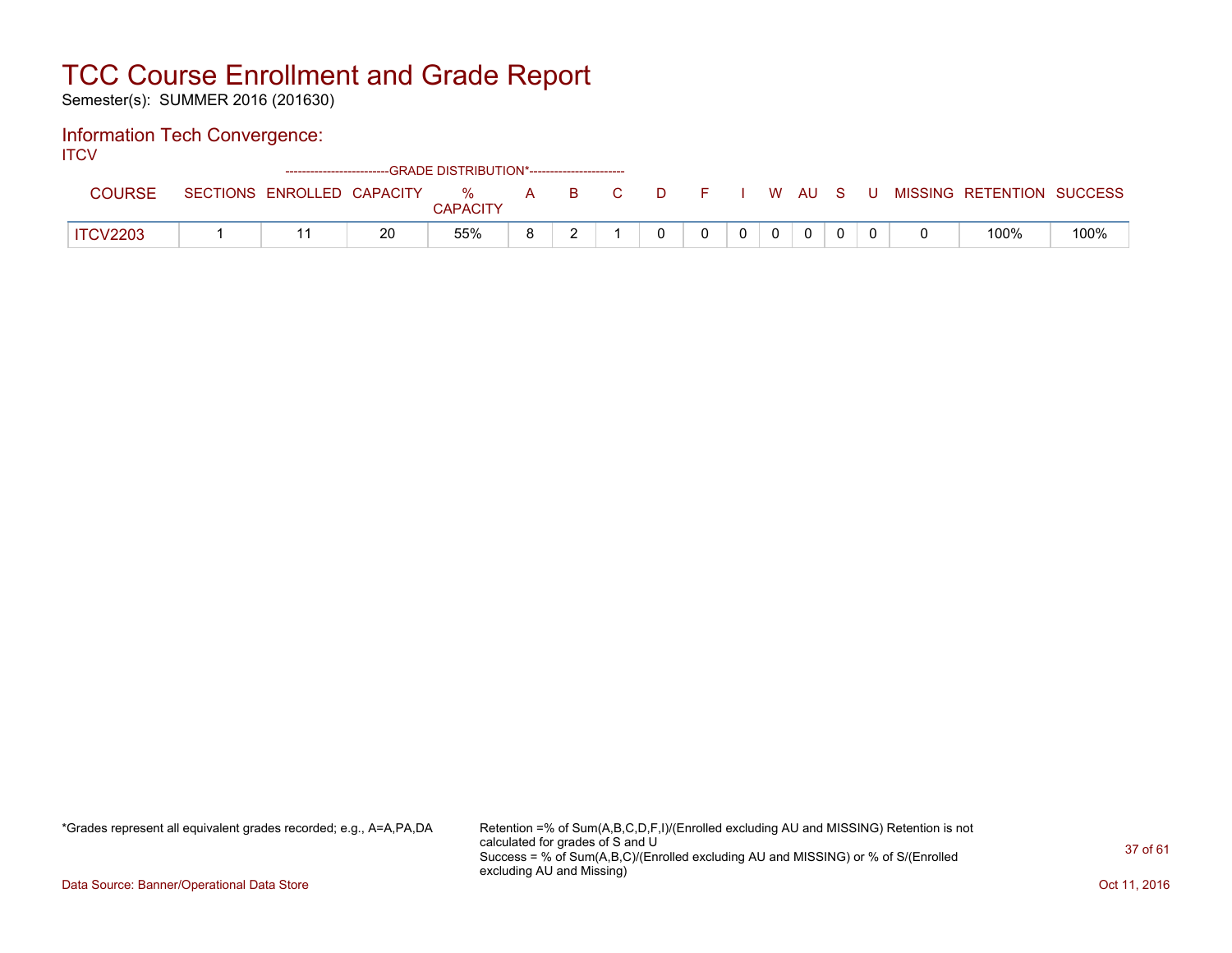Semester(s): SUMMER 2016 (201630)

#### Information Tech Convergence:

**ITCV** 

|                 |                 |                   | ------------------------GRADE DISTRIBUTION*----------------------- |                      |   |    |   |  |   |    |  |                |                   |      |
|-----------------|-----------------|-------------------|--------------------------------------------------------------------|----------------------|---|----|---|--|---|----|--|----------------|-------------------|------|
| <b>COURSE</b>   | <b>SECTIONS</b> | ENROLLED CAPACITY |                                                                    | %<br><b>CAPACITY</b> | A | B. | D |  | W | AU |  | <b>MISSING</b> | RETENTION SUCCESS |      |
| <b>ITCV2203</b> |                 |                   | 20                                                                 | 55%                  |   |    |   |  |   |    |  |                | 100%              | 100% |

\*Grades represent all equivalent grades recorded; e.g., A=A,PA,DA Retention =% of Sum(A,B,C,D,F,I)/(Enrolled excluding AU and MISSING) Retention is not calculated for grades of S and U Success = % of Sum(A,B,C)/(Enrolled excluding AU and MISSING) or % of S/(Enrolled excluding AU and Missing)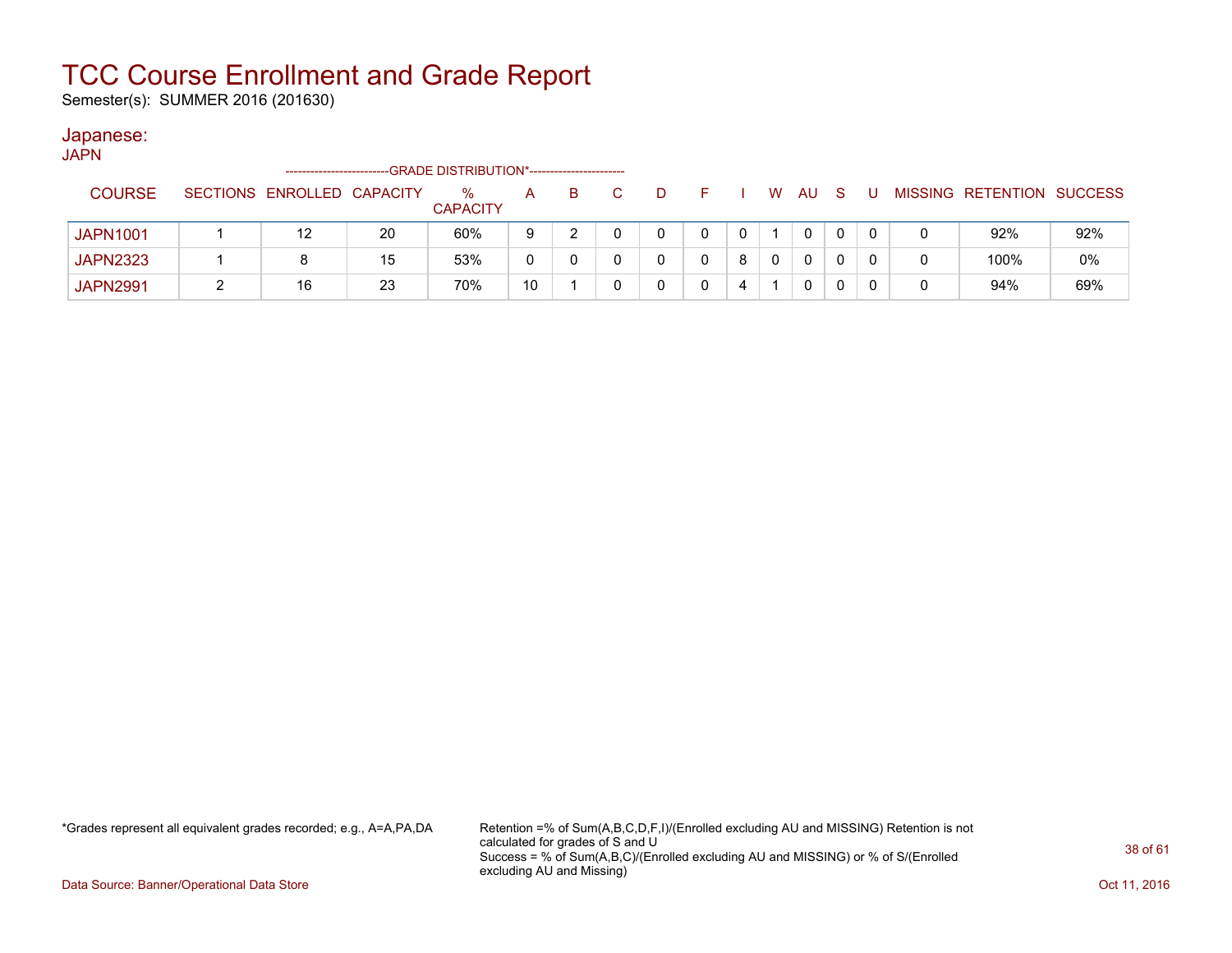Semester(s): SUMMER 2016 (201630)

#### Japanese:

**JAPN** 

|                 | ------------------------   |    | -GRADE DISTRIBUTION*---------------------- |    |    |  |   |   |     |   |   |                           |     |
|-----------------|----------------------------|----|--------------------------------------------|----|----|--|---|---|-----|---|---|---------------------------|-----|
| <b>COURSE</b>   | SECTIONS ENROLLED CAPACITY |    | $\%$<br><b>CAPACITY</b>                    | A  | B. |  |   | W | AU. | S |   | MISSING RETENTION SUCCESS |     |
| <b>JAPN1001</b> |                            | 20 | 60%                                        | 9  |    |  |   |   | 0   |   |   | 92%                       | 92% |
| <b>JAPN2323</b> |                            | 15 | 53%                                        | 0  |    |  | 8 |   | 0   |   |   | 100%                      | 0%  |
| <b>JAPN2991</b> | 16                         | 23 | 70%                                        | 10 |    |  |   |   | 0   |   | 0 | 94%                       | 69% |

\*Grades represent all equivalent grades recorded; e.g., A=A,PA,DA Retention =% of Sum(A,B,C,D,F,I)/(Enrolled excluding AU and MISSING) Retention is not calculated for grades of S and U Success = % of Sum(A,B,C)/(Enrolled excluding AU and MISSING) or % of S/(Enrolled excluding AU and Missing)

Data Source: Banner/Operational Data Store **Contract of the Contract of Contract Contract of the Contract Oct 11, 2016**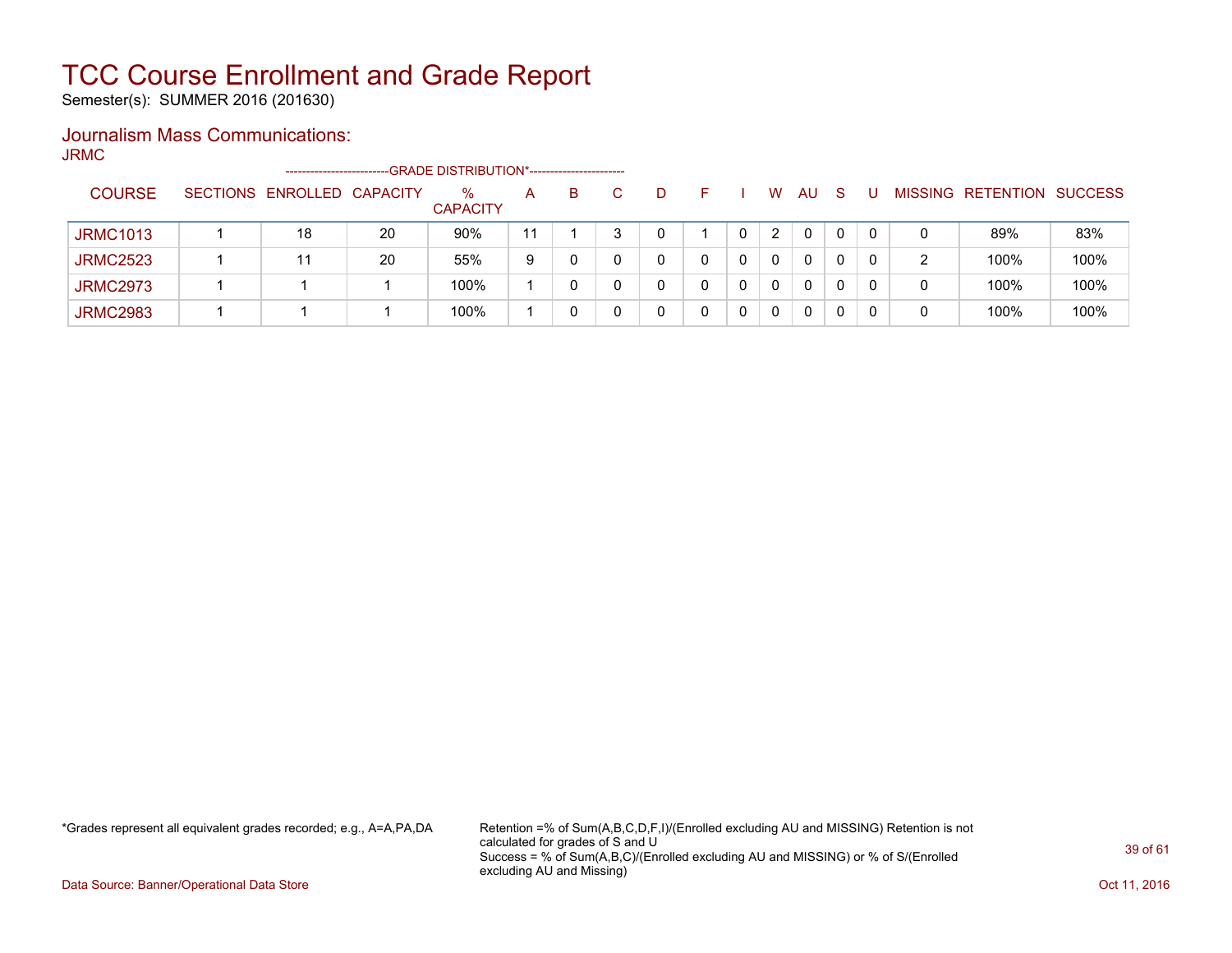Semester(s): SUMMER 2016 (201630)

### Journalism Mass Communications:

JRMC

|                 | -----------------------    |    | -GRADE DISTRIBUTION*----------------------- |    |    |        |   |                       |    |    |              |   |                   |                |
|-----------------|----------------------------|----|---------------------------------------------|----|----|--------|---|-----------------------|----|----|--------------|---|-------------------|----------------|
| <b>COURSE</b>   | SECTIONS ENROLLED CAPACITY |    | %<br><b>CAPACITY</b>                        | A  | B. | D      |   | W                     | AU | -S |              |   | MISSING RETENTION | <b>SUCCESS</b> |
| <b>JRMC1013</b> | 18                         | 20 | 90%                                         | 11 |    | $\cap$ |   | $\mathbf{2}^{\prime}$ | 0  |    | $\Omega$     | 0 | 89%               | 83%            |
| <b>JRMC2523</b> |                            | 20 | 55%                                         | 9  |    | 0      |   | 0                     | 0  |    | $\mathbf{0}$ | 2 | 100%              | 100%           |
| <b>JRMC2973</b> |                            |    | 100%                                        |    |    |        | 0 | 0                     | 0  |    | 0            | 0 | 100%              | 100%           |
| <b>JRMC2983</b> |                            |    | 100%                                        |    |    |        | 0 | 0                     |    |    |              | 0 | 100%              | 100%           |

\*Grades represent all equivalent grades recorded; e.g., A=A,PA,DA Retention =% of Sum(A,B,C,D,F,I)/(Enrolled excluding AU and MISSING) Retention is not calculated for grades of S and U Success = % of Sum(A,B,C)/(Enrolled excluding AU and MISSING) or % of S/(Enrolled excluding AU and Missing)

Data Source: Banner/Operational Data Store **Contract of the Contract of Contract Contract of the Contract Oct 11, 2016**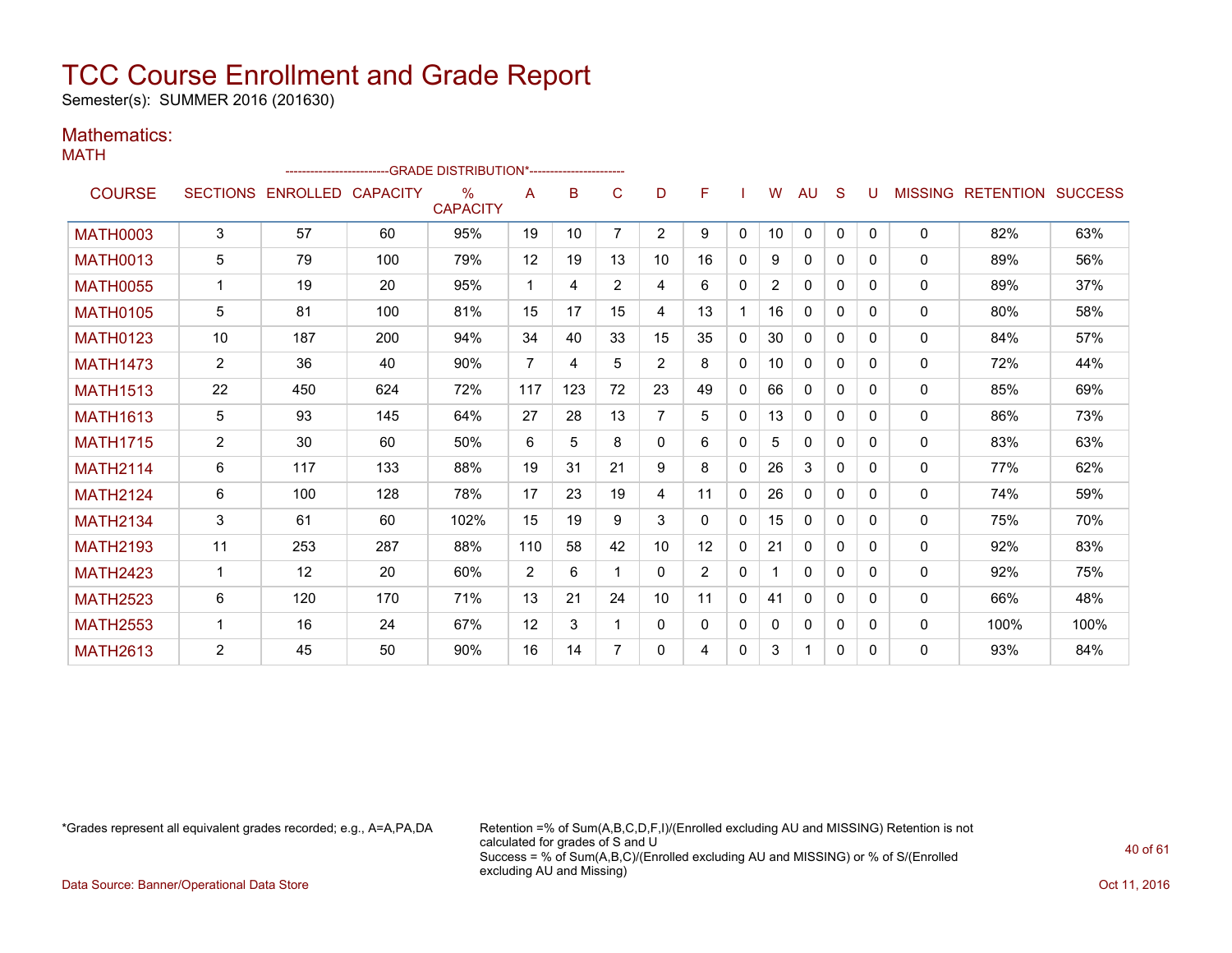Semester(s): SUMMER 2016 (201630)

#### Mathematics: MATH

|                 |                |                            | --------------------------GRADE                DISTRIBUTION*--------------------- |                         |                |     |                |                |                |              |                |              |              |              |              |                                  |      |
|-----------------|----------------|----------------------------|-----------------------------------------------------------------------------------|-------------------------|----------------|-----|----------------|----------------|----------------|--------------|----------------|--------------|--------------|--------------|--------------|----------------------------------|------|
| <b>COURSE</b>   |                | SECTIONS ENROLLED CAPACITY |                                                                                   | $\%$<br><b>CAPACITY</b> | A              | B   | C              | D              | F              |              | W              | AU           | S            | U            |              | <b>MISSING RETENTION SUCCESS</b> |      |
| <b>MATH0003</b> | 3              | 57                         | 60                                                                                | 95%                     | 19             | 10  | 7              | $\overline{2}$ | 9              | $\mathbf{0}$ | 10             | $\mathbf{0}$ | $\Omega$     | $\Omega$     | $\mathbf{0}$ | 82%                              | 63%  |
| <b>MATH0013</b> | 5              | 79                         | 100                                                                               | 79%                     | 12             | 19  | 13             | 10             | 16             | $\Omega$     | 9              | 0            | $\mathbf{0}$ | $\Omega$     | $\mathbf{0}$ | 89%                              | 56%  |
| <b>MATH0055</b> | $\mathbf 1$    | 19                         | 20                                                                                | 95%                     | 1              | 4   | $\overline{2}$ | 4              | 6              | $\Omega$     | $\overline{2}$ | $\mathbf{0}$ | $\Omega$     | $\Omega$     | $\mathbf{0}$ | 89%                              | 37%  |
| <b>MATH0105</b> | 5              | 81                         | 100                                                                               | 81%                     | 15             | 17  | 15             | 4              | 13             |              | 16             | $\mathbf{0}$ | $\Omega$     | $\Omega$     | 0            | 80%                              | 58%  |
| <b>MATH0123</b> | 10             | 187                        | 200                                                                               | 94%                     | 34             | 40  | 33             | 15             | 35             | $\Omega$     | 30             | $\mathbf{0}$ | $\mathbf{0}$ | $\Omega$     | 0            | 84%                              | 57%  |
| <b>MATH1473</b> | $\overline{2}$ | 36                         | 40                                                                                | 90%                     | $\overline{7}$ | 4   | 5              | $\overline{2}$ | 8              | $\mathbf{0}$ | 10             | 0            | 0            | $\Omega$     | 0            | 72%                              | 44%  |
| <b>MATH1513</b> | 22             | 450                        | 624                                                                               | 72%                     | 117            | 123 | 72             | 23             | 49             | $\mathbf{0}$ | 66             | 0            | $\mathbf{0}$ | $\Omega$     | 0            | 85%                              | 69%  |
| <b>MATH1613</b> | 5              | 93                         | 145                                                                               | 64%                     | 27             | 28  | 13             | $\overline{7}$ | 5              | $\Omega$     | 13             | 0            | $\Omega$     | $\Omega$     | 0            | 86%                              | 73%  |
| <b>MATH1715</b> | $\overline{2}$ | 30                         | 60                                                                                | 50%                     | 6              | 5   | 8              | $\mathbf{0}$   | 6              | $\mathbf{0}$ | 5              | $\mathbf{0}$ | $\mathbf{0}$ | $\Omega$     | 0            | 83%                              | 63%  |
| <b>MATH2114</b> | 6              | 117                        | 133                                                                               | 88%                     | 19             | 31  | 21             | 9              | 8              | $\Omega$     | 26             | 3            | $\Omega$     | $\Omega$     | 0            | 77%                              | 62%  |
| <b>MATH2124</b> | 6              | 100                        | 128                                                                               | 78%                     | 17             | 23  | 19             | 4              | 11             | $\mathbf{0}$ | 26             | 0            | $\mathbf{0}$ | $\Omega$     | 0            | 74%                              | 59%  |
| <b>MATH2134</b> | 3              | 61                         | 60                                                                                | 102%                    | 15             | 19  | 9              | 3              | $\Omega$       | $\Omega$     | 15             | 0            | $\Omega$     | $\Omega$     | $\mathbf{0}$ | 75%                              | 70%  |
| <b>MATH2193</b> | 11             | 253                        | 287                                                                               | 88%                     | 110            | 58  | 42             | 10             | 12             | $\Omega$     | 21             | $\mathbf{0}$ | $\Omega$     | <sup>0</sup> | 0            | 92%                              | 83%  |
| <b>MATH2423</b> | $\mathbf{1}$   | 12                         | 20                                                                                | 60%                     | 2              | 6   | 1              | 0              | $\overline{2}$ | $\mathbf{0}$ |                | 0            | $\mathbf{0}$ | $\Omega$     | 0            | 92%                              | 75%  |
| <b>MATH2523</b> | 6              | 120                        | 170                                                                               | 71%                     | 13             | 21  | 24             | 10             | 11             | $\mathbf{0}$ | 41             | $\mathbf{0}$ | $\mathbf{0}$ | $\Omega$     | 0            | 66%                              | 48%  |
| <b>MATH2553</b> | $\mathbf 1$    | 16                         | 24                                                                                | 67%                     | 12             | 3   | 1              | 0              | 0              | 0            | $\Omega$       | 0            | 0            | $\Omega$     | 0            | 100%                             | 100% |
| <b>MATH2613</b> | 2              | 45                         | 50                                                                                | 90%                     | 16             | 14  | 7              | 0              | 4              | $\Omega$     | 3              | 1            | $\mathbf{0}$ | $\Omega$     | 0            | 93%                              | 84%  |

\*Grades represent all equivalent grades recorded; e.g., A=A,PA,DA Retention =% of Sum(A,B,C,D,F,I)/(Enrolled excluding AU and MISSING) Retention is not calculated for grades of S and U Success = % of Sum(A,B,C)/(Enrolled excluding AU and MISSING) or % of S/(Enrolled excluding AU and Missing)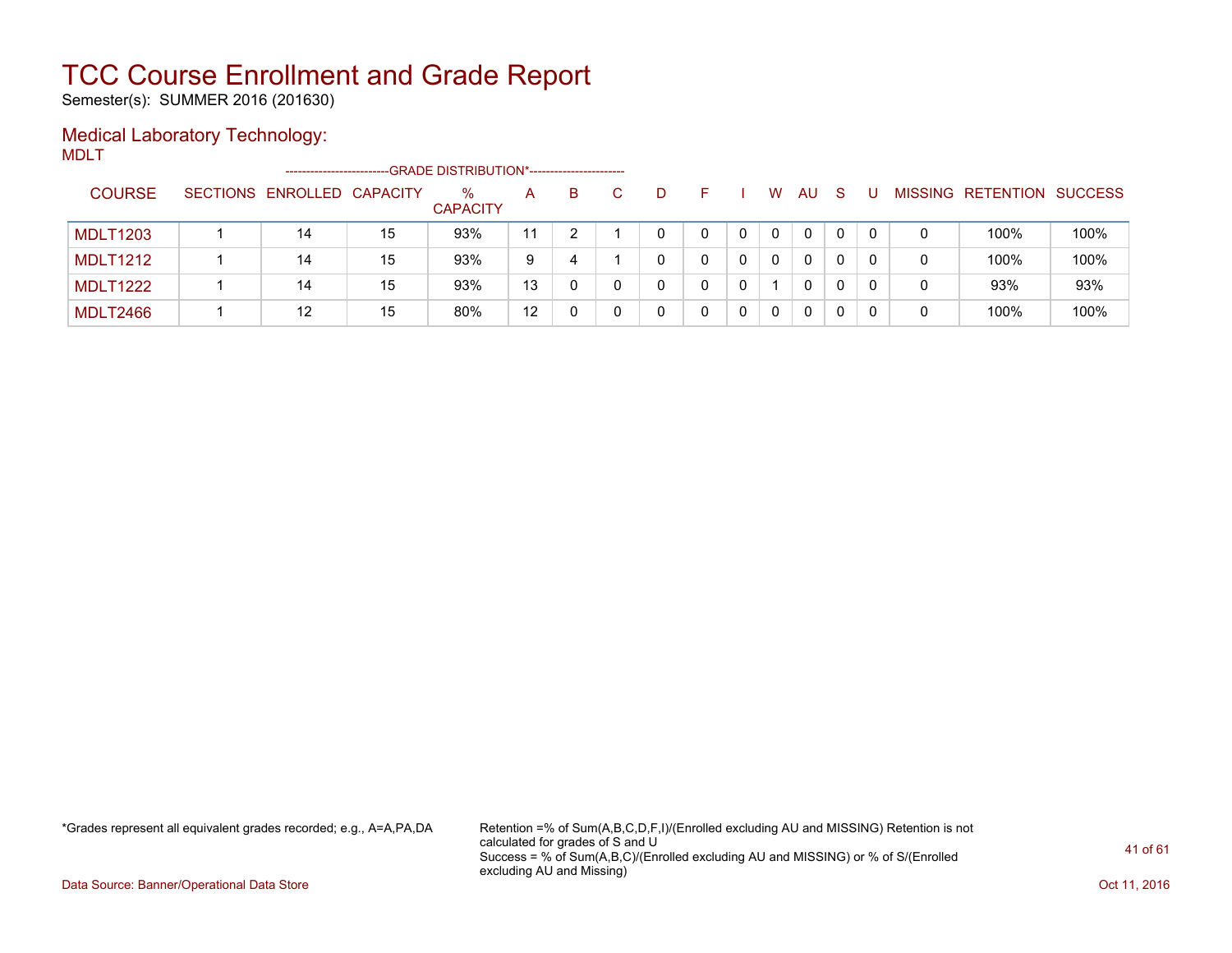Semester(s): SUMMER 2016 (201630)

### Medical Laboratory Technology:

MDLT

|                 | ------------------------   |    | --GRADE DISTRIBUTION*----------------------- |    |    |   |   |   |              |    |   |   |                   |                |
|-----------------|----------------------------|----|----------------------------------------------|----|----|---|---|---|--------------|----|---|---|-------------------|----------------|
| <b>COURSE</b>   | SECTIONS ENROLLED CAPACITY |    | $\%$<br><b>CAPACITY</b>                      | A  | B. | D |   | W | AU           | -S | U |   | MISSING RETENTION | <b>SUCCESS</b> |
| <b>MDLT1203</b> | 14                         | 15 | 93%                                          | 11 |    |   |   | 0 | $\mathbf{0}$ |    |   |   | 100%              | 100%           |
| <b>MDLT1212</b> | 14                         | 15 | 93%                                          | 9  | 4  |   |   | 0 | $\mathbf{0}$ |    |   | 0 | 100%              | 100%           |
| <b>MDLT1222</b> | 14                         | 15 | 93%                                          | 13 |    |   | 0 |   | $\mathbf{0}$ |    |   | 0 | 93%               | 93%            |
| <b>MDLT2466</b> | 12                         | 15 | 80%                                          | 12 |    |   |   | 0 | 0            |    |   | 0 | 100%              | 100%           |

\*Grades represent all equivalent grades recorded; e.g., A=A,PA,DA Retention =% of Sum(A,B,C,D,F,I)/(Enrolled excluding AU and MISSING) Retention is not calculated for grades of S and U Success = % of Sum(A,B,C)/(Enrolled excluding AU and MISSING) or % of S/(Enrolled excluding AU and Missing)

Data Source: Banner/Operational Data Store **Contract of the Contract of Contract Contract of the Contract Oct 11, 2016**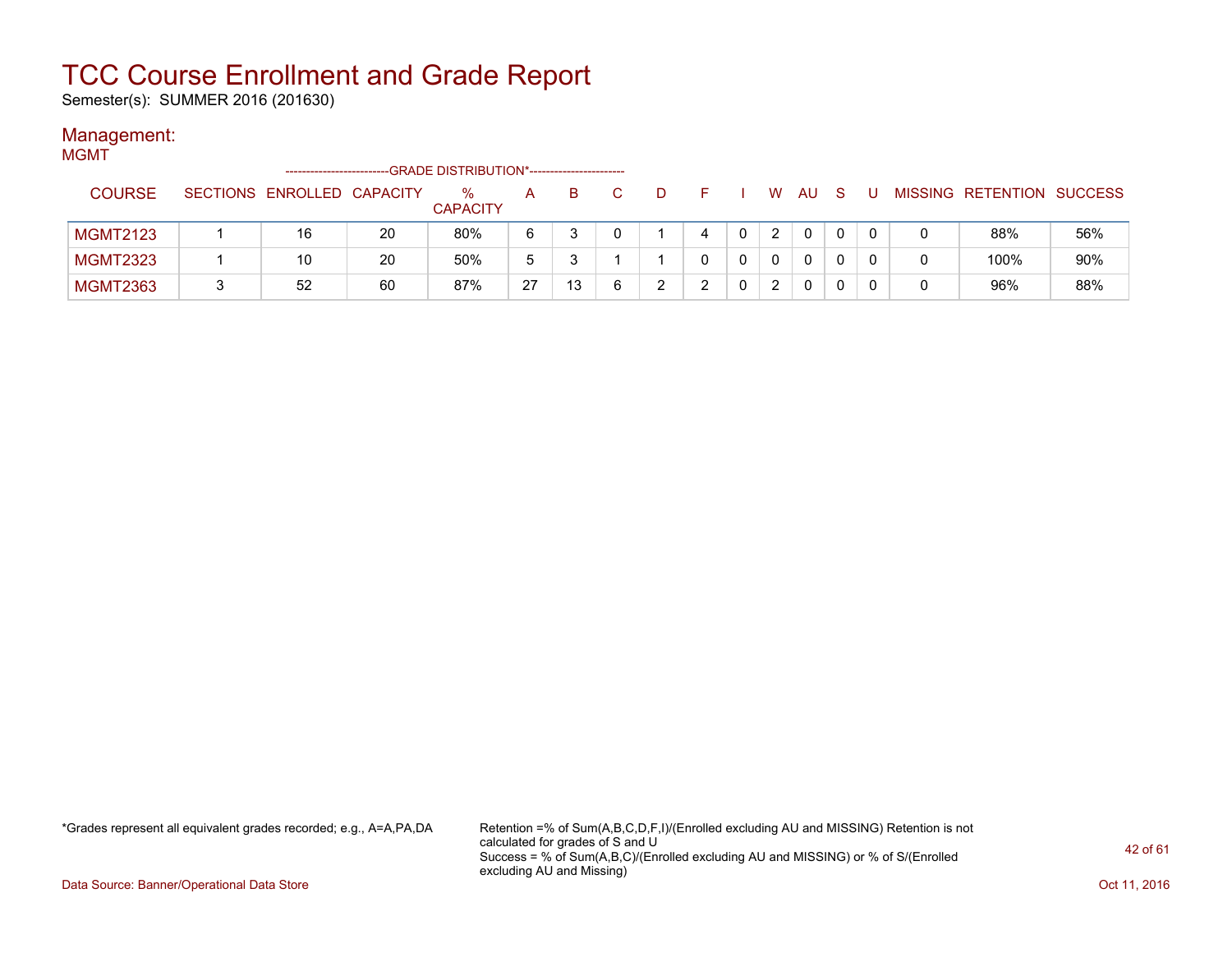Semester(s): SUMMER 2016 (201630)

#### Management:

#### **MGMT** -------------------------GRADE DISTRIBUTION\*----------------------- COURSE SECTIONS ENROLLED CAPACITY % **CAPACITY** A B C D F I W AU S U MISSING RETENTION SUCCESS MGMT2123 1 16 20 80% 6 3 0 1 4 0 2 0 0 0 0 88% 56% MGMT2323 | 1 | 10 | 20 | 50% | 5 | 3 | 1 | 1 | 0 | 0 | 0 | 0 | 0 | 0 | 0 | 100% | 90% MGMT2363 3 52 60 87% 27 13 6 2 2 0 2 0 0 0 0 96% 88%

\*Grades represent all equivalent grades recorded; e.g., A=A,PA,DA Retention =% of Sum(A,B,C,D,F,I)/(Enrolled excluding AU and MISSING) Retention is not calculated for grades of S and U Success = % of Sum(A,B,C)/(Enrolled excluding AU and MISSING) or % of S/(Enrolled excluding AU and Missing)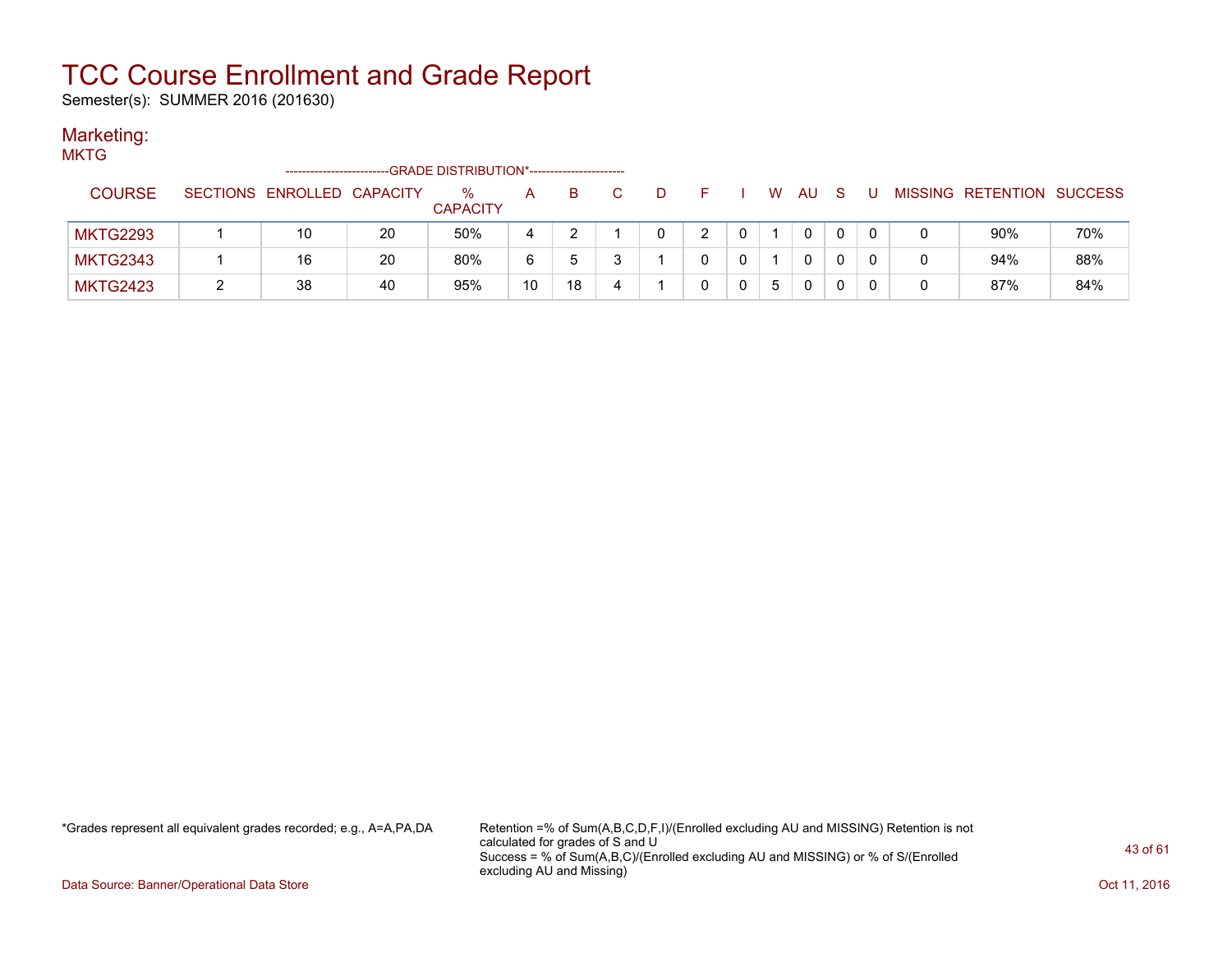Semester(s): SUMMER 2016 (201630)

#### Marketing: **MKTG**

| MKIG            |                            |    | -GRADE DISTRIBUTION*----------------------- |    |    |   |  |   |    |             |     |   |   |                           |     |
|-----------------|----------------------------|----|---------------------------------------------|----|----|---|--|---|----|-------------|-----|---|---|---------------------------|-----|
| <b>COURSE</b>   | SECTIONS ENROLLED CAPACITY |    | ℅<br><b>CAPACITY</b>                        | A  | в  |   |  |   | W. | AU.         | - S | U |   | MISSING RETENTION SUCCESS |     |
| <b>MKTG2293</b> | 10                         | 20 | 50%                                         | 4  |    |   |  |   |    |             |     |   | 0 | 90%                       | 70% |
| <b>MKTG2343</b> | 16                         | 20 | 80%                                         | 6  |    |   |  |   |    | $\Omega$    |     |   | 0 | 94%                       | 88% |
| <b>MKTG2423</b> | 38                         | 40 | 95%                                         | 10 | 18 | 4 |  | 0 | 5  | $\mathbf 0$ | 0   |   | 0 | 87%                       | 84% |

\*Grades represent all equivalent grades recorded; e.g., A=A,PA,DA Retention =% of Sum(A,B,C,D,F,I)/(Enrolled excluding AU and MISSING) Retention is not calculated for grades of S and U Success = % of Sum(A,B,C)/(Enrolled excluding AU and MISSING) or % of S/(Enrolled excluding AU and Missing)

Data Source: Banner/Operational Data Store **Contract of the Contract of Contract Contract of the Contract Oct 11, 2016**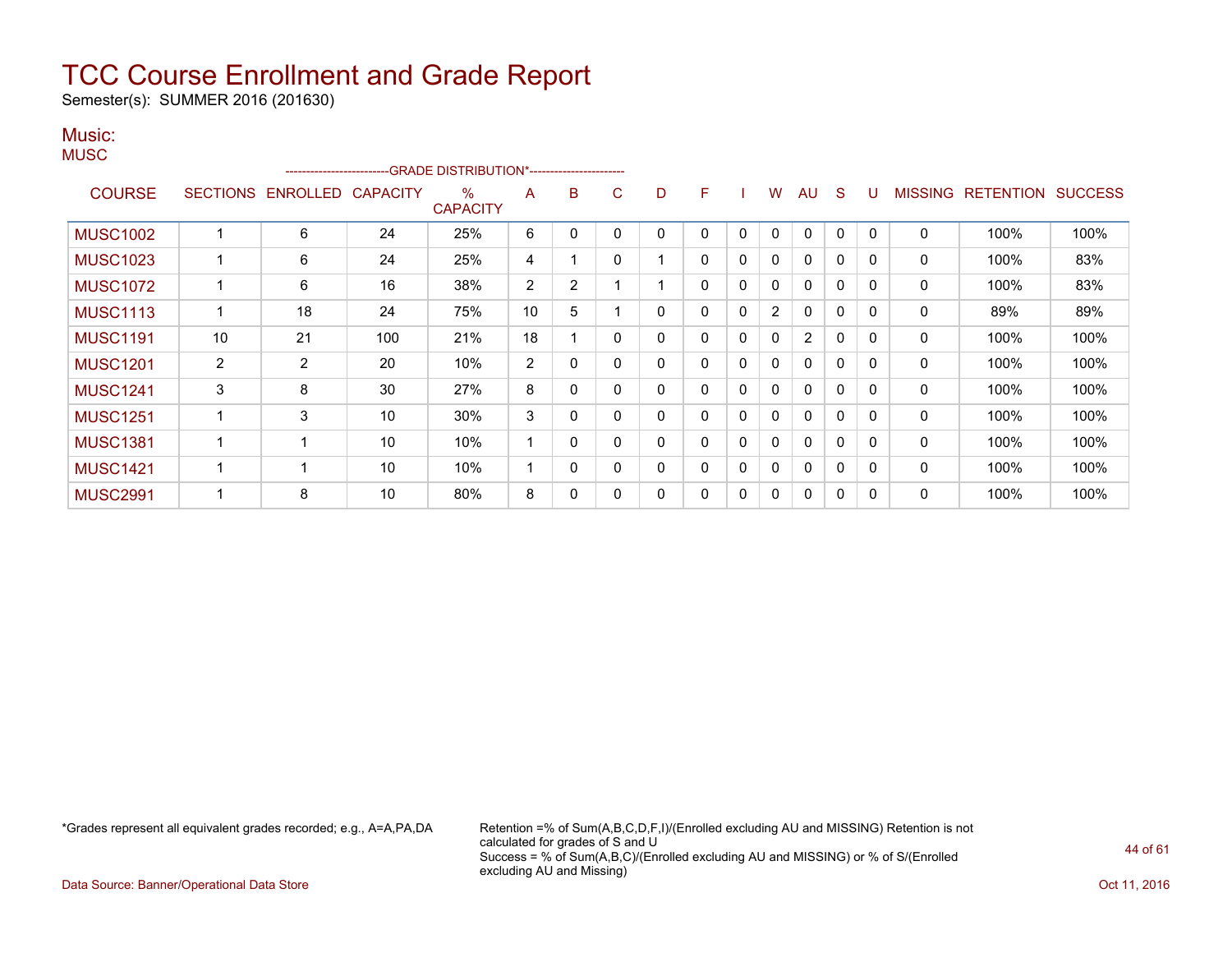Semester(s): SUMMER 2016 (201630)

#### Music: **MUSC**

|                 |                 | ------------------------ |                 | -- GRADE DISTRIBUTION*------------------------ |                |                |   |   |   |   |                |                |              |              |                |                  |                |
|-----------------|-----------------|--------------------------|-----------------|------------------------------------------------|----------------|----------------|---|---|---|---|----------------|----------------|--------------|--------------|----------------|------------------|----------------|
| <b>COURSE</b>   | <b>SECTIONS</b> | <b>ENROLLED</b>          | <b>CAPACITY</b> | $\%$<br><b>CAPACITY</b>                        | A              | B              | С | D | F |   | w              | AU             | S.           | U            | <b>MISSING</b> | <b>RETENTION</b> | <b>SUCCESS</b> |
| <b>MUSC1002</b> |                 | 6                        | 24              | 25%                                            | 6              | C              |   | 0 | 0 | 0 | $\mathbf{0}$   | 0              | 0            | $\Omega$     | 0              | 100%             | 100%           |
| <b>MUSC1023</b> |                 | 6                        | 24              | 25%                                            | 4              |                |   |   | 0 | 0 | 0              | $\Omega$       | 0            | 0            | $\Omega$       | 100%             | 83%            |
| <b>MUSC1072</b> |                 | 6                        | 16              | 38%                                            | $\overline{2}$ | $\overline{2}$ |   |   | 0 | 0 | 0              | $\mathbf{0}$   | $\Omega$     | 0            | 0              | 100%             | 83%            |
| <b>MUSC1113</b> |                 | 18                       | 24              | 75%                                            | 10             | 5              |   | 0 | 0 | 0 | $\overline{2}$ | 0              | 0            | 0            | 0              | 89%              | 89%            |
| <b>MUSC1191</b> | 10              | 21                       | 100             | 21%                                            | 18             |                | 0 | 0 | 0 | 0 | 0              | $\overline{2}$ | 0            | 0            | $\mathbf{0}$   | 100%             | 100%           |
| <b>MUSC1201</b> | $\overline{2}$  | $\overline{2}$           | 20              | 10%                                            | $\overline{2}$ | $\Omega$       | 0 | 0 | 0 | 0 | 0              | $\mathbf{0}$   | $\mathbf{0}$ | $\mathbf{0}$ | 0              | 100%             | 100%           |
| <b>MUSC1241</b> | 3               | 8                        | 30              | 27%                                            | 8              | 0              |   | 0 | 0 | 0 | 0              | $\Omega$       | 0            | 0            | 0              | 100%             | 100%           |
| <b>MUSC1251</b> |                 | 3                        | 10              | 30%                                            | 3              | 0              |   | 0 | 0 | 0 | 0              | $\mathbf{0}$   | $\Omega$     | 0            | 0              | 100%             | 100%           |
| <b>MUSC1381</b> |                 |                          | 10              | 10%                                            | 4              | 0              |   | 0 | 0 | 0 | 0              | $\mathbf{0}$   | $\Omega$     | 0            | 0              | 100%             | 100%           |
| <b>MUSC1421</b> |                 |                          | 10              | 10%                                            | 1              | $\Omega$       | 0 | 0 | 0 | 0 | 0              | $\mathbf{0}$   | 0            | $\mathbf{0}$ | $\mathbf{0}$   | 100%             | 100%           |
| <b>MUSC2991</b> |                 | 8                        | 10              | 80%                                            | 8              | 0              |   | 0 | 0 | 0 | 0              | 0              | 0            | 0            | 0              | 100%             | 100%           |

\*Grades represent all equivalent grades recorded; e.g., A=A,PA,DA Retention =% of Sum(A,B,C,D,F,I)/(Enrolled excluding AU and MISSING) Retention is not calculated for grades of S and U Success = % of Sum(A,B,C)/(Enrolled excluding AU and MISSING) or % of S/(Enrolled excluding AU and Missing)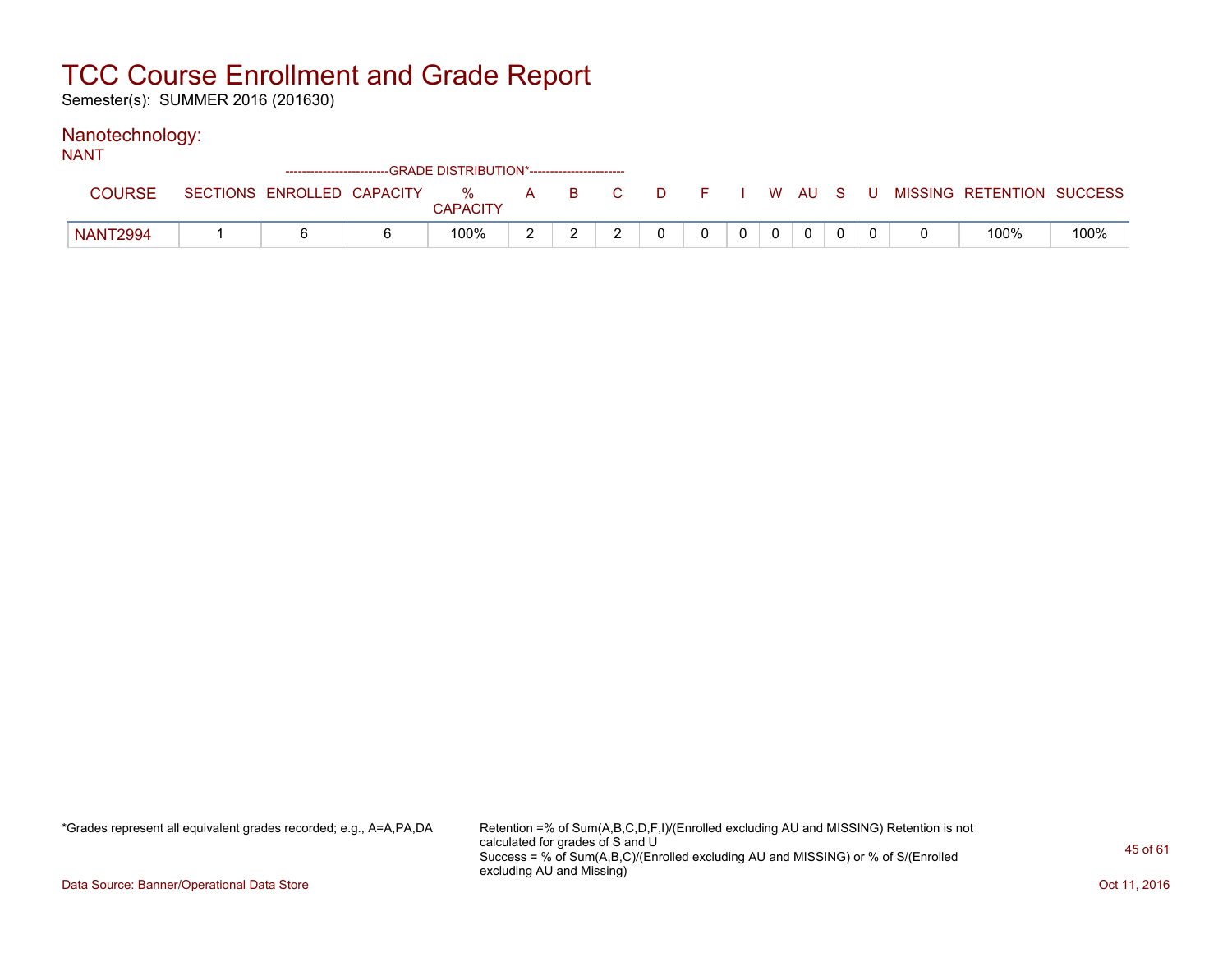Semester(s): SUMMER 2016 (201630)

#### Nanotechnology:

| <b>NANT</b>     |  | --GRADE DISTRIBUTION*----------------------- |  |          |  |              |             |  |                                                                             |      |
|-----------------|--|----------------------------------------------|--|----------|--|--------------|-------------|--|-----------------------------------------------------------------------------|------|
| COURSE          |  | <b>CAPACITY</b>                              |  |          |  |              |             |  | SECTIONS ENROLLED CAPACITY % A B C D F I W AU S U MISSING RETENTION SUCCESS |      |
| <b>NANT2994</b> |  | 100%                                         |  | $\Omega$ |  | $\mathbf{0}$ | $\mathbf 0$ |  | 100%                                                                        | 100% |

\*Grades represent all equivalent grades recorded; e.g., A=A,PA,DA Retention =% of Sum(A,B,C,D,F,I)/(Enrolled excluding AU and MISSING) Retention is not calculated for grades of S and U Success = % of Sum(A,B,C)/(Enrolled excluding AU and MISSING) or % of S/(Enrolled excluding AU and Missing)

Data Source: Banner/Operational Data Store **Contract of the Contract of Contract Contract of the Contract Oct 11, 2016**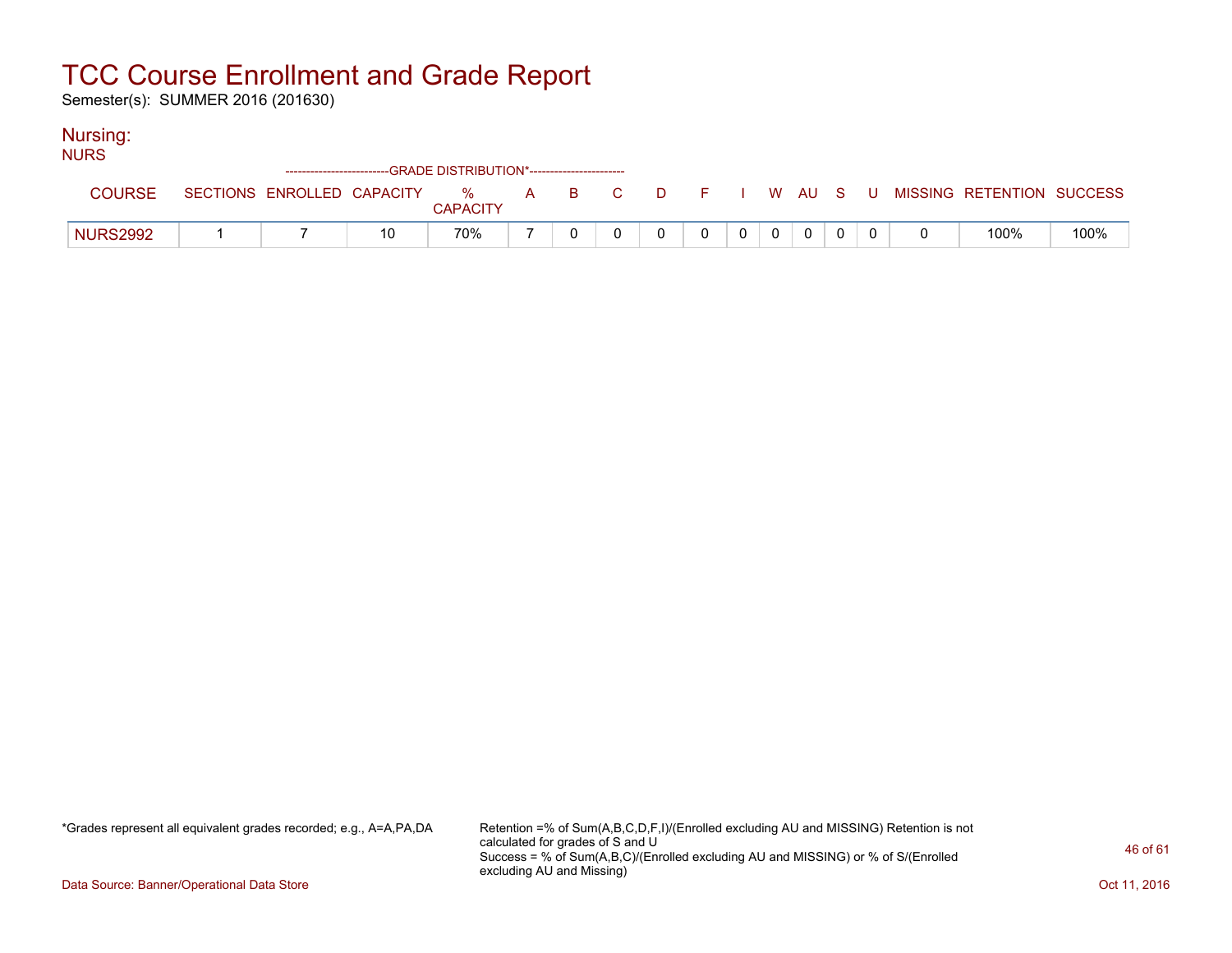Semester(s): SUMMER 2016 (201630)

#### Nursing:

| <b>NURS</b>     |  | --GRADE DISTRIBUTION*----------------------- |  |          |          |       |                |          |  |                                                                             |      |
|-----------------|--|----------------------------------------------|--|----------|----------|-------|----------------|----------|--|-----------------------------------------------------------------------------|------|
| <b>COURSE</b>   |  | <b>CAPACITY</b>                              |  |          |          |       |                |          |  | SECTIONS ENROLLED CAPACITY % A B C D F I W AU S U MISSING RETENTION SUCCESS |      |
| <b>NURS2992</b> |  | 70%                                          |  | $\Omega$ | $\Omega$ | $0$ 0 | $\overline{0}$ | $\Omega$ |  | 100%                                                                        | 100% |

\*Grades represent all equivalent grades recorded; e.g., A=A,PA,DA Retention =% of Sum(A,B,C,D,F,I)/(Enrolled excluding AU and MISSING) Retention is not calculated for grades of S and U Success = % of Sum(A,B,C)/(Enrolled excluding AU and MISSING) or % of S/(Enrolled excluding AU and Missing)

Data Source: Banner/Operational Data Store **Contract of the Contract of Contract Contract of the Contract Oct 11, 2016**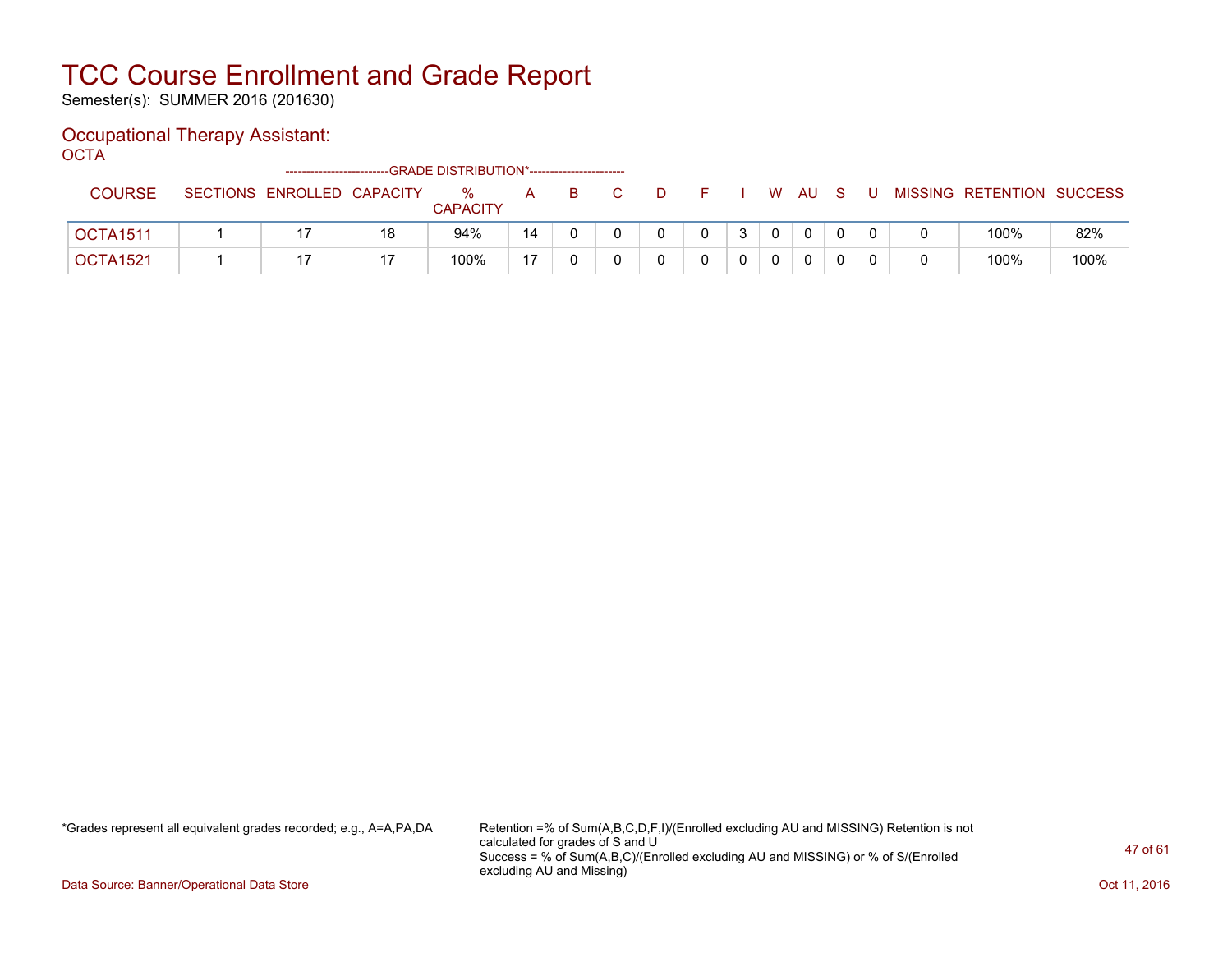Semester(s): SUMMER 2016 (201630)

### Occupational Therapy Assistant:

OCTA<sup>'</sup>

|                 | -------------------------- |    | --GRADE DISTRIBUTION*----------------------- |    |    |   |  |          |     |     |                           |      |
|-----------------|----------------------------|----|----------------------------------------------|----|----|---|--|----------|-----|-----|---------------------------|------|
| <b>COURSE</b>   | SECTIONS ENROLLED CAPACITY |    | $\%$<br><b>CAPACITY</b>                      | A  | B. | D |  | W AU     | S S | . U | MISSING RETENTION SUCCESS |      |
| <b>OCTA1511</b> |                            | 18 | 94%                                          | 14 |    |   |  | $\Omega$ |     |     | 100%                      | 82%  |
| OCTA1521        |                            |    | 100%                                         | 47 |    |   |  | 0        |     |     | 100%                      | 100% |

\*Grades represent all equivalent grades recorded; e.g., A=A,PA,DA Retention =% of Sum(A,B,C,D,F,I)/(Enrolled excluding AU and MISSING) Retention is not calculated for grades of S and U Success = % of Sum(A,B,C)/(Enrolled excluding AU and MISSING) or % of S/(Enrolled excluding AU and Missing)

Data Source: Banner/Operational Data Store **Contract of the Contract of Contract Contract of the Contract Oct 11, 2016**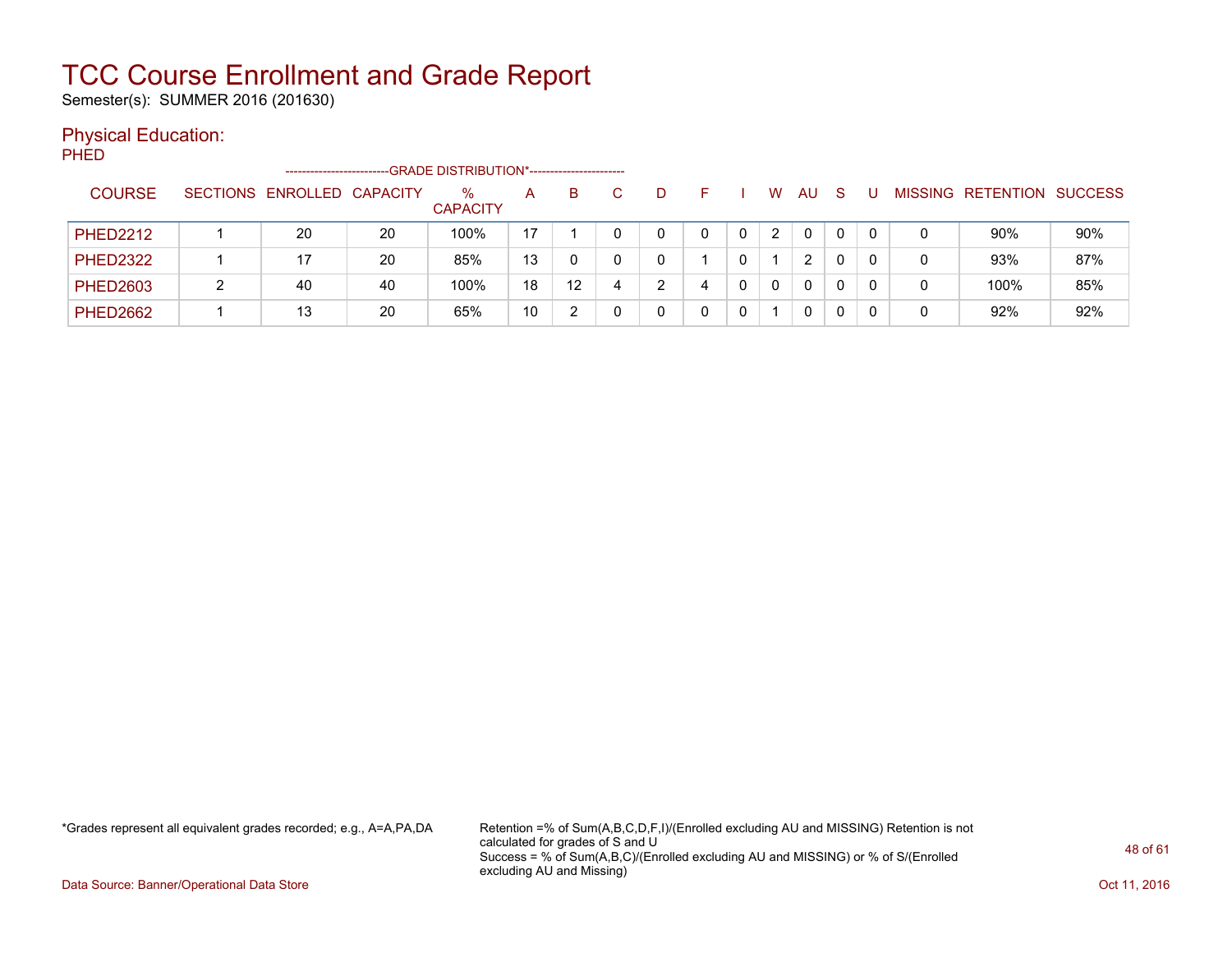Semester(s): SUMMER 2016 (201630)

#### Physical Education:

PHED

|                 | -----------------------    |    | -GRADE DISTRIBUTION*---------------------- |    |                   |    |   |   |   |    |          |          |   |                                  |     |
|-----------------|----------------------------|----|--------------------------------------------|----|-------------------|----|---|---|---|----|----------|----------|---|----------------------------------|-----|
| <b>COURSE</b>   | SECTIONS ENROLLED CAPACITY |    | %<br><b>CAPACITY</b>                       | A  | B.                | C. | D |   | W | AU | -S       |          |   | <b>MISSING RETENTION SUCCESS</b> |     |
| <b>PHED2212</b> | 20                         | 20 | 100%                                       | 17 |                   |    |   |   | 2 |    | $\Omega$ | $\Omega$ | 0 | 90%                              | 90% |
| <b>PHED2322</b> |                            | 20 | 85%                                        | 13 |                   |    | 0 |   |   | 2  |          |          | 0 | 93%                              | 87% |
| <b>PHED2603</b> | 40                         | 40 | 100%                                       | 18 | $12 \overline{ }$ |    | ົ | 0 | 0 | 0  |          |          | 0 | 100%                             | 85% |
| <b>PHED2662</b> | 13                         | 20 | 65%                                        | 10 |                   |    |   |   |   | 0  |          |          | 0 | 92%                              | 92% |

\*Grades represent all equivalent grades recorded; e.g., A=A,PA,DA Retention =% of Sum(A,B,C,D,F,I)/(Enrolled excluding AU and MISSING) Retention is not calculated for grades of S and U Success = % of Sum(A,B,C)/(Enrolled excluding AU and MISSING) or % of S/(Enrolled excluding AU and Missing)

Data Source: Banner/Operational Data Store **Contract of the Contract of Contract Contract of the Contract Oct 11, 2016**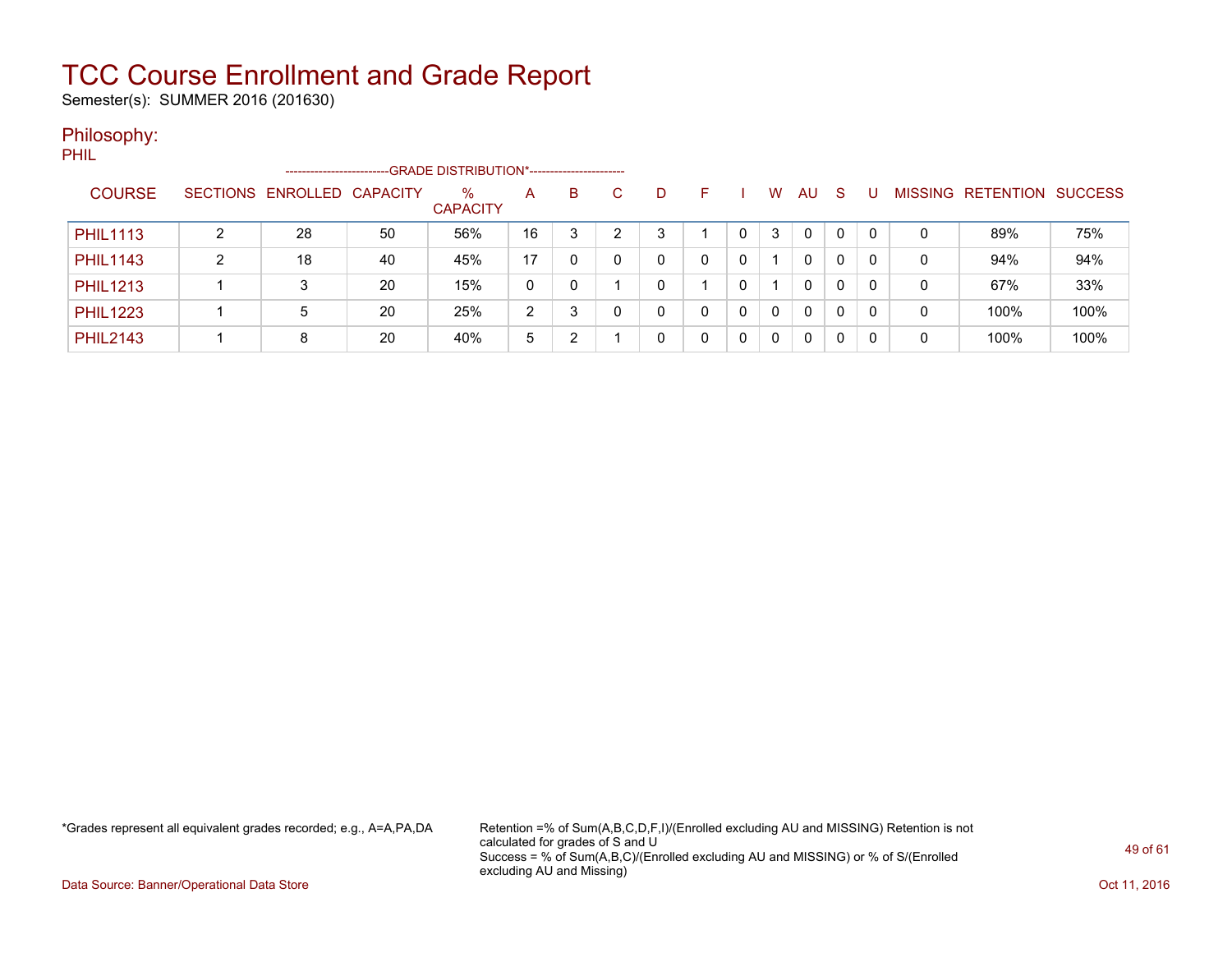Semester(s): SUMMER 2016 (201630)

#### Philosophy:

PHIL

|                 |   | ------------------------   |    | --GRADE DISTRIBUTION*------------------------ |    |   |   |   |    |   |          |              |    |          |   |                   |                |
|-----------------|---|----------------------------|----|-----------------------------------------------|----|---|---|---|----|---|----------|--------------|----|----------|---|-------------------|----------------|
| <b>COURSE</b>   |   | SECTIONS ENROLLED CAPACITY |    | $\%$<br><b>CAPACITY</b>                       | A  | B | C | D | н. |   | W        | AU           | -S |          |   | MISSING RETENTION | <b>SUCCESS</b> |
| <b>PHIL1113</b> |   | 28                         | 50 | 56%                                           | 16 | 3 | ົ | 3 |    |   | 3        | $\mathbf{0}$ | 0  | 0        | 0 | 89%               | 75%            |
| <b>PHIL1143</b> | ົ | 18                         | 40 | 45%                                           | 17 |   |   |   | 0  |   |          | 0            | 0  | 0        | 0 | 94%               | 94%            |
| <b>PHIL1213</b> |   |                            | 20 | 15%                                           | 0  |   |   |   |    |   |          | 0            | 0  | $\Omega$ | 0 | 67%               | 33%            |
| <b>PHIL1223</b> |   | 5                          | 20 | 25%                                           | 2  | ົ |   | 0 | 0  |   | $\Omega$ | 0            | 0  | 0        | 0 | 100%              | 100%           |
| <b>PHIL2143</b> |   | 8                          | 20 | 40%                                           | 5  | 2 |   |   | 0  | 0 | 0        | 0            | 0  |          | 0 | 100%              | 100%           |

\*Grades represent all equivalent grades recorded; e.g., A=A,PA,DA Retention =% of Sum(A,B,C,D,F,I)/(Enrolled excluding AU and MISSING) Retention is not calculated for grades of S and U Success = % of Sum(A,B,C)/(Enrolled excluding AU and MISSING) or % of S/(Enrolled excluding AU and Missing)

Data Source: Banner/Operational Data Store **Contract of the Contract of Contract Contract of the Contract Oct 11, 2016**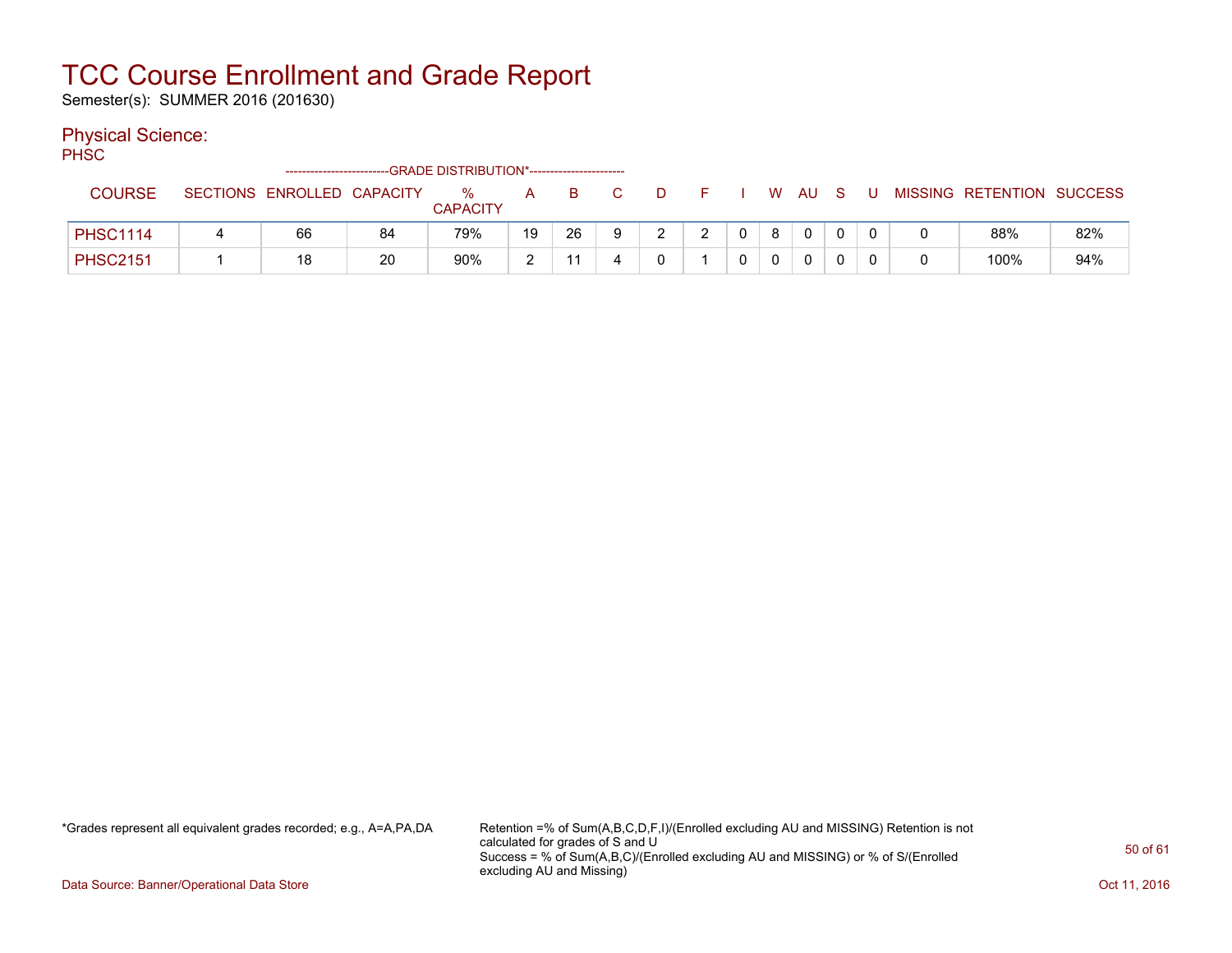Semester(s): SUMMER 2016 (201630)

#### Physical Science:

PH<sub>SC</sub>

|                 |  | -------------------------- |    | -GRADE DISTRIBUTION*---------------------- |    |    |    |        |  |   |          |   |   |                           |     |
|-----------------|--|----------------------------|----|--------------------------------------------|----|----|----|--------|--|---|----------|---|---|---------------------------|-----|
| <b>COURSE</b>   |  | SECTIONS ENROLLED CAPACITY |    | %<br><b>CAPACITY</b>                       | A  |    |    | $\Box$ |  | W | AU       | U |   | MISSING RETENTION SUCCESS |     |
| <b>PHSC1114</b> |  | 66                         | 84 | 79%                                        | 19 | 26 | -9 |        |  |   | $\Omega$ |   |   | 88%                       | 82% |
| <b>PHSC2151</b> |  | 18                         | 20 | 90%                                        |    |    |    |        |  |   |          |   | 0 | 100%                      | 94% |

\*Grades represent all equivalent grades recorded; e.g., A=A,PA,DA Retention =% of Sum(A,B,C,D,F,I)/(Enrolled excluding AU and MISSING) Retention is not calculated for grades of S and U Success = % of Sum(A,B,C)/(Enrolled excluding AU and MISSING) or % of S/(Enrolled excluding AU and Missing)

Data Source: Banner/Operational Data Store **Contract of the Contract of Contract Contract of the Contract Oct 11, 2016**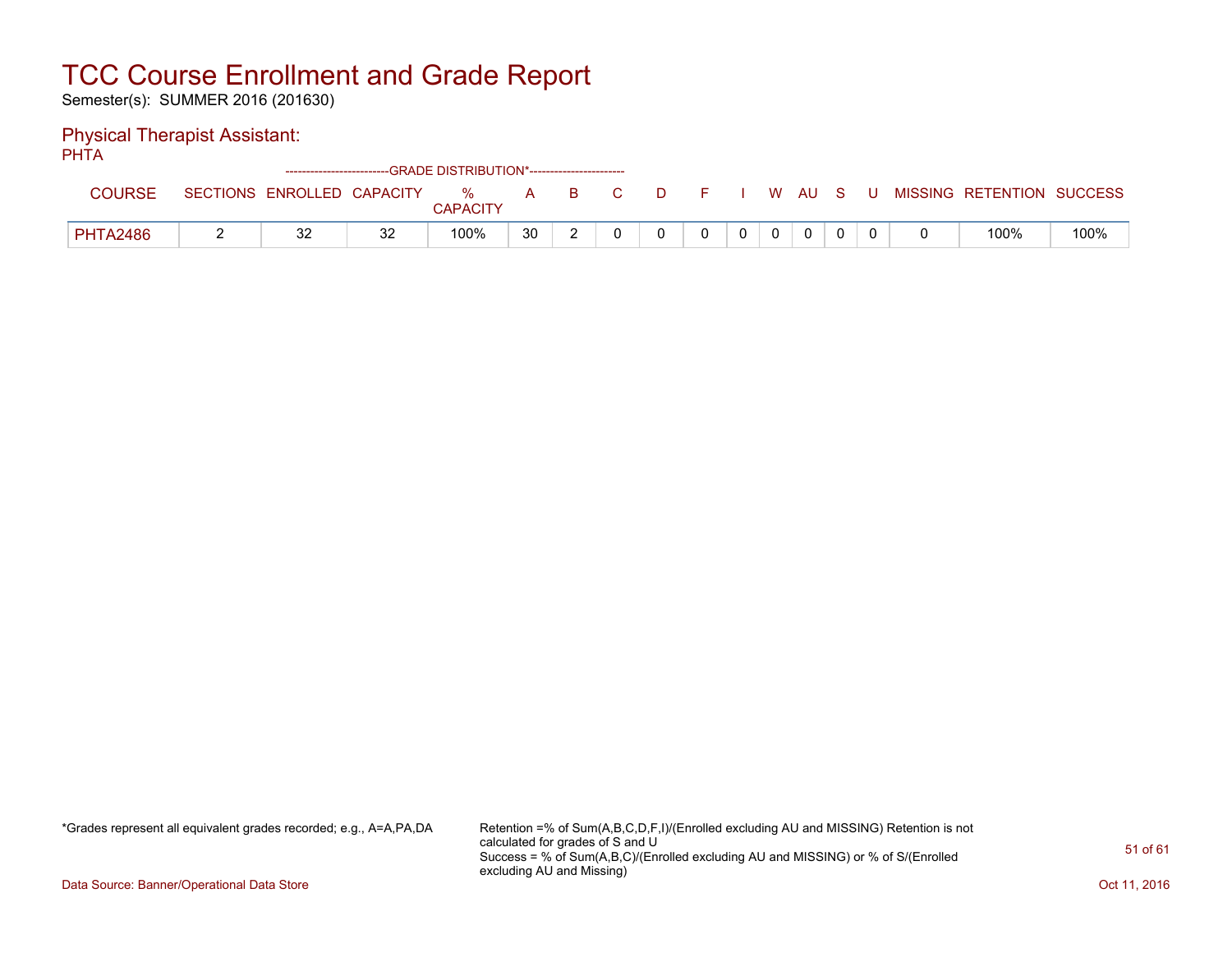Semester(s): SUMMER 2016 (201630)

#### Physical Therapist Assistant:

PHTA

|                 |                 |                   | ------------------------GRADE DISTRIBUTION*----------------------- |                      |    |    |  |  |   |    |  |                   |                |
|-----------------|-----------------|-------------------|--------------------------------------------------------------------|----------------------|----|----|--|--|---|----|--|-------------------|----------------|
| <b>COURSE</b>   | <b>SECTIONS</b> | ENROLLED CAPACITY |                                                                    | %<br><b>CAPACITY</b> | A  | B. |  |  | W | AU |  | MISSING RETENTION | <b>SUCCESS</b> |
| <b>PHTA2486</b> |                 | 32                | 32                                                                 | 100%                 | 30 |    |  |  |   |    |  | 100%              | 100%           |

\*Grades represent all equivalent grades recorded; e.g., A=A,PA,DA Retention =% of Sum(A,B,C,D,F,I)/(Enrolled excluding AU and MISSING) Retention is not calculated for grades of S and U Success = % of Sum(A,B,C)/(Enrolled excluding AU and MISSING) or % of S/(Enrolled excluding AU and Missing)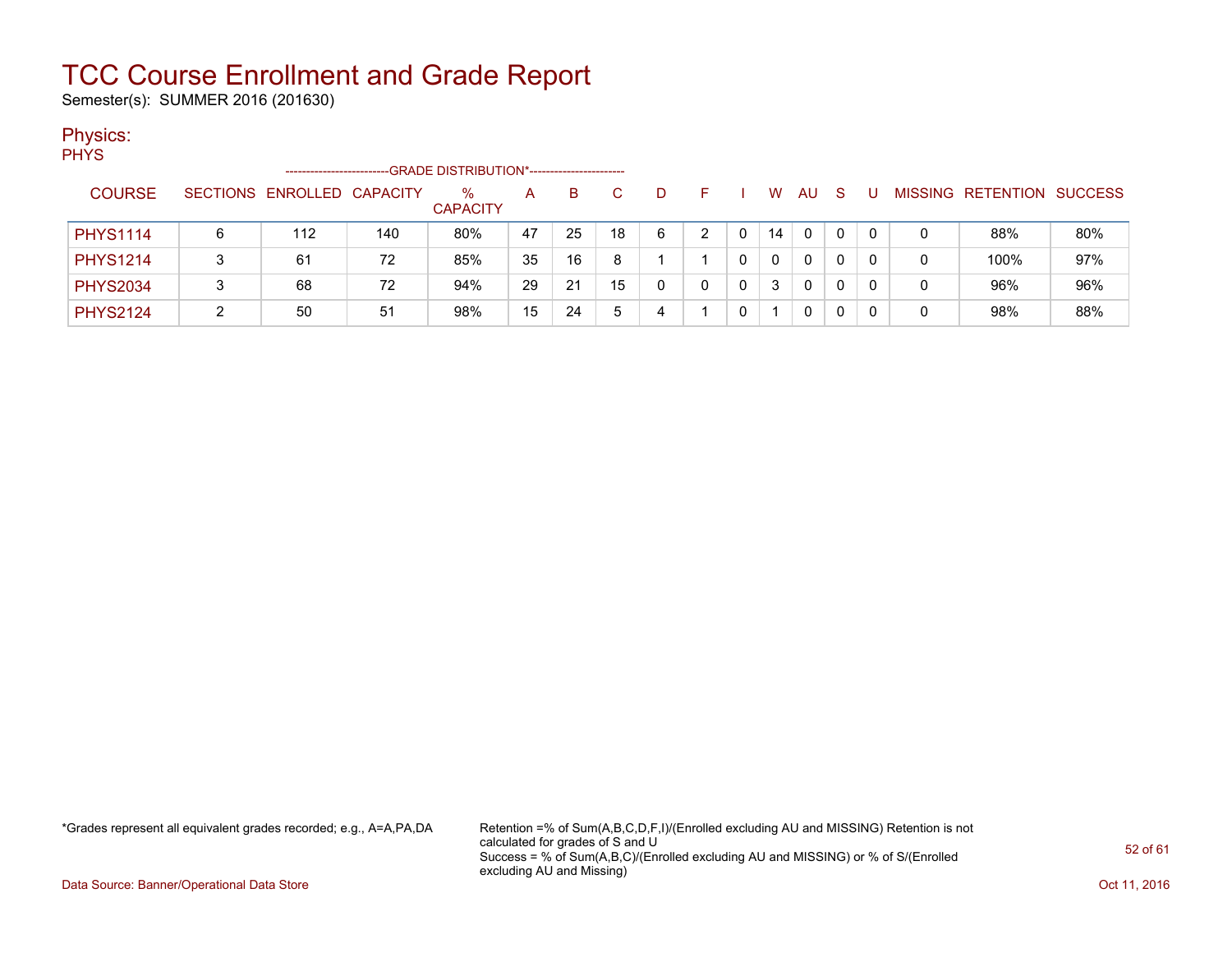Semester(s): SUMMER 2016 (201630)

#### Physics:

PHYS

|                 | --------------------       |     | -GRADE DISTRIBUTION*----------------------- |    |    |    |    |  |    |          |   |   |                          |                |
|-----------------|----------------------------|-----|---------------------------------------------|----|----|----|----|--|----|----------|---|---|--------------------------|----------------|
| <b>COURSE</b>   | SECTIONS ENROLLED CAPACITY |     | $\%$<br><b>CAPACITY</b>                     | A  | в  |    | D. |  | w  | AU       | S |   | <b>MISSING RETENTION</b> | <b>SUCCESS</b> |
| <b>PHYS1114</b> | 112                        | 140 | 80%                                         | 47 | 25 | 18 | 6  |  | 14 | $\Omega$ |   | 0 | 88%                      | 80%            |
| <b>PHYS1214</b> | 61                         | 72  | 85%                                         | 35 | 16 |    |    |  | 0  | 0        |   |   | 100%                     | 97%            |
| <b>PHYS2034</b> | 68                         | 72  | 94%                                         | 29 | 21 | 15 |    |  | 3  | 0        |   |   | 96%                      | 96%            |
| <b>PHYS2124</b> | 50                         | 51  | 98%                                         | 15 | 24 | ٠h |    |  |    | 0        |   |   | 98%                      | 88%            |

\*Grades represent all equivalent grades recorded; e.g., A=A,PA,DA Retention =% of Sum(A,B,C,D,F,I)/(Enrolled excluding AU and MISSING) Retention is not calculated for grades of S and U Success = % of Sum(A,B,C)/(Enrolled excluding AU and MISSING) or % of S/(Enrolled excluding AU and Missing)

Data Source: Banner/Operational Data Store **Contract of the Contract of Contract Contract of the Contract Oct 11, 2016**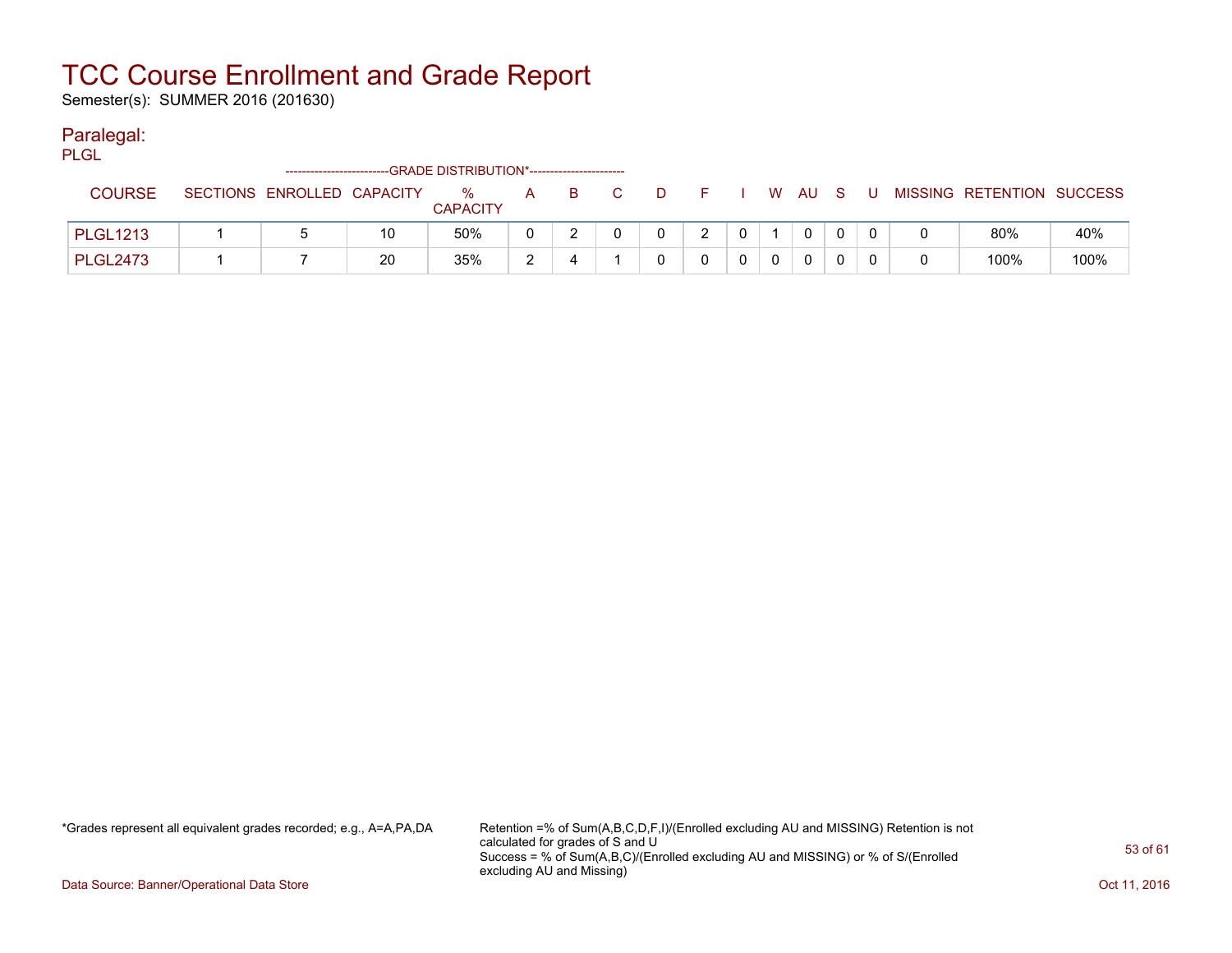Semester(s): SUMMER 2016 (201630)

#### Paralegal:

PLGL

|                 | -------------------------  |    | -GRADE DISTRIBUTION*----------------------- |   |  |   |   |              |   |                           |      |
|-----------------|----------------------------|----|---------------------------------------------|---|--|---|---|--------------|---|---------------------------|------|
| <b>COURSE</b>   | SECTIONS ENROLLED CAPACITY |    | %<br><b>CAPACITY</b>                        | A |  |   | W | AU           | U | MISSING RETENTION SUCCESS |      |
| <b>PLGL1213</b> |                            | 10 | 50%                                         |   |  | 2 |   | $\mathbf{0}$ |   | 80%                       | 40%  |
| <b>PLGL2473</b> |                            | 20 | 35%                                         |   |  |   |   |              |   | 100%                      | 100% |

\*Grades represent all equivalent grades recorded; e.g., A=A,PA,DA Retention =% of Sum(A,B,C,D,F,I)/(Enrolled excluding AU and MISSING) Retention is not calculated for grades of S and U Success = % of Sum(A,B,C)/(Enrolled excluding AU and MISSING) or % of S/(Enrolled excluding AU and Missing)

Data Source: Banner/Operational Data Store **Contract of the Contract of Contract Contract of the Contract Oct 11, 2016**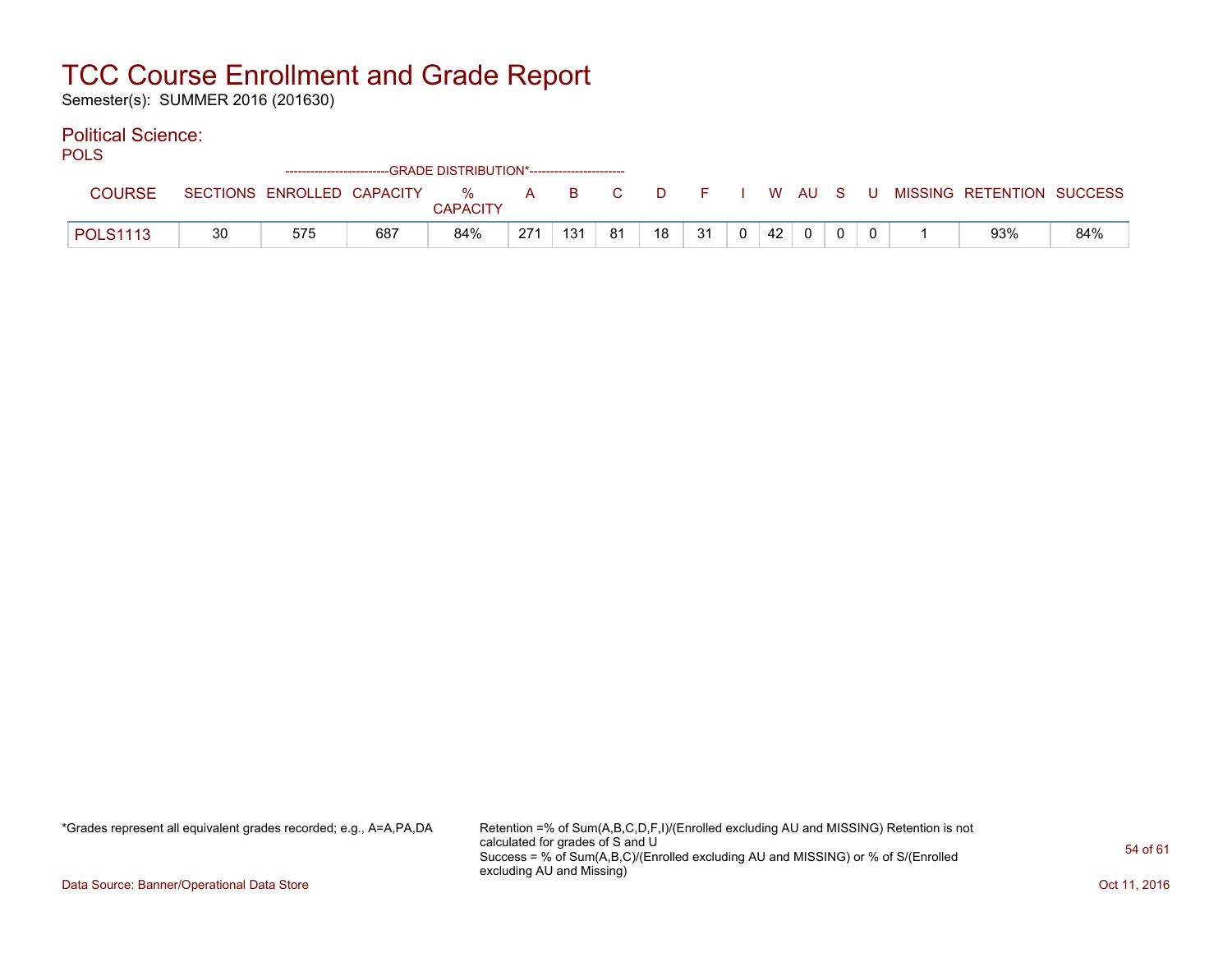Semester(s): SUMMER 2016 (201630)

#### Political Science:

| m.<br>. .<br>۰. | ×<br>۰. |
|-----------------|---------|
|-----------------|---------|

|                 |    |                            | ------------------------GRADE DISTRIBUTION*----------------------- |                 |     |     |    |    |    |    |              |     |       |                           |     |
|-----------------|----|----------------------------|--------------------------------------------------------------------|-----------------|-----|-----|----|----|----|----|--------------|-----|-------|---------------------------|-----|
| COURSE          |    | SECTIONS ENROLLED CAPACITY |                                                                    | %               | A   | B.  | C. | D. |    |    | W AU         | - S | - U - | MISSING RETENTION SUCCESS |     |
|                 |    |                            |                                                                    | <b>CAPACITY</b> |     |     |    |    |    |    |              |     |       |                           |     |
| <b>POLS1113</b> | 30 | 575                        | 687                                                                | 84%             | 271 | 131 | 81 | 18 | 31 | 42 | $\mathbf{0}$ |     |       | 93%                       | 84% |

\*Grades represent all equivalent grades recorded; e.g., A=A,PA,DA Retention =% of Sum(A,B,C,D,F,I)/(Enrolled excluding AU and MISSING) Retention is not calculated for grades of S and U Success = % of Sum(A,B,C)/(Enrolled excluding AU and MISSING) or % of S/(Enrolled excluding AU and Missing)

Data Source: Banner/Operational Data Store **Contract of the Contract of Contract Contract of the Contract Oct 11, 2016**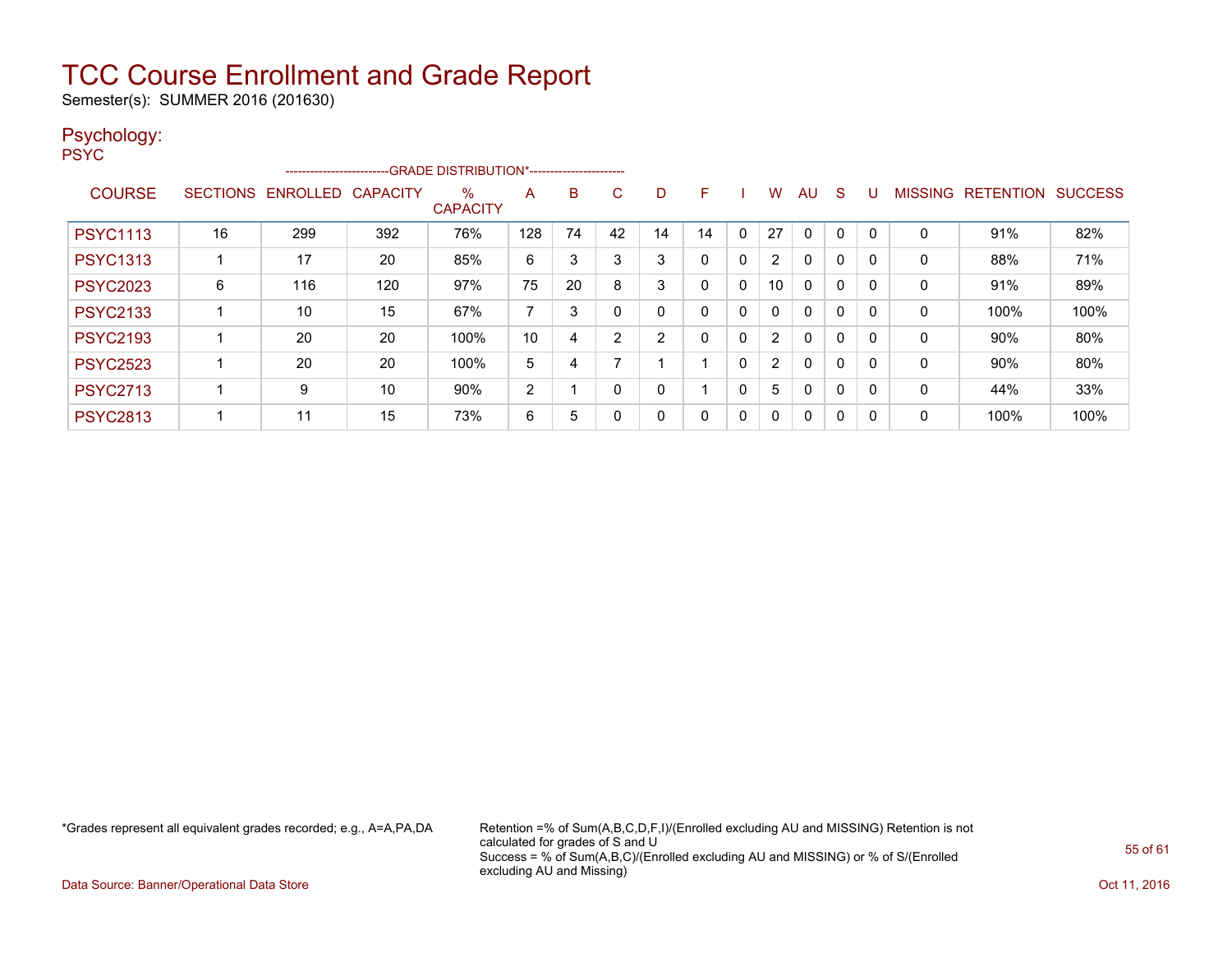Semester(s): SUMMER 2016 (201630)

#### Psychology: PSYC

|                 |                 |                   | -------------------------GRADE DISTRIBUTION*----------------------- |                         |                |    |          |    |          |              |                |    |              |   |                |           |                |
|-----------------|-----------------|-------------------|---------------------------------------------------------------------|-------------------------|----------------|----|----------|----|----------|--------------|----------------|----|--------------|---|----------------|-----------|----------------|
| <b>COURSE</b>   | <b>SECTIONS</b> | ENROLLED CAPACITY |                                                                     | $\%$<br><b>CAPACITY</b> | A              | в  | C        | D  | F        |              | W              | AU | S            | U | <b>MISSING</b> | RETENTION | <b>SUCCESS</b> |
| <b>PSYC1113</b> | 16              | 299               | 392                                                                 | 76%                     | 128            | 74 | 42       | 14 | 14       | $\mathbf{0}$ | 27             | 0  | $\Omega$     | 0 | $\Omega$       | 91%       | 82%            |
| <b>PSYC1313</b> |                 | 17                | 20                                                                  | 85%                     | 6              | 3  | 3        | 3  | $\Omega$ | $\mathbf{0}$ | $\overline{2}$ | 0  | $\Omega$     | 0 | 0              | 88%       | 71%            |
| <b>PSYC2023</b> | 6               | 116               | 120                                                                 | 97%                     | 75             | 20 | 8        | 3  | 0        | 0            | 10             | 0  | $\mathbf{0}$ | 0 | 0              | 91%       | 89%            |
| <b>PSYC2133</b> |                 | 10                | 15                                                                  | 67%                     | 7              | 3  | $\Omega$ | 0  | 0        | 0            | 0              | 0  | $\mathbf 0$  | 0 | 0              | 100%      | 100%           |
| <b>PSYC2193</b> |                 | 20                | 20                                                                  | 100%                    | 10             | 4  | 2        | 2  |          | $\mathbf{0}$ | 2              | 0  | $\Omega$     | 0 | 0              | $90\%$    | 80%            |
| <b>PSYC2523</b> |                 | 20                | 20                                                                  | 100%                    | 5              | 4  |          |    |          | $\mathbf{0}$ | 2              | 0  | $\Omega$     | 0 | $\mathbf{0}$   | $90\%$    | 80%            |
| <b>PSYC2713</b> |                 | 9                 | 10                                                                  | 90%                     | $\overline{2}$ |    | $\Omega$ | 0  |          | 0            | 5              | 0  | 0            | 0 | 0              | 44%       | 33%            |
| <b>PSYC2813</b> |                 | 11                | 15                                                                  | 73%                     | 6              | 5  | 0        | 0  | 0        | 0            | 0              | 0  | $\Omega$     | 0 | 0              | 100%      | 100%           |

\*Grades represent all equivalent grades recorded; e.g., A=A,PA,DA Retention =% of Sum(A,B,C,D,F,I)/(Enrolled excluding AU and MISSING) Retention is not calculated for grades of S and U Success = % of Sum(A,B,C)/(Enrolled excluding AU and MISSING) or % of S/(Enrolled excluding AU and Missing)

Data Source: Banner/Operational Data Store **Contract of the Contract of Contract Contract of the Contract Oct 11, 2016**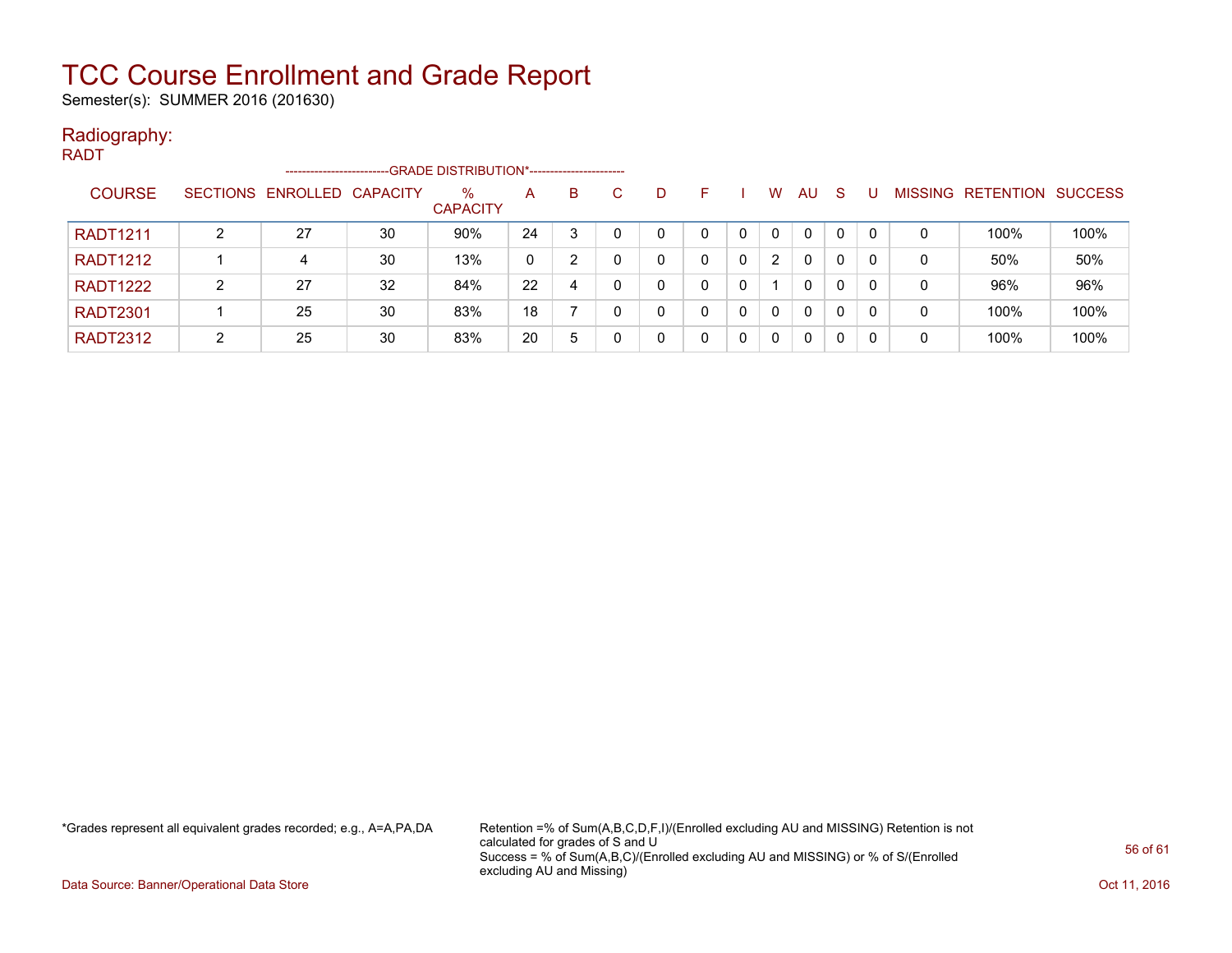Semester(s): SUMMER 2016 (201630)

#### Radiography:

| <b>RADT</b>     |                 |                      |    |                                             |    |    |    |   |   |              |          |              |    |    |   |                           |      |
|-----------------|-----------------|----------------------|----|---------------------------------------------|----|----|----|---|---|--------------|----------|--------------|----|----|---|---------------------------|------|
|                 |                 | -------------------- |    | -GRADE DISTRIBUTION*----------------------- |    |    |    |   |   |              |          |              |    |    |   |                           |      |
| <b>COURSE</b>   | <b>SECTIONS</b> | ENROLLED CAPACITY    |    | $\%$<br><b>CAPACITY</b>                     | A  | B. | C. | D | F |              | W        | AU.          | -S |    |   | MISSING RETENTION SUCCESS |      |
| <b>RADT1211</b> | າ               | 27                   | 30 | 90%                                         | 24 | 3  |    | 0 |   |              | $\Omega$ | $\mathbf{0}$ | 0  |    | 0 | 100%                      | 100% |
| <b>RADT1212</b> |                 | 4                    | 30 | 13%                                         | 0  | 2  |    | 0 | 0 | $\mathbf{0}$ | 2        | $\mathbf{0}$ | 0  |    | 0 | 50%                       | 50%  |
| <b>RADT1222</b> | 2               | 27                   | 32 | 84%                                         | 22 | 4  |    | 0 | 0 | 0            |          | 0            | 0  | 0  | 0 | 96%                       | 96%  |
| <b>RADT2301</b> |                 | 25                   | 30 | 83%                                         | 18 |    |    | 0 | 0 | $\mathbf{0}$ | $\Omega$ | 0            | 0  | 0  | 0 | 100%                      | 100% |
| <b>RADT2312</b> | 2               | 25                   | 30 | 83%                                         | 20 | 5  |    | 0 | 0 | 0            | $\Omega$ | 0            | 0  | -0 | 0 | 100%                      | 100% |

\*Grades represent all equivalent grades recorded; e.g., A=A,PA,DA Retention =% of Sum(A,B,C,D,F,I)/(Enrolled excluding AU and MISSING) Retention is not calculated for grades of S and U Success = % of Sum(A,B,C)/(Enrolled excluding AU and MISSING) or % of S/(Enrolled excluding AU and Missing)

Data Source: Banner/Operational Data Store **Contract of the Contract of Contract Contract of the Contract Oct 11, 2016**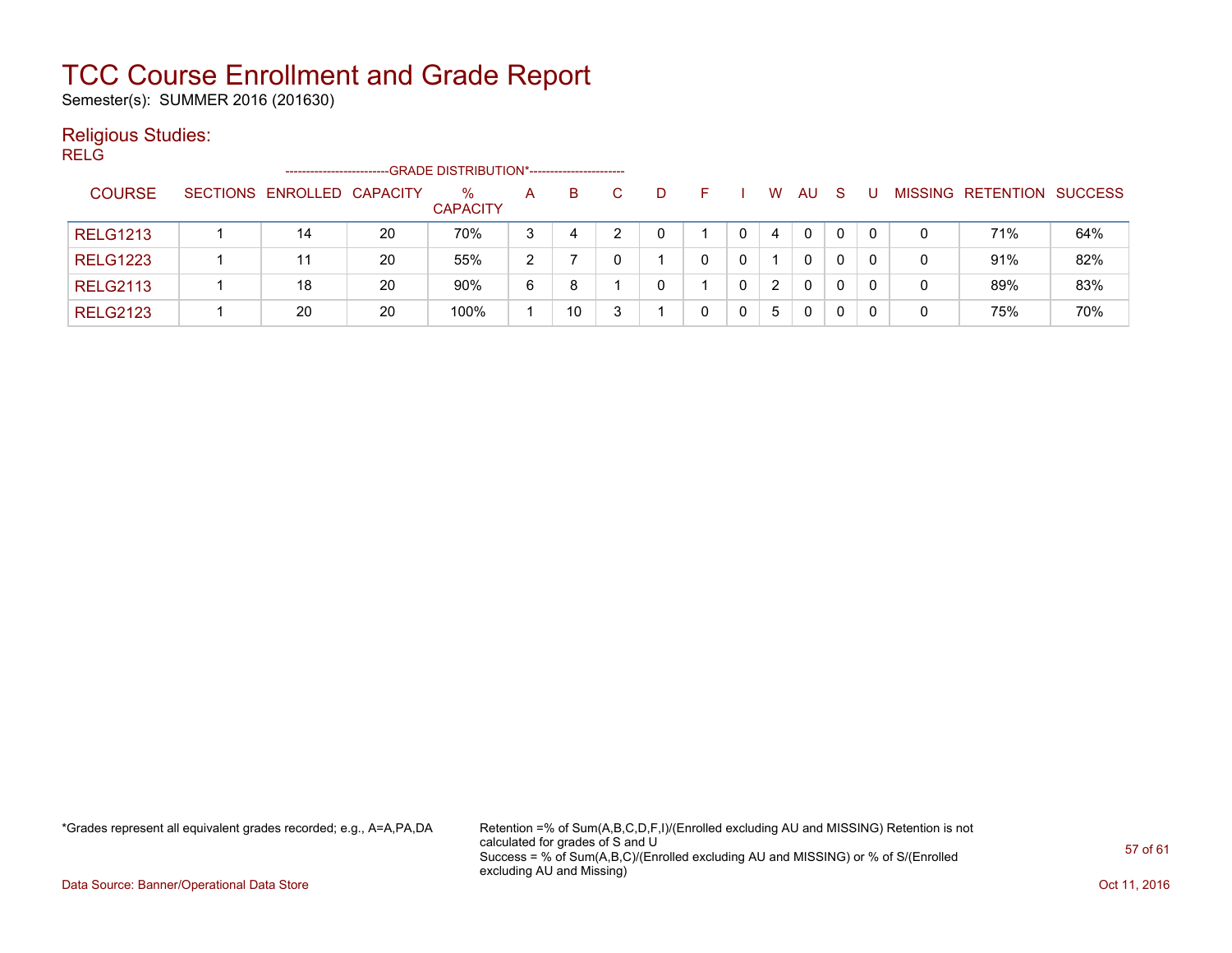Semester(s): SUMMER 2016 (201630)

#### Religious Studies:

RELG

|                 | ------------------------   |    | -GRADE DISTRIBUTION*---------------------- |   |    |   |  |   |              |    |          |                |           |                |
|-----------------|----------------------------|----|--------------------------------------------|---|----|---|--|---|--------------|----|----------|----------------|-----------|----------------|
| <b>COURSE</b>   | SECTIONS ENROLLED CAPACITY |    | $\%$<br><b>CAPACITY</b>                    | A | B. | D |  | W | AU.          | -S |          | <b>MISSING</b> | RETENTION | <b>SUCCESS</b> |
| <b>RELG1213</b> | 14                         | 20 | 70%                                        | 3 | 4  |   |  | 4 | $\mathbf{0}$ | 0  | $\Omega$ |                | 71%       | 64%            |
| <b>RELG1223</b> |                            | 20 | 55%                                        | 2 |    |   |  |   | 0            | 0  |          | 0              | 91%       | 82%            |
| <b>RELG2113</b> | 18                         | 20 | 90%                                        | 6 | 8  |   |  | 2 | 0            | 0  |          |                | 89%       | 83%            |
| <b>RELG2123</b> | 20                         | 20 | 100%                                       |   | 10 |   |  | 5 | 0            |    |          |                | 75%       | 70%            |

\*Grades represent all equivalent grades recorded; e.g., A=A,PA,DA Retention =% of Sum(A,B,C,D,F,I)/(Enrolled excluding AU and MISSING) Retention is not calculated for grades of S and U Success = % of Sum(A,B,C)/(Enrolled excluding AU and MISSING) or % of S/(Enrolled excluding AU and Missing)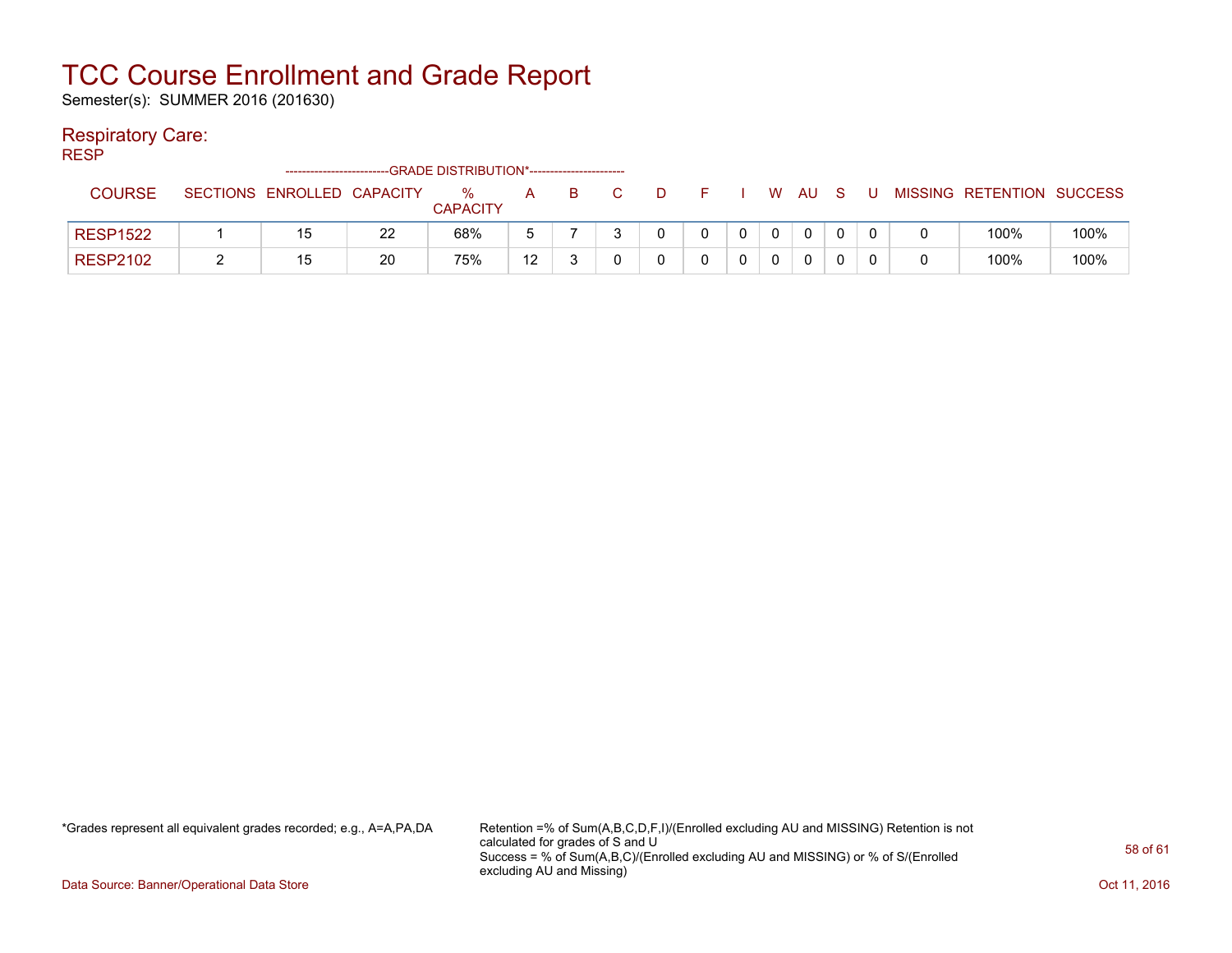Semester(s): SUMMER 2016 (201630)

#### Respiratory Care:

RESP

| - - - - -       |                            |    | -GRADE DISTRIBUTION*---------------------- |    |    |              |    |    |          |     |   |                           |      |
|-----------------|----------------------------|----|--------------------------------------------|----|----|--------------|----|----|----------|-----|---|---------------------------|------|
| <b>COURSE</b>   | SECTIONS ENROLLED CAPACITY |    | %<br><b>CAPACITY</b>                       | A  | B. | $\mathbf{D}$ |    | W. | AU.      | - S | U | MISSING RETENTION SUCCESS |      |
| <b>RESP1522</b> | 15                         | 22 | 68%                                        |    |    |              | n. |    | $\Omega$ |     |   | 100%                      | 100% |
| <b>RESP2102</b> | 15                         | 20 | 75%                                        | 10 |    |              |    |    | 0        |     |   | 100%                      | 100% |

\*Grades represent all equivalent grades recorded; e.g., A=A,PA,DA Retention =% of Sum(A,B,C,D,F,I)/(Enrolled excluding AU and MISSING) Retention is not calculated for grades of S and U Success = % of Sum(A,B,C)/(Enrolled excluding AU and MISSING) or % of S/(Enrolled excluding AU and Missing)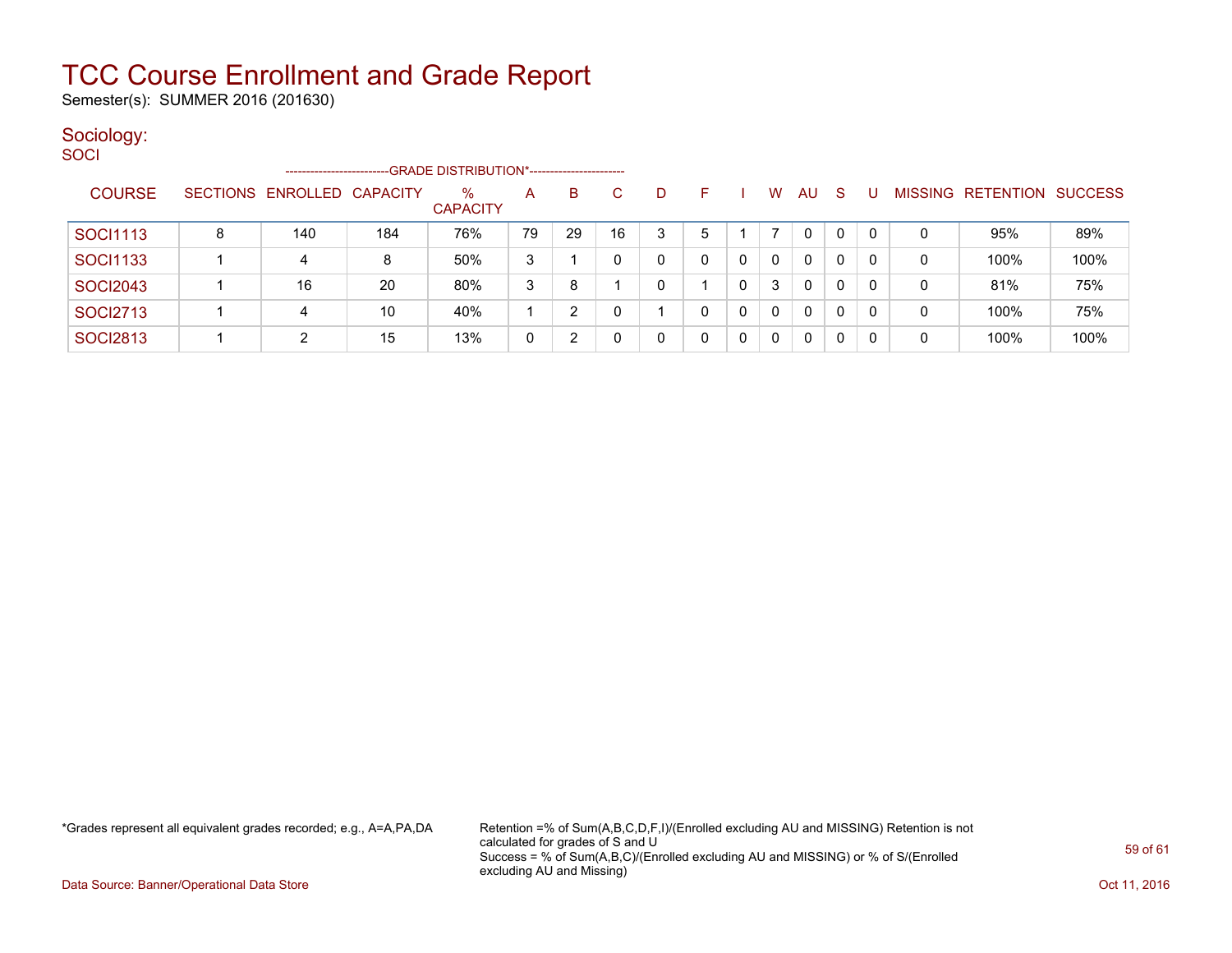Semester(s): SUMMER 2016 (201630)

#### Sociology:

| SOCI            |   |                            |     |                                             |    |    |    |   |    |   |              |              |    |              |   |                   |                |
|-----------------|---|----------------------------|-----|---------------------------------------------|----|----|----|---|----|---|--------------|--------------|----|--------------|---|-------------------|----------------|
|                 |   | ---------------------      |     | -GRADE DISTRIBUTION*----------------------- |    |    |    |   |    |   |              |              |    |              |   |                   |                |
| <b>COURSE</b>   |   | SECTIONS ENROLLED CAPACITY |     | $\%$<br><b>CAPACITY</b>                     | A  | B. | C. | D | F. |   | W            | AU           | -S | -U           |   | MISSING RETENTION | <b>SUCCESS</b> |
| <b>SOCI1113</b> | 8 | 140                        | 184 | 76%                                         | 79 | 29 | 16 | 3 | 5  |   |              | 0            | 0  | $\mathbf{0}$ | 0 | 95%               | 89%            |
| <b>SOCI1133</b> |   | 4                          | 8   | 50%                                         | 3  |    |    | 0 | 0  | 0 | $\mathbf{0}$ | $\Omega$     | 0  | 0            | 0 | 100%              | 100%           |
| <b>SOCI2043</b> |   | 16                         | 20  | 80%                                         | 3  | 8  |    | 0 |    | 0 | 3            | 0            | 0  | 0            | 0 | 81%               | 75%            |
| <b>SOCI2713</b> |   | 4                          | 10  | 40%                                         |    | 2  |    |   | 0  | 0 | 0            | 0            | 0  | 0            | 0 | 100%              | 75%            |
| <b>SOCI2813</b> |   | 2                          | 15  | 13%                                         | 0  | 2  |    | 0 | 0  | 0 | 0            | $\mathbf{0}$ | 0  | 0            | 0 | 100%              | 100%           |

\*Grades represent all equivalent grades recorded; e.g., A=A,PA,DA Retention =% of Sum(A,B,C,D,F,I)/(Enrolled excluding AU and MISSING) Retention is not calculated for grades of S and U Success = % of Sum(A,B,C)/(Enrolled excluding AU and MISSING) or % of S/(Enrolled excluding AU and Missing)

Data Source: Banner/Operational Data Store **Contract of the Contract of Contract Contract of the Contract Oct 11, 2016**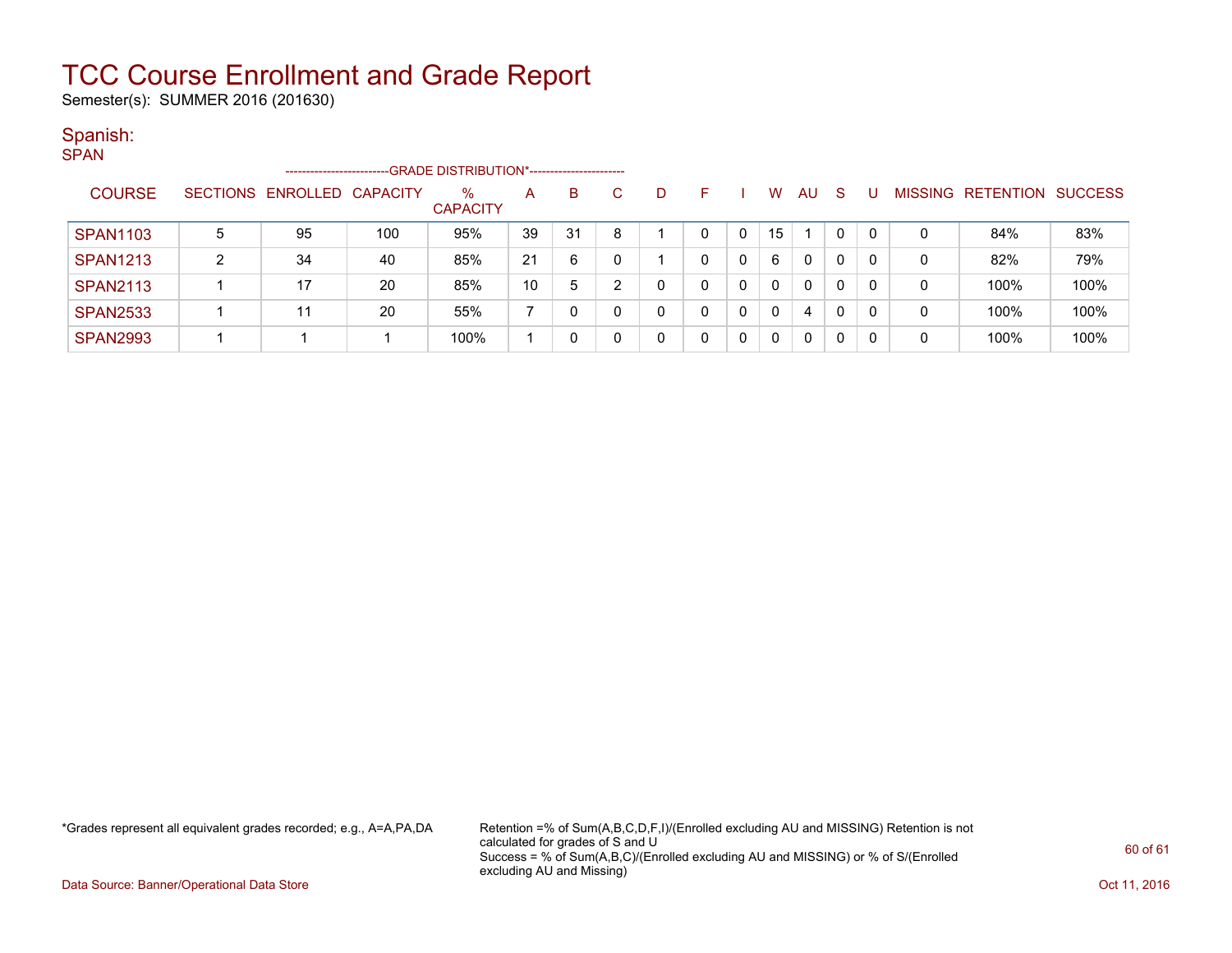Semester(s): SUMMER 2016 (201630)

#### Spanish:

| <b>SPAN</b>                                                         |   |                            |     |                         |    |     |    |   |    |          |          |           |              |   |                |                          |      |
|---------------------------------------------------------------------|---|----------------------------|-----|-------------------------|----|-----|----|---|----|----------|----------|-----------|--------------|---|----------------|--------------------------|------|
| -GRADE DISTRIBUTION*-----------------------<br>-------------------- |   |                            |     |                         |    |     |    |   |    |          |          |           |              |   |                |                          |      |
| <b>COURSE</b>                                                       |   | SECTIONS ENROLLED CAPACITY |     | $\%$<br><b>CAPACITY</b> | A  | B   | C. | D | F. |          | W        | <b>AU</b> | <sub>S</sub> | U | <b>MISSING</b> | <b>RETENTION SUCCESS</b> |      |
| <b>SPAN1103</b>                                                     | 5 | 95                         | 100 | 95%                     | 39 | -31 | 8  |   |    |          | 15       |           | 0            | 0 | 0              | 84%                      | 83%  |
| <b>SPAN1213</b>                                                     | 2 | 34                         | 40  | 85%                     | 21 | 6   |    |   |    | 0        | 6        | 0         | $\mathbf{0}$ | 0 | 0              | 82%                      | 79%  |
| <b>SPAN2113</b>                                                     |   | 17                         | 20  | 85%                     | 10 | 5   | າ  |   |    | $\Omega$ | $\Omega$ | 0         | 0            | 0 | 0              | 100%                     | 100% |
| <b>SPAN2533</b>                                                     |   | 11                         | 20  | 55%                     |    | 0   |    |   |    |          | $\Omega$ | 4         | 0            | 0 | 0              | 100%                     | 100% |
| <b>SPAN2993</b>                                                     |   |                            |     | 100%                    |    | 0   |    |   |    | 0        | $\Omega$ | 0         | 0            | 0 | 0              | 100%                     | 100% |

\*Grades represent all equivalent grades recorded; e.g., A=A,PA,DA Retention =% of Sum(A,B,C,D,F,I)/(Enrolled excluding AU and MISSING) Retention is not calculated for grades of S and U Success = % of Sum(A,B,C)/(Enrolled excluding AU and MISSING) or % of S/(Enrolled excluding AU and Missing)

Data Source: Banner/Operational Data Store **Contract of the Contract of Contract Contract of the Contract Oct 11, 2016**